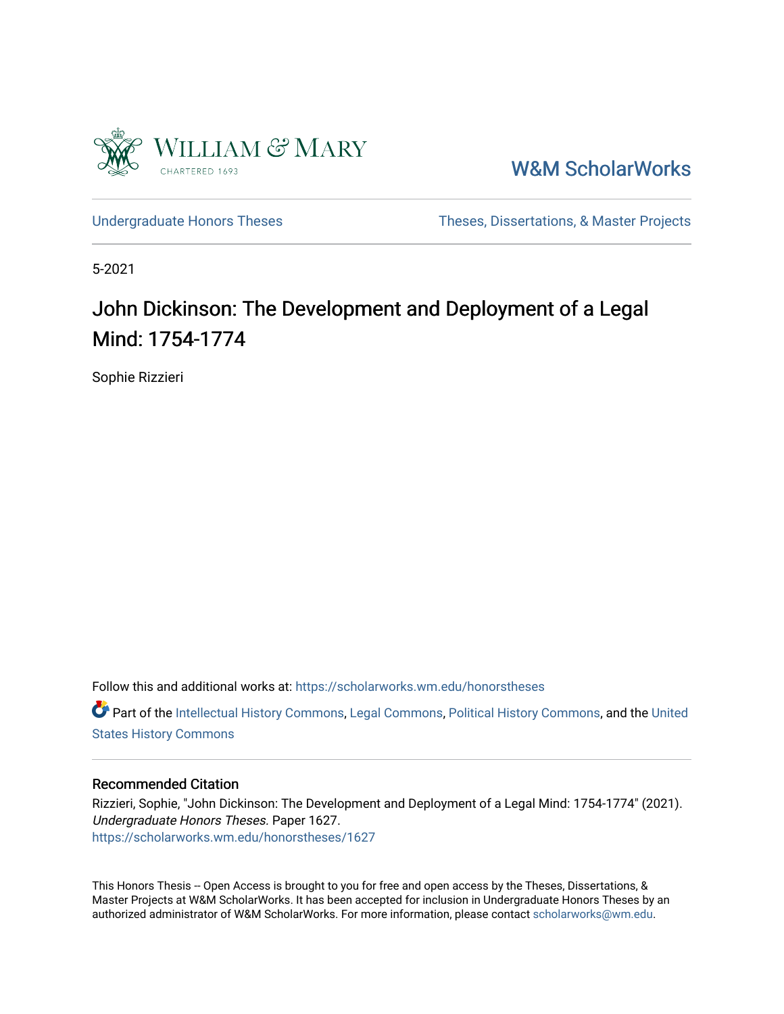

[W&M ScholarWorks](https://scholarworks.wm.edu/) 

[Undergraduate Honors Theses](https://scholarworks.wm.edu/honorstheses) Theses Theses, Dissertations, & Master Projects

5-2021

# John Dickinson: The Development and Deployment of a Legal Mind: 1754-1774

Sophie Rizzieri

Follow this and additional works at: [https://scholarworks.wm.edu/honorstheses](https://scholarworks.wm.edu/honorstheses?utm_source=scholarworks.wm.edu%2Fhonorstheses%2F1627&utm_medium=PDF&utm_campaign=PDFCoverPages) 

Part of the [Intellectual History Commons,](http://network.bepress.com/hgg/discipline/501?utm_source=scholarworks.wm.edu%2Fhonorstheses%2F1627&utm_medium=PDF&utm_campaign=PDFCoverPages) [Legal Commons](http://network.bepress.com/hgg/discipline/502?utm_source=scholarworks.wm.edu%2Fhonorstheses%2F1627&utm_medium=PDF&utm_campaign=PDFCoverPages), [Political History Commons](http://network.bepress.com/hgg/discipline/505?utm_source=scholarworks.wm.edu%2Fhonorstheses%2F1627&utm_medium=PDF&utm_campaign=PDFCoverPages), and the [United](http://network.bepress.com/hgg/discipline/495?utm_source=scholarworks.wm.edu%2Fhonorstheses%2F1627&utm_medium=PDF&utm_campaign=PDFCoverPages)  [States History Commons](http://network.bepress.com/hgg/discipline/495?utm_source=scholarworks.wm.edu%2Fhonorstheses%2F1627&utm_medium=PDF&utm_campaign=PDFCoverPages)

#### Recommended Citation

Rizzieri, Sophie, "John Dickinson: The Development and Deployment of a Legal Mind: 1754-1774" (2021). Undergraduate Honors Theses. Paper 1627. [https://scholarworks.wm.edu/honorstheses/1627](https://scholarworks.wm.edu/honorstheses/1627?utm_source=scholarworks.wm.edu%2Fhonorstheses%2F1627&utm_medium=PDF&utm_campaign=PDFCoverPages)

This Honors Thesis -- Open Access is brought to you for free and open access by the Theses, Dissertations, & Master Projects at W&M ScholarWorks. It has been accepted for inclusion in Undergraduate Honors Theses by an authorized administrator of W&M ScholarWorks. For more information, please contact [scholarworks@wm.edu](mailto:scholarworks@wm.edu).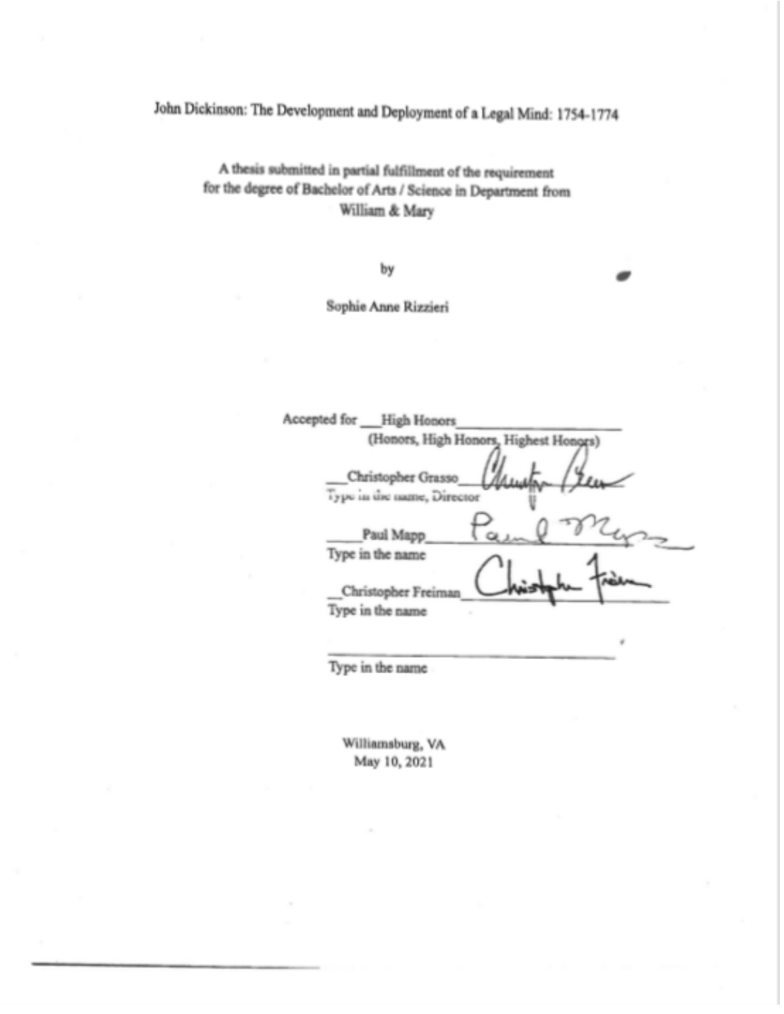John Dickinson: The Development and Deployment of a Legal Mind: 1754-1774

A thesis submitted in partial fulfillment of the requirement for the degree of Bachelor of Arts / Science in Department from William & Mary

by

Sophie Anne Rizzieri

| Accepted for<br>High Honors                      |
|--------------------------------------------------|
| (Honors, High Honors, Highest Honors)            |
| Christopher Grasso<br>Type in the name, Director |
| Paul Mapp                                        |
| Type in the name<br>Christopher Freiman          |
| Type in the name                                 |
|                                                  |

Type in the name

Williamsburg, VA May 10, 2021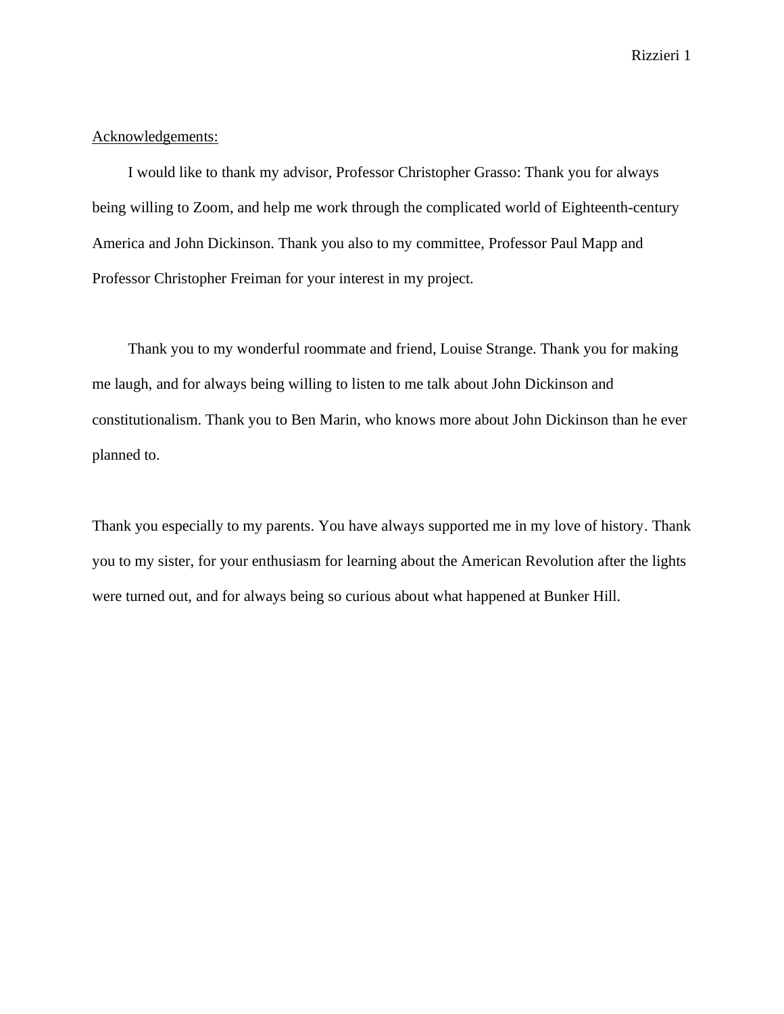## Acknowledgements:

I would like to thank my advisor, Professor Christopher Grasso: Thank you for always being willing to Zoom, and help me work through the complicated world of Eighteenth-century America and John Dickinson. Thank you also to my committee, Professor Paul Mapp and Professor Christopher Freiman for your interest in my project.

Thank you to my wonderful roommate and friend, Louise Strange. Thank you for making me laugh, and for always being willing to listen to me talk about John Dickinson and constitutionalism. Thank you to Ben Marin, who knows more about John Dickinson than he ever planned to.

Thank you especially to my parents. You have always supported me in my love of history. Thank you to my sister, for your enthusiasm for learning about the American Revolution after the lights were turned out, and for always being so curious about what happened at Bunker Hill.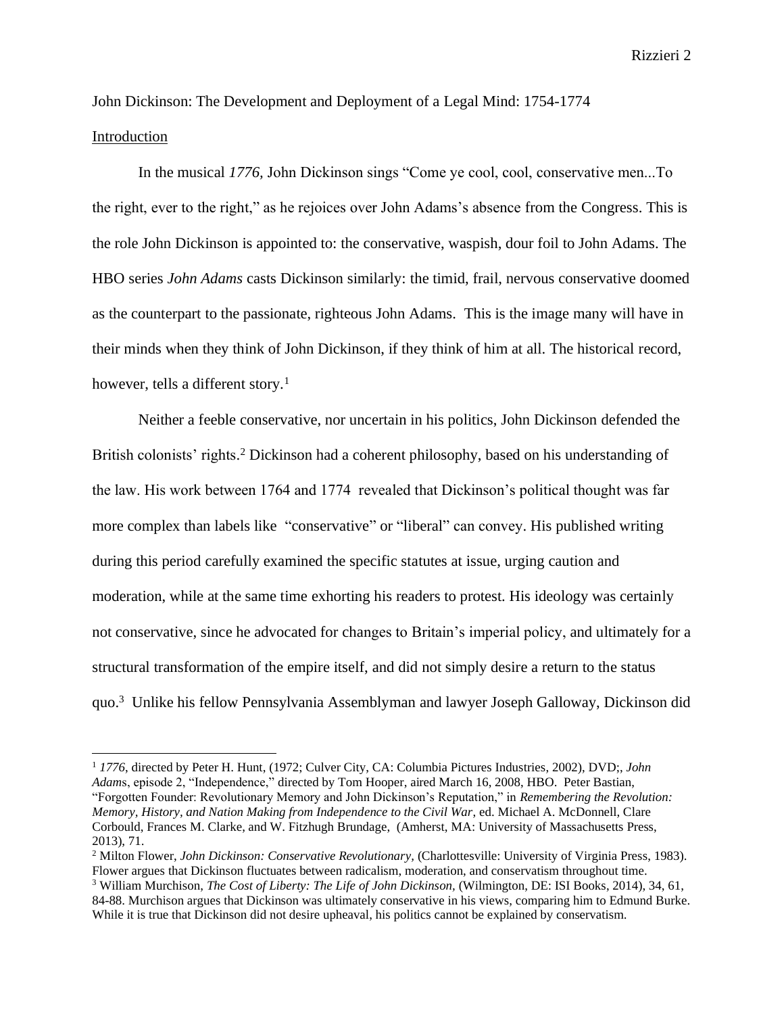John Dickinson: The Development and Deployment of a Legal Mind: 1754-1774 Introduction

In the musical *1776,* John Dickinson sings "Come ye cool, cool, conservative men...To the right, ever to the right," as he rejoices over John Adams's absence from the Congress. This is the role John Dickinson is appointed to: the conservative, waspish, dour foil to John Adams. The HBO series *John Adams* casts Dickinson similarly: the timid, frail, nervous conservative doomed as the counterpart to the passionate, righteous John Adams. This is the image many will have in their minds when they think of John Dickinson, if they think of him at all. The historical record, however, tells a different story.<sup>1</sup>

Neither a feeble conservative, nor uncertain in his politics, John Dickinson defended the British colonists' rights. <sup>2</sup> Dickinson had a coherent philosophy, based on his understanding of the law. His work between 1764 and 1774 revealed that Dickinson's political thought was far more complex than labels like "conservative" or "liberal" can convey. His published writing during this period carefully examined the specific statutes at issue, urging caution and moderation, while at the same time exhorting his readers to protest. His ideology was certainly not conservative, since he advocated for changes to Britain's imperial policy, and ultimately for a structural transformation of the empire itself, and did not simply desire a return to the status quo.<sup>3</sup> Unlike his fellow Pennsylvania Assemblyman and lawyer Joseph Galloway, Dickinson did

<sup>1</sup> *1776*, directed by Peter H. Hunt, (1972; Culver City, CA: Columbia Pictures Industries, 2002), DVD;, *John Adam*s, episode 2, "Independence," directed by Tom Hooper, aired March 16, 2008, HBO. Peter Bastian, "Forgotten Founder: Revolutionary Memory and John Dickinson's Reputation," in *Remembering the Revolution: Memory, History, and Nation Making from Independence to the Civil War*, ed. Michael A. McDonnell, Clare Corbould, Frances M. Clarke, and W. Fitzhugh Brundage, (Amherst, MA: University of Massachusetts Press, 2013), 71.

<sup>&</sup>lt;sup>2</sup> Milton Flower, *John Dickinson: Conservative Revolutionary*, (Charlottesville: University of Virginia Press, 1983). Flower argues that Dickinson fluctuates between radicalism, moderation, and conservatism throughout time. <sup>3</sup> William Murchison, *The Cost of Liberty: The Life of John Dickinson,* (Wilmington, DE: ISI Books, 2014), 34, 61, 84-88. Murchison argues that Dickinson was ultimately conservative in his views, comparing him to Edmund Burke. While it is true that Dickinson did not desire upheaval, his politics cannot be explained by conservatism.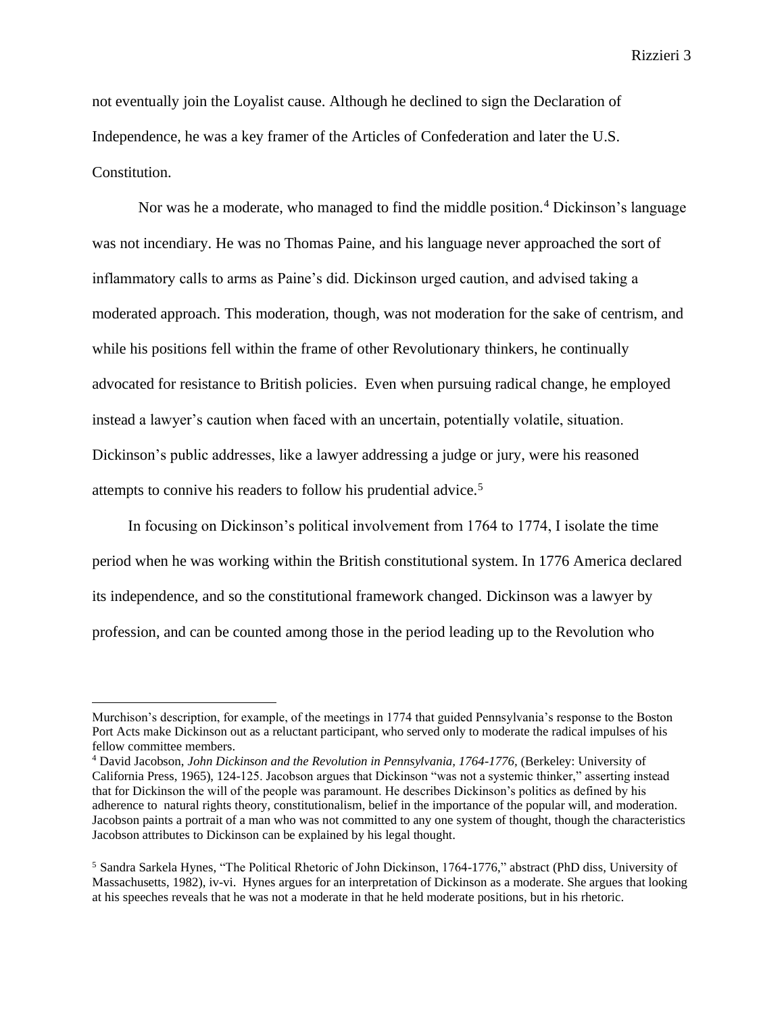not eventually join the Loyalist cause. Although he declined to sign the Declaration of Independence, he was a key framer of the Articles of Confederation and later the U.S. Constitution.

Nor was he a moderate, who managed to find the middle position.<sup>4</sup> Dickinson's language was not incendiary. He was no Thomas Paine, and his language never approached the sort of inflammatory calls to arms as Paine's did. Dickinson urged caution, and advised taking a moderated approach. This moderation, though, was not moderation for the sake of centrism, and while his positions fell within the frame of other Revolutionary thinkers, he continually advocated for resistance to British policies. Even when pursuing radical change, he employed instead a lawyer's caution when faced with an uncertain, potentially volatile, situation. Dickinson's public addresses, like a lawyer addressing a judge or jury, were his reasoned attempts to connive his readers to follow his prudential advice.<sup>5</sup>

In focusing on Dickinson's political involvement from 1764 to 1774, I isolate the time period when he was working within the British constitutional system. In 1776 America declared its independence, and so the constitutional framework changed. Dickinson was a lawyer by profession, and can be counted among those in the period leading up to the Revolution who

Murchison's description, for example, of the meetings in 1774 that guided Pennsylvania's response to the Boston Port Acts make Dickinson out as a reluctant participant, who served only to moderate the radical impulses of his fellow committee members.

<sup>&</sup>lt;sup>4</sup> David Jacobson, *John Dickinson and the Revolution in Pennsylvania, 1764-1776*, (Berkeley: University of California Press, 1965), 124-125. Jacobson argues that Dickinson "was not a systemic thinker," asserting instead that for Dickinson the will of the people was paramount. He describes Dickinson's politics as defined by his adherence to natural rights theory, constitutionalism, belief in the importance of the popular will, and moderation. Jacobson paints a portrait of a man who was not committed to any one system of thought, though the characteristics Jacobson attributes to Dickinson can be explained by his legal thought.

<sup>5</sup> Sandra Sarkela Hynes, "The Political Rhetoric of John Dickinson, 1764-1776," abstract (PhD diss, University of Massachusetts, 1982), iv-vi. Hynes argues for an interpretation of Dickinson as a moderate. She argues that looking at his speeches reveals that he was not a moderate in that he held moderate positions, but in his rhetoric.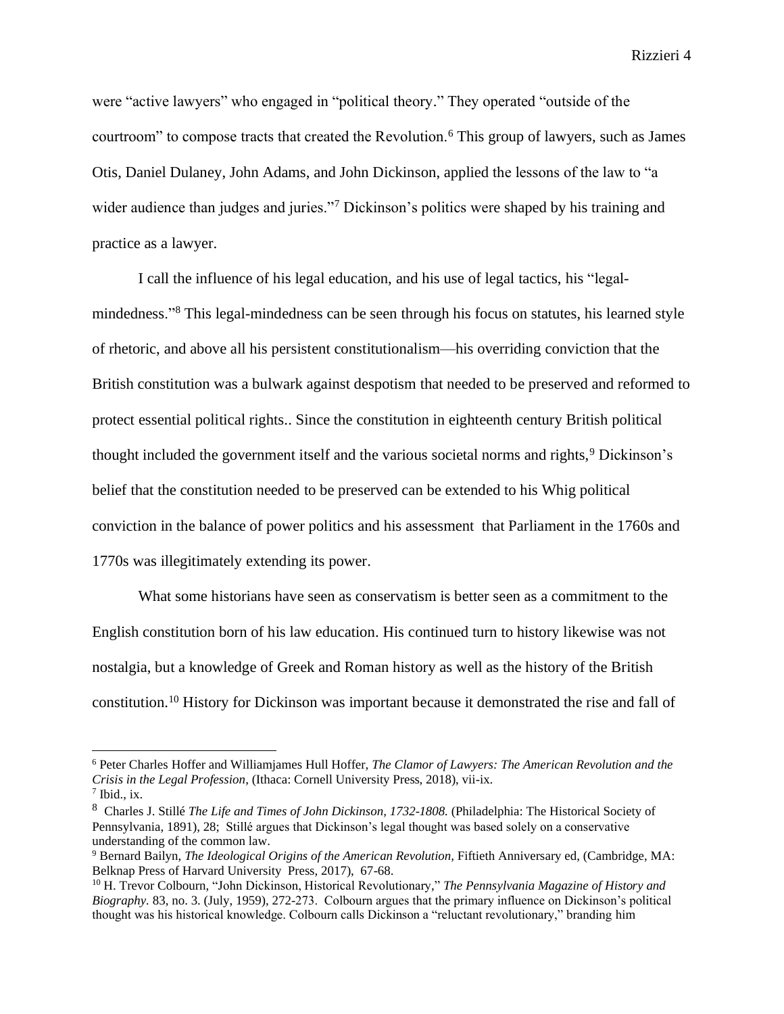were "active lawyers" who engaged in "political theory." They operated "outside of the courtroom" to compose tracts that created the Revolution.<sup>6</sup> This group of lawyers, such as James Otis, Daniel Dulaney, John Adams, and John Dickinson, applied the lessons of the law to "a wider audience than judges and juries."<sup>7</sup> Dickinson's politics were shaped by his training and practice as a lawyer.

I call the influence of his legal education, and his use of legal tactics, his "legalmindedness."<sup>8</sup> This legal-mindedness can be seen through his focus on statutes, his learned style of rhetoric, and above all his persistent constitutionalism—his overriding conviction that the British constitution was a bulwark against despotism that needed to be preserved and reformed to protect essential political rights.. Since the constitution in eighteenth century British political thought included the government itself and the various societal norms and rights,<sup>9</sup> Dickinson's belief that the constitution needed to be preserved can be extended to his Whig political conviction in the balance of power politics and his assessment that Parliament in the 1760s and 1770s was illegitimately extending its power.

What some historians have seen as conservatism is better seen as a commitment to the English constitution born of his law education. His continued turn to history likewise was not nostalgia, but a knowledge of Greek and Roman history as well as the history of the British constitution.<sup>10</sup> History for Dickinson was important because it demonstrated the rise and fall of

<sup>6</sup> Peter Charles Hoffer and Williamjames Hull Hoffer, *The Clamor of Lawyers: The American Revolution and the Crisis in the Legal Profession*, (Ithaca: Cornell University Press, 2018), vii-ix.

 $7$  Ibid., ix.

<sup>&</sup>lt;sup>8</sup> Charles J. Stillé *The Life and Times of John Dickinson, 1732-1808*. (Philadelphia: The Historical Society of Pennsylvania, 1891), 28; Stillé argues that Dickinson's legal thought was based solely on a conservative understanding of the common law.

<sup>&</sup>lt;sup>9</sup> Bernard Bailyn, *The Ideological Origins of the American Revolution*, Fiftieth Anniversary ed, (Cambridge, MA: Belknap Press of Harvard University Press, 2017), 67-68.

<sup>10</sup> H. Trevor Colbourn, "John Dickinson, Historical Revolutionary," *The Pennsylvania Magazine of History and Biography.* 83, no. 3. (July, 1959), 272-273. Colbourn argues that the primary influence on Dickinson's political thought was his historical knowledge. Colbourn calls Dickinson a "reluctant revolutionary," branding him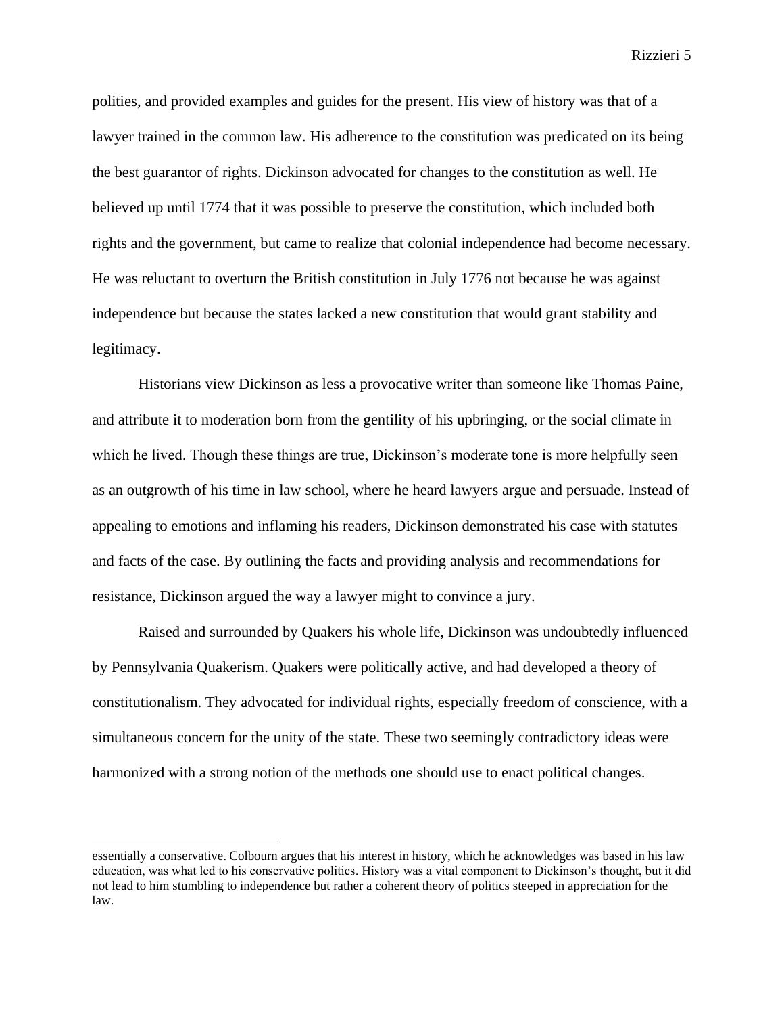polities, and provided examples and guides for the present. His view of history was that of a lawyer trained in the common law. His adherence to the constitution was predicated on its being the best guarantor of rights. Dickinson advocated for changes to the constitution as well. He believed up until 1774 that it was possible to preserve the constitution, which included both rights and the government, but came to realize that colonial independence had become necessary. He was reluctant to overturn the British constitution in July 1776 not because he was against independence but because the states lacked a new constitution that would grant stability and legitimacy.

Historians view Dickinson as less a provocative writer than someone like Thomas Paine, and attribute it to moderation born from the gentility of his upbringing, or the social climate in which he lived. Though these things are true, Dickinson's moderate tone is more helpfully seen as an outgrowth of his time in law school, where he heard lawyers argue and persuade. Instead of appealing to emotions and inflaming his readers, Dickinson demonstrated his case with statutes and facts of the case. By outlining the facts and providing analysis and recommendations for resistance, Dickinson argued the way a lawyer might to convince a jury.

Raised and surrounded by Quakers his whole life, Dickinson was undoubtedly influenced by Pennsylvania Quakerism. Quakers were politically active, and had developed a theory of constitutionalism. They advocated for individual rights, especially freedom of conscience, with a simultaneous concern for the unity of the state. These two seemingly contradictory ideas were harmonized with a strong notion of the methods one should use to enact political changes.

essentially a conservative. Colbourn argues that his interest in history, which he acknowledges was based in his law education, was what led to his conservative politics. History was a vital component to Dickinson's thought, but it did not lead to him stumbling to independence but rather a coherent theory of politics steeped in appreciation for the law.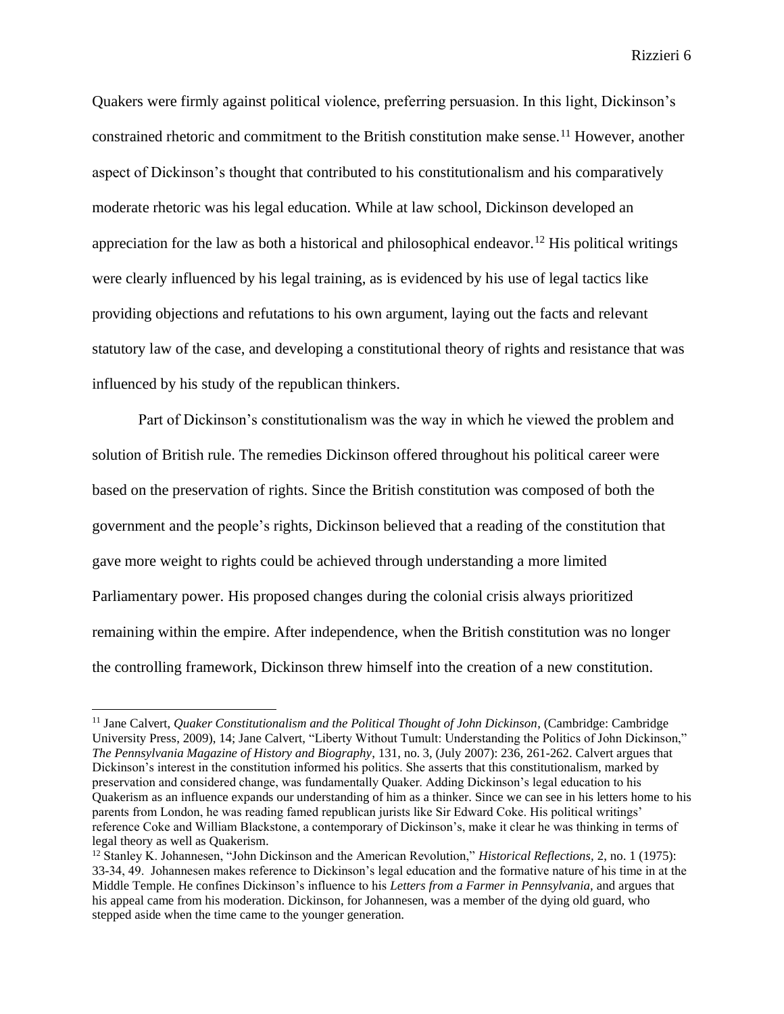Quakers were firmly against political violence, preferring persuasion. In this light, Dickinson's constrained rhetoric and commitment to the British constitution make sense.<sup>11</sup> However, another aspect of Dickinson's thought that contributed to his constitutionalism and his comparatively moderate rhetoric was his legal education. While at law school, Dickinson developed an appreciation for the law as both a historical and philosophical endeavor.<sup>12</sup> His political writings were clearly influenced by his legal training, as is evidenced by his use of legal tactics like providing objections and refutations to his own argument, laying out the facts and relevant statutory law of the case, and developing a constitutional theory of rights and resistance that was influenced by his study of the republican thinkers.

Part of Dickinson's constitutionalism was the way in which he viewed the problem and solution of British rule. The remedies Dickinson offered throughout his political career were based on the preservation of rights. Since the British constitution was composed of both the government and the people's rights, Dickinson believed that a reading of the constitution that gave more weight to rights could be achieved through understanding a more limited Parliamentary power. His proposed changes during the colonial crisis always prioritized remaining within the empire. After independence, when the British constitution was no longer the controlling framework, Dickinson threw himself into the creation of a new constitution.

<sup>&</sup>lt;sup>11</sup> Jane Calvert, *Quaker Constitutionalism and the Political Thought of John Dickinson*, (Cambridge: Cambridge University Press, 2009), 14; Jane Calvert, "Liberty Without Tumult: Understanding the Politics of John Dickinson," *The Pennsylvania Magazine of History and Biography*, 131, no. 3, (July 2007): 236, 261-262. Calvert argues that Dickinson's interest in the constitution informed his politics. She asserts that this constitutionalism, marked by preservation and considered change, was fundamentally Quaker. Adding Dickinson's legal education to his Quakerism as an influence expands our understanding of him as a thinker. Since we can see in his letters home to his parents from London, he was reading famed republican jurists like Sir Edward Coke. His political writings' reference Coke and William Blackstone, a contemporary of Dickinson's, make it clear he was thinking in terms of legal theory as well as Quakerism.

<sup>12</sup> Stanley K. Johannesen, "John Dickinson and the American Revolution," *Historical Reflections,* 2, no. 1 (1975): 33-34, 49. Johannesen makes reference to Dickinson's legal education and the formative nature of his time in at the Middle Temple. He confines Dickinson's influence to his *Letters from a Farmer in Pennsylvania,* and argues that his appeal came from his moderation. Dickinson, for Johannesen, was a member of the dying old guard, who stepped aside when the time came to the younger generation.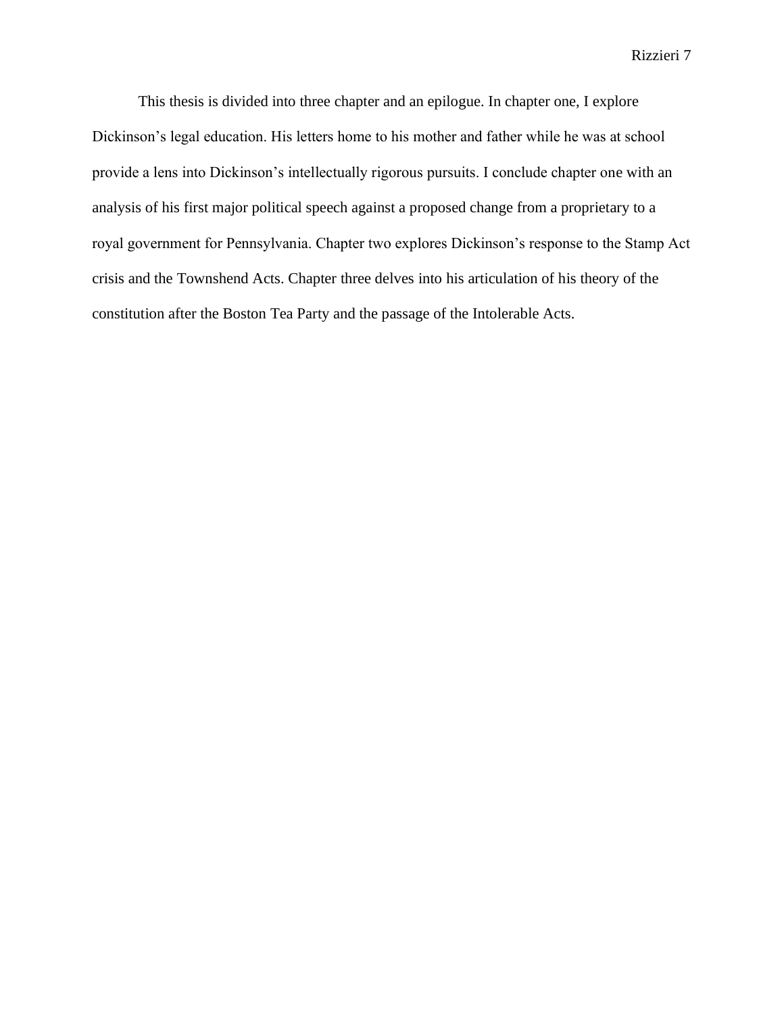This thesis is divided into three chapter and an epilogue. In chapter one, I explore Dickinson's legal education. His letters home to his mother and father while he was at school provide a lens into Dickinson's intellectually rigorous pursuits. I conclude chapter one with an analysis of his first major political speech against a proposed change from a proprietary to a royal government for Pennsylvania. Chapter two explores Dickinson's response to the Stamp Act crisis and the Townshend Acts. Chapter three delves into his articulation of his theory of the constitution after the Boston Tea Party and the passage of the Intolerable Acts.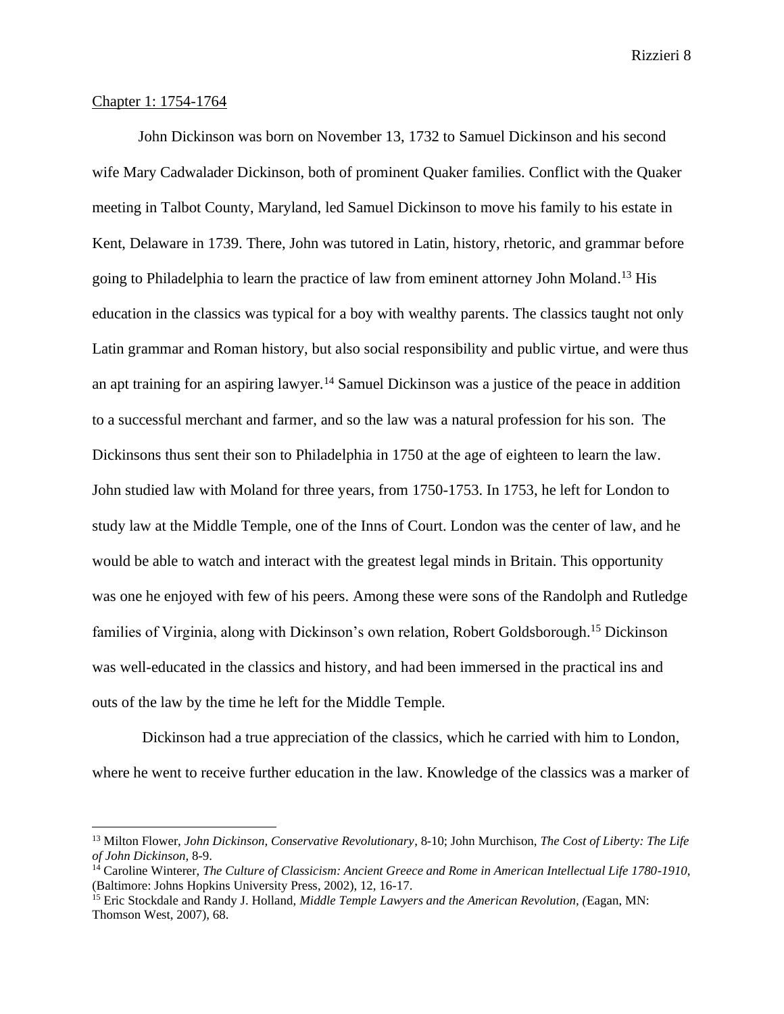## Chapter 1: 1754-1764

John Dickinson was born on November 13, 1732 to Samuel Dickinson and his second wife Mary Cadwalader Dickinson, both of prominent Quaker families. Conflict with the Quaker meeting in Talbot County, Maryland, led Samuel Dickinson to move his family to his estate in Kent, Delaware in 1739. There, John was tutored in Latin, history, rhetoric, and grammar before going to Philadelphia to learn the practice of law from eminent attorney John Moland. <sup>13</sup> His education in the classics was typical for a boy with wealthy parents. The classics taught not only Latin grammar and Roman history, but also social responsibility and public virtue, and were thus an apt training for an aspiring lawyer.<sup>14</sup> Samuel Dickinson was a justice of the peace in addition to a successful merchant and farmer, and so the law was a natural profession for his son. The Dickinsons thus sent their son to Philadelphia in 1750 at the age of eighteen to learn the law. John studied law with Moland for three years, from 1750-1753. In 1753, he left for London to study law at the Middle Temple, one of the Inns of Court. London was the center of law, and he would be able to watch and interact with the greatest legal minds in Britain. This opportunity was one he enjoyed with few of his peers. Among these were sons of the Randolph and Rutledge families of Virginia, along with Dickinson's own relation, Robert Goldsborough.<sup>15</sup> Dickinson was well-educated in the classics and history, and had been immersed in the practical ins and outs of the law by the time he left for the Middle Temple.

Dickinson had a true appreciation of the classics, which he carried with him to London, where he went to receive further education in the law. Knowledge of the classics was a marker of

<sup>13</sup> Milton Flower, *John Dickinson, Conservative Revolutionary*, 8-10; John Murchison, *The Cost of Liberty: The Life of John Dickinson,* 8-9.

<sup>14</sup> Caroline Winterer, *The Culture of Classicism: Ancient Greece and Rome in American Intellectual Life 1780-1910*, (Baltimore: Johns Hopkins University Press, 2002), 12, 16-17.

<sup>15</sup> Eric Stockdale and Randy J. Holland, *Middle Temple Lawyers and the American Revolution, (*Eagan, MN: Thomson West, 2007), 68.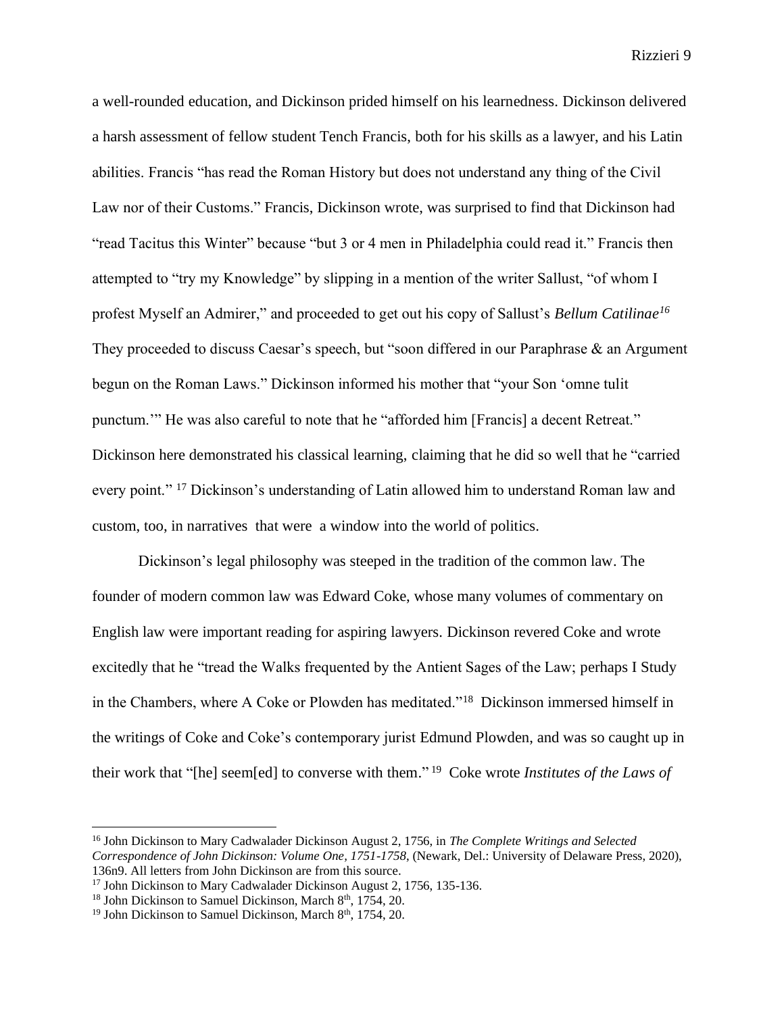a well-rounded education, and Dickinson prided himself on his learnedness. Dickinson delivered a harsh assessment of fellow student Tench Francis, both for his skills as a lawyer, and his Latin abilities. Francis "has read the Roman History but does not understand any thing of the Civil Law nor of their Customs." Francis, Dickinson wrote, was surprised to find that Dickinson had "read Tacitus this Winter" because "but 3 or 4 men in Philadelphia could read it." Francis then attempted to "try my Knowledge" by slipping in a mention of the writer Sallust, "of whom I profest Myself an Admirer," and proceeded to get out his copy of Sallust's *Bellum Catilinae<sup>16</sup>* They proceeded to discuss Caesar's speech, but "soon differed in our Paraphrase & an Argument" begun on the Roman Laws." Dickinson informed his mother that "your Son 'omne tulit punctum.'" He was also careful to note that he "afforded him [Francis] a decent Retreat." Dickinson here demonstrated his classical learning, claiming that he did so well that he "carried every point." <sup>17</sup> Dickinson's understanding of Latin allowed him to understand Roman law and custom, too, in narratives that were a window into the world of politics.

Dickinson's legal philosophy was steeped in the tradition of the common law. The founder of modern common law was Edward Coke, whose many volumes of commentary on English law were important reading for aspiring lawyers. Dickinson revered Coke and wrote excitedly that he "tread the Walks frequented by the Antient Sages of the Law; perhaps I Study in the Chambers, where A Coke or Plowden has meditated."<sup>18</sup> Dickinson immersed himself in the writings of Coke and Coke's contemporary jurist Edmund Plowden, and was so caught up in their work that "[he] seem[ed] to converse with them." <sup>19</sup> Coke wrote *Institutes of the Laws of* 

<sup>16</sup> John Dickinson to Mary Cadwalader Dickinson August 2, 1756, in *The Complete Writings and Selected Correspondence of John Dickinson: Volume One, 1751-1758*, (Newark, Del.: University of Delaware Press, 2020), 136n9. All letters from John Dickinson are from this source.

<sup>&</sup>lt;sup>17</sup> John Dickinson to Mary Cadwalader Dickinson August 2, 1756, 135-136.

<sup>&</sup>lt;sup>18</sup> John Dickinson to Samuel Dickinson, March 8<sup>th</sup>, 1754, 20.

 $19$  John Dickinson to Samuel Dickinson, March  $8<sup>th</sup>$ , 1754, 20.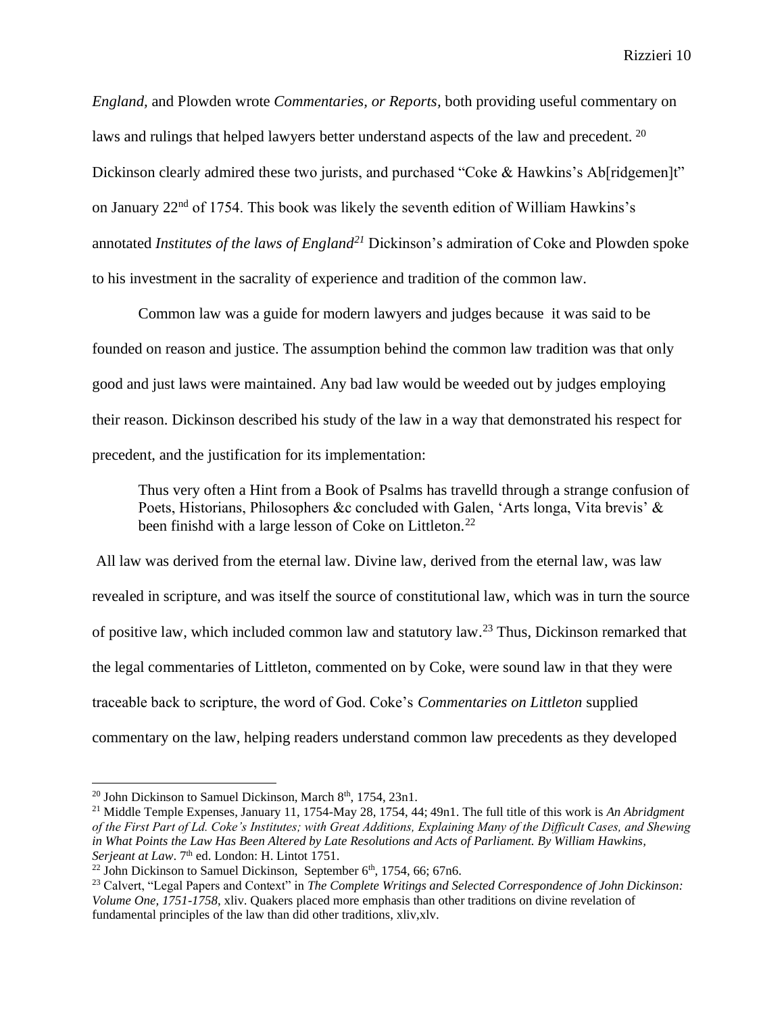*England,* and Plowden wrote *Commentaries, or Reports,* both providing useful commentary on laws and rulings that helped lawyers better understand aspects of the law and precedent. <sup>20</sup> Dickinson clearly admired these two jurists, and purchased "Coke & Hawkins's Ab[ridgemen]t" on January 22nd of 1754. This book was likely the seventh edition of William Hawkins's annotated *Institutes of the laws of England<sup>21</sup>* Dickinson's admiration of Coke and Plowden spoke to his investment in the sacrality of experience and tradition of the common law.

Common law was a guide for modern lawyers and judges because it was said to be founded on reason and justice. The assumption behind the common law tradition was that only good and just laws were maintained. Any bad law would be weeded out by judges employing their reason. Dickinson described his study of the law in a way that demonstrated his respect for precedent, and the justification for its implementation:

Thus very often a Hint from a Book of Psalms has travelld through a strange confusion of Poets, Historians, Philosophers &c concluded with Galen, 'Arts longa, Vita brevis' & been finishd with a large lesson of Coke on Littleton.<sup>22</sup>

All law was derived from the eternal law. Divine law, derived from the eternal law, was law revealed in scripture, and was itself the source of constitutional law, which was in turn the source of positive law, which included common law and statutory law.<sup>23</sup> Thus, Dickinson remarked that the legal commentaries of Littleton, commented on by Coke, were sound law in that they were traceable back to scripture, the word of God. Coke's *Commentaries on Littleton* supplied commentary on the law, helping readers understand common law precedents as they developed

<sup>&</sup>lt;sup>20</sup> John Dickinson to Samuel Dickinson, March  $8<sup>th</sup>$ , 1754, 23n1.

<sup>21</sup> Middle Temple Expenses, January 11, 1754-May 28, 1754, 44; 49n1. The full title of this work is *An Abridgment of the First Part of Ld. Coke's Institutes; with Great Additions, Explaining Many of the Difficult Cases, and Shewing in What Points the Law Has Been Altered by Late Resolutions and Acts of Parliament. By William Hawkins,*  Serjeant at Law. 7<sup>th</sup> ed. London: H. Lintot 1751.

<sup>&</sup>lt;sup>22</sup> John Dickinson to Samuel Dickinson, September  $6<sup>th</sup>$ , 1754, 66; 67n6.

<sup>&</sup>lt;sup>23</sup> Calvert, "Legal Papers and Context" in *The Complete Writings and Selected Correspondence of John Dickinson: Volume One, 1751-1758*, xliv. Quakers placed more emphasis than other traditions on divine revelation of fundamental principles of the law than did other traditions, xliv,xlv.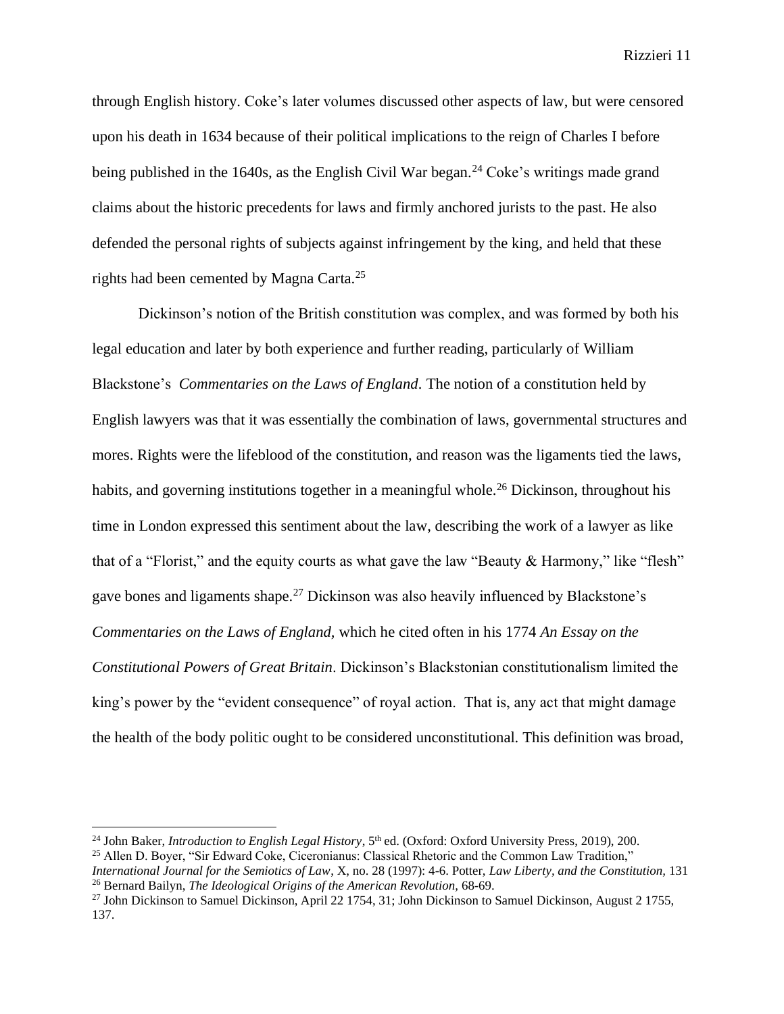through English history. Coke's later volumes discussed other aspects of law, but were censored upon his death in 1634 because of their political implications to the reign of Charles I before being published in the  $1640s$ , as the English Civil War began.<sup>24</sup> Coke's writings made grand claims about the historic precedents for laws and firmly anchored jurists to the past. He also defended the personal rights of subjects against infringement by the king, and held that these rights had been cemented by Magna Carta. 25

Dickinson's notion of the British constitution was complex, and was formed by both his legal education and later by both experience and further reading, particularly of William Blackstone's *Commentaries on the Laws of England.* The notion of a constitution held by English lawyers was that it was essentially the combination of laws, governmental structures and mores. Rights were the lifeblood of the constitution, and reason was the ligaments tied the laws, habits, and governing institutions together in a meaningful whole.<sup>26</sup> Dickinson, throughout his time in London expressed this sentiment about the law, describing the work of a lawyer as like that of a "Florist," and the equity courts as what gave the law "Beauty & Harmony," like "flesh" gave bones and ligaments shape.<sup>27</sup> Dickinson was also heavily influenced by Blackstone's *Commentaries on the Laws of England,* which he cited often in his 1774 *An Essay on the Constitutional Powers of Great Britain*. Dickinson's Blackstonian constitutionalism limited the king's power by the "evident consequence" of royal action. That is, any act that might damage the health of the body politic ought to be considered unconstitutional. This definition was broad,

<sup>&</sup>lt;sup>24</sup> John Baker, *Introduction to English Legal History*, 5<sup>th</sup> ed. (Oxford: Oxford University Press, 2019), 200.

<sup>25</sup> Allen D. Boyer, "Sir Edward Coke, Ciceronianus: Classical Rhetoric and the Common Law Tradition,"

*International Journal for the Semiotics of Law*, X, no. 28 (1997): 4-6. Potter, *Law Liberty, and the Constitution,* 131 <sup>26</sup> Bernard Bailyn, *The Ideological Origins of the American Revolution,* 68-69.

<sup>&</sup>lt;sup>27</sup> John Dickinson to Samuel Dickinson, April 22 1754, 31; John Dickinson to Samuel Dickinson, August 2 1755, 137.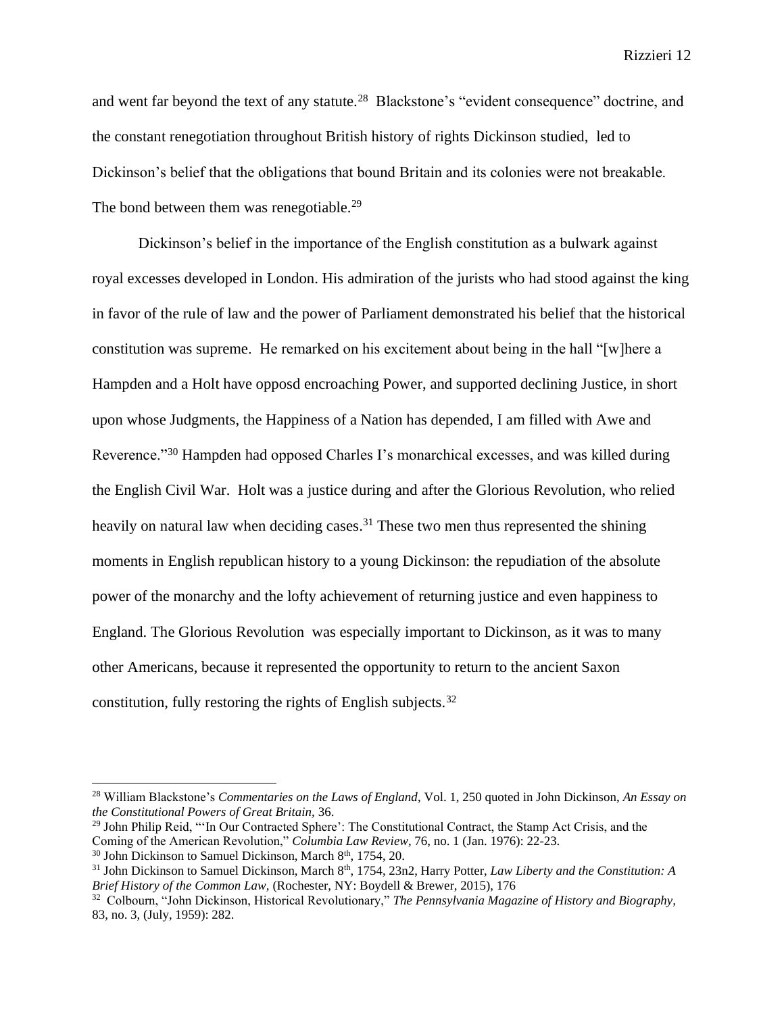and went far beyond the text of any statute.<sup>28</sup> Blackstone's "evident consequence" doctrine, and the constant renegotiation throughout British history of rights Dickinson studied, led to Dickinson's belief that the obligations that bound Britain and its colonies were not breakable. The bond between them was renegotiable.<sup>29</sup>

Dickinson's belief in the importance of the English constitution as a bulwark against royal excesses developed in London. His admiration of the jurists who had stood against the king in favor of the rule of law and the power of Parliament demonstrated his belief that the historical constitution was supreme. He remarked on his excitement about being in the hall "[w]here a Hampden and a Holt have opposd encroaching Power, and supported declining Justice, in short upon whose Judgments, the Happiness of a Nation has depended, I am filled with Awe and Reverence."<sup>30</sup> Hampden had opposed Charles I's monarchical excesses, and was killed during the English Civil War. Holt was a justice during and after the Glorious Revolution, who relied heavily on natural law when deciding cases.<sup>31</sup> These two men thus represented the shining moments in English republican history to a young Dickinson: the repudiation of the absolute power of the monarchy and the lofty achievement of returning justice and even happiness to England. The Glorious Revolution was especially important to Dickinson, as it was to many other Americans, because it represented the opportunity to return to the ancient Saxon constitution, fully restoring the rights of English subjects.<sup>32</sup>

<sup>28</sup> William Blackstone's *Commentaries on the Laws of England*, Vol. 1, 250 quoted in John Dickinson, *An Essay on the Constitutional Powers of Great Britain,* 36.

<sup>&</sup>lt;sup>29</sup> John Philip Reid, "'In Our Contracted Sphere': The Constitutional Contract, the Stamp Act Crisis, and the Coming of the American Revolution," *Columbia Law Review,* 76, no. 1 (Jan. 1976): 22-23.

 $30$  John Dickinson to Samuel Dickinson, March  $8<sup>th</sup>$ , 1754, 20.

<sup>&</sup>lt;sup>31</sup> John Dickinson to Samuel Dickinson, March 8<sup>th</sup>, 1754, 23n2, Harry Potter, *Law Liberty and the Constitution: A Brief History of the Common Law,* (Rochester, NY: Boydell & Brewer, 2015), 176

<sup>32</sup> Colbourn, "John Dickinson, Historical Revolutionary," *The Pennsylvania Magazine of History and Biography,*  83, no. 3, (July, 1959): 282.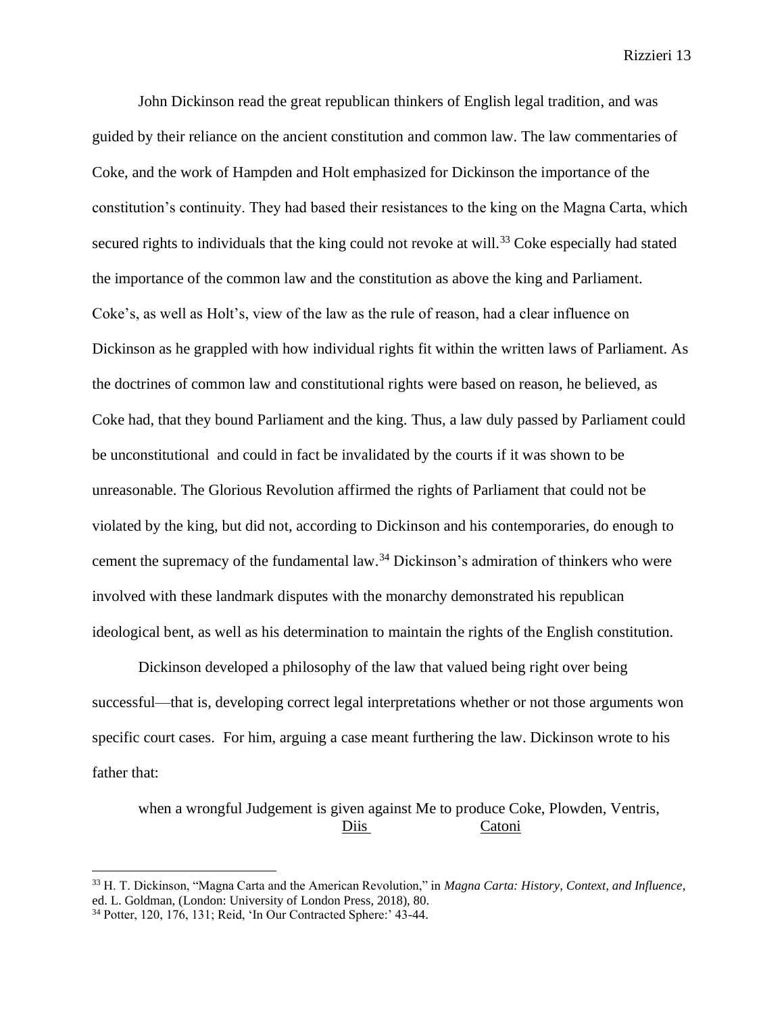John Dickinson read the great republican thinkers of English legal tradition, and was guided by their reliance on the ancient constitution and common law. The law commentaries of Coke, and the work of Hampden and Holt emphasized for Dickinson the importance of the constitution's continuity. They had based their resistances to the king on the Magna Carta, which secured rights to individuals that the king could not revoke at will.<sup>33</sup> Coke especially had stated the importance of the common law and the constitution as above the king and Parliament. Coke's, as well as Holt's, view of the law as the rule of reason, had a clear influence on Dickinson as he grappled with how individual rights fit within the written laws of Parliament. As the doctrines of common law and constitutional rights were based on reason, he believed, as Coke had, that they bound Parliament and the king. Thus, a law duly passed by Parliament could be unconstitutional and could in fact be invalidated by the courts if it was shown to be unreasonable. The Glorious Revolution affirmed the rights of Parliament that could not be violated by the king, but did not, according to Dickinson and his contemporaries, do enough to cement the supremacy of the fundamental law.<sup>34</sup> Dickinson's admiration of thinkers who were involved with these landmark disputes with the monarchy demonstrated his republican ideological bent, as well as his determination to maintain the rights of the English constitution.

Dickinson developed a philosophy of the law that valued being right over being successful—that is, developing correct legal interpretations whether or not those arguments won specific court cases. For him, arguing a case meant furthering the law. Dickinson wrote to his father that:

when a wrongful Judgement is given against Me to produce Coke, Plowden, Ventris, Diis Catoni

<sup>33</sup> H. T. Dickinson, "Magna Carta and the American Revolution," in *Magna Carta: History, Context, and Influence*, ed. L. Goldman, (London: University of London Press, 2018), 80. <sup>34</sup> Potter, 120, 176, 131; Reid, 'In Our Contracted Sphere:' 43-44.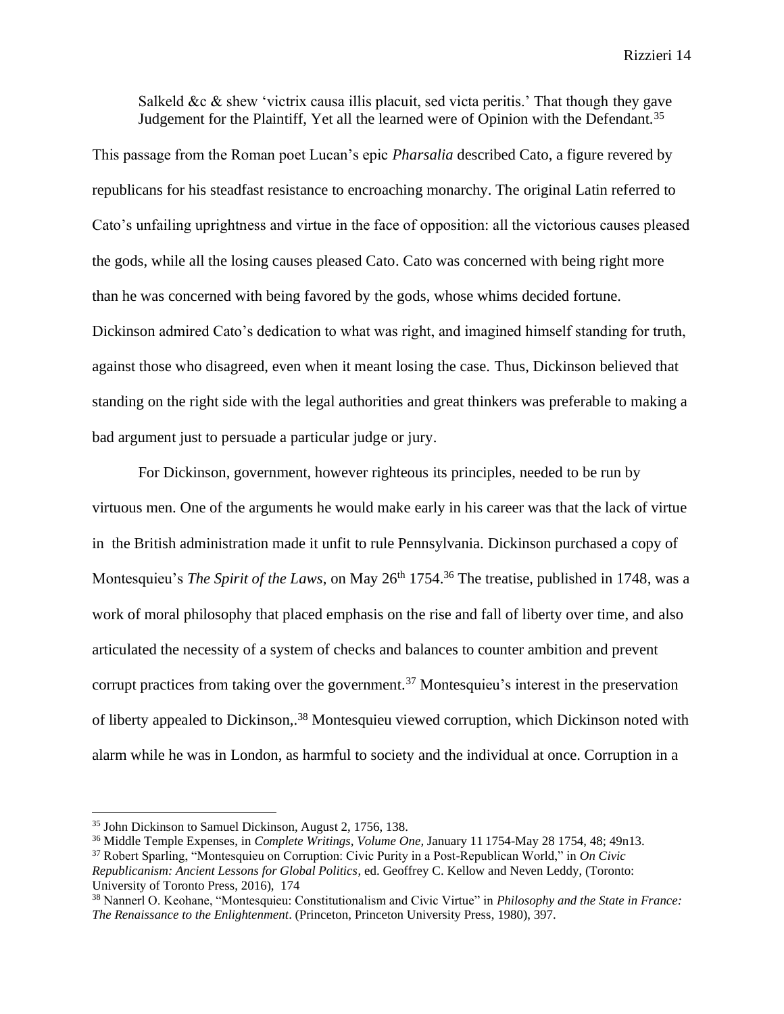Salkeld  $\&c \&$  shew 'victrix causa illis placuit, sed victa peritis.' That though they gave Judgement for the Plaintiff, Yet all the learned were of Opinion with the Defendant.<sup>35</sup>

This passage from the Roman poet Lucan's epic *Pharsalia* described Cato, a figure revered by republicans for his steadfast resistance to encroaching monarchy. The original Latin referred to Cato's unfailing uprightness and virtue in the face of opposition: all the victorious causes pleased the gods, while all the losing causes pleased Cato. Cato was concerned with being right more than he was concerned with being favored by the gods, whose whims decided fortune. Dickinson admired Cato's dedication to what was right, and imagined himself standing for truth, against those who disagreed, even when it meant losing the case. Thus, Dickinson believed that standing on the right side with the legal authorities and great thinkers was preferable to making a bad argument just to persuade a particular judge or jury.

For Dickinson, government, however righteous its principles, needed to be run by virtuous men. One of the arguments he would make early in his career was that the lack of virtue in the British administration made it unfit to rule Pennsylvania. Dickinson purchased a copy of Montesquieu's *The Spirit of the Laws*, on May 26<sup>th</sup> 1754.<sup>36</sup> The treatise, published in 1748, was a work of moral philosophy that placed emphasis on the rise and fall of liberty over time, and also articulated the necessity of a system of checks and balances to counter ambition and prevent corrupt practices from taking over the government.<sup>37</sup> Montesquieu's interest in the preservation of liberty appealed to Dickinson,.<sup>38</sup> Montesquieu viewed corruption, which Dickinson noted with alarm while he was in London, as harmful to society and the individual at once. Corruption in a

<sup>35</sup> John Dickinson to Samuel Dickinson, August 2, 1756, 138.

<sup>36</sup> Middle Temple Expenses, in *Complete Writings, Volume One,* January 11 1754-May 28 1754, 48; 49n13.

<sup>37</sup> Robert Sparling, "Montesquieu on Corruption: Civic Purity in a Post-Republican World," in *On Civic Republicanism: Ancient Lessons for Global Politics*, ed. Geoffrey C. Kellow and Neven Leddy, (Toronto: University of Toronto Press, 2016), 174

<sup>38</sup> Nannerl O. Keohane, "Montesquieu: Constitutionalism and Civic Virtue" in *Philosophy and the State in France: The Renaissance to the Enlightenment*. (Princeton, Princeton University Press, 1980), 397.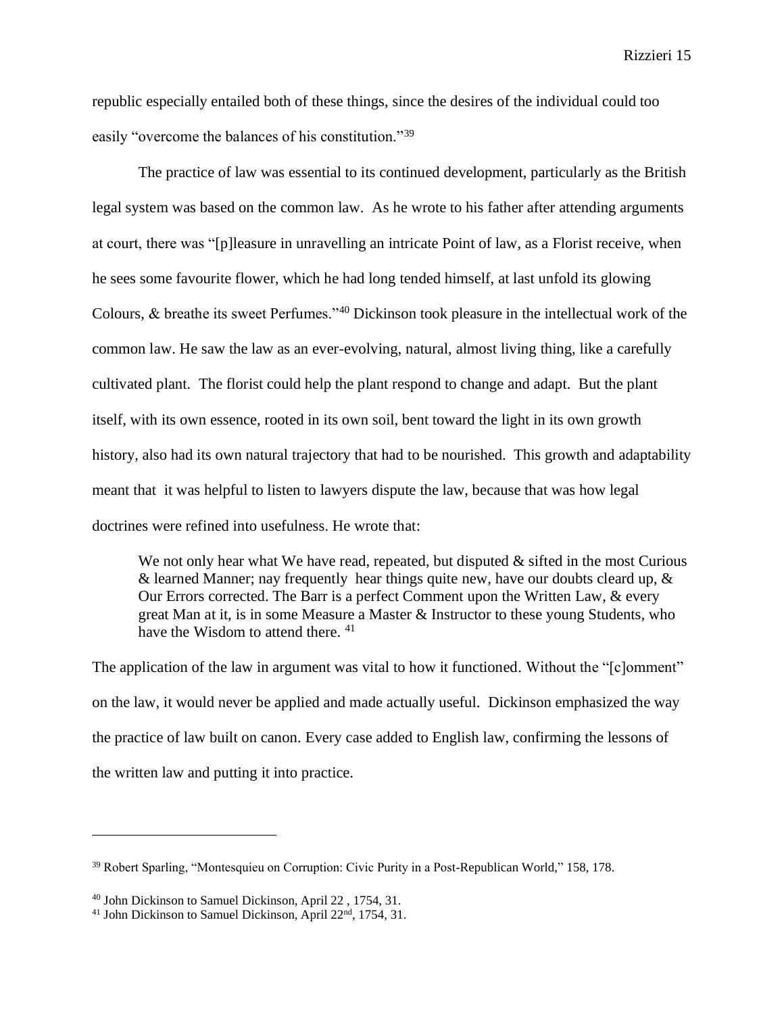republic especially entailed both of these things, since the desires of the individual could too easily "overcome the balances of his constitution."<sup>39</sup>

The practice of law was essential to its continued development, particularly as the British legal system was based on the common law. As he wrote to his father after attending arguments at court, there was "[p]leasure in unravelling an intricate Point of law, as a Florist receive, when he sees some favourite flower, which he had long tended himself, at last unfold its glowing Colours, & breathe its sweet Perfumes."<sup>40</sup> Dickinson took pleasure in the intellectual work of the common law. He saw the law as an ever-evolving, natural, almost living thing, like a carefully cultivated plant. The florist could help the plant respond to change and adapt. But the plant itself, with its own essence, rooted in its own soil, bent toward the light in its own growth history, also had its own natural trajectory that had to be nourished. This growth and adaptability meant that it was helpful to listen to lawyers dispute the law, because that was how legal doctrines were refined into usefulness. He wrote that:

We not only hear what We have read, repeated, but disputed  $\&$  sifted in the most Curious & learned Manner; nay frequently hear things quite new, have our doubts cleard up, & Our Errors corrected. The Barr is a perfect Comment upon the Written Law, & every great Man at it, is in some Measure a Master & Instructor to these young Students, who have the Wisdom to attend there. <sup>41</sup>

The application of the law in argument was vital to how it functioned. Without the "[c]omment" on the law, it would never be applied and made actually useful. Dickinson emphasized the way the practice of law built on canon. Every case added to English law, confirming the lessons of the written law and putting it into practice.

<sup>39</sup> Robert Sparling, "Montesquieu on Corruption: Civic Purity in a Post-Republican World," 158, 178.

<sup>40</sup> John Dickinson to Samuel Dickinson, April 22 , 1754, 31.

<sup>&</sup>lt;sup>41</sup> John Dickinson to Samuel Dickinson, April 22<sup>nd</sup>, 1754, 31.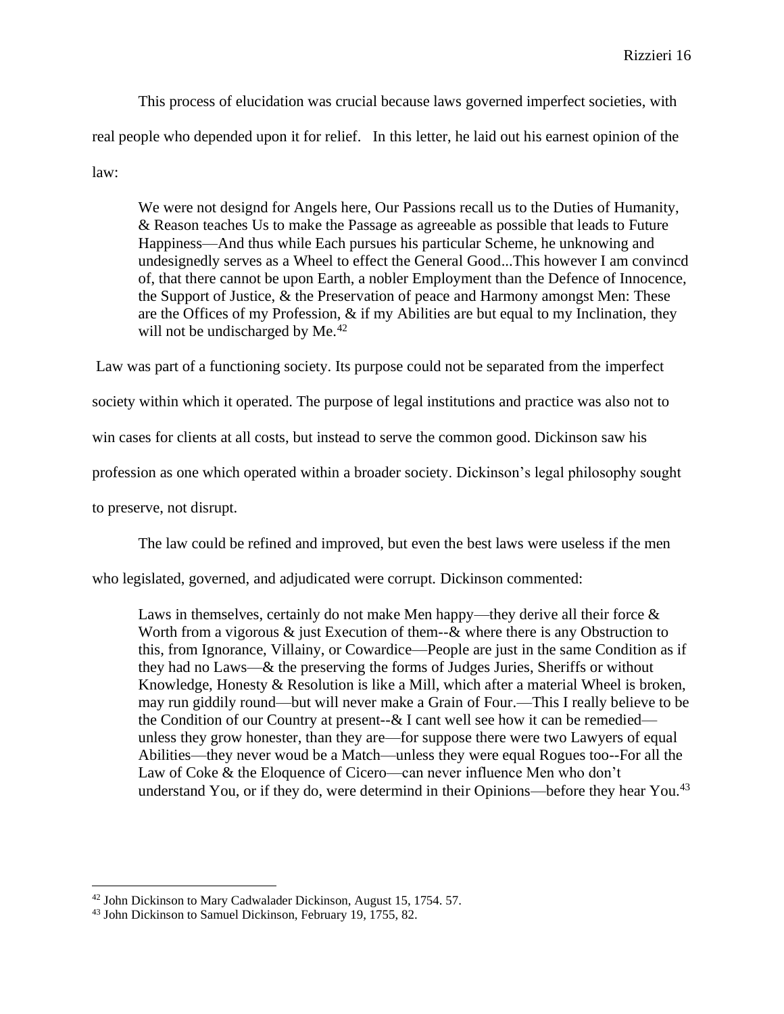This process of elucidation was crucial because laws governed imperfect societies, with real people who depended upon it for relief. In this letter, he laid out his earnest opinion of the law:

We were not designd for Angels here, Our Passions recall us to the Duties of Humanity, & Reason teaches Us to make the Passage as agreeable as possible that leads to Future Happiness—And thus while Each pursues his particular Scheme, he unknowing and undesignedly serves as a Wheel to effect the General Good...This however I am convincd of, that there cannot be upon Earth, a nobler Employment than the Defence of Innocence, the Support of Justice, & the Preservation of peace and Harmony amongst Men: These are the Offices of my Profession, & if my Abilities are but equal to my Inclination, they will not be undischarged by Me.<sup>42</sup>

Law was part of a functioning society. Its purpose could not be separated from the imperfect society within which it operated. The purpose of legal institutions and practice was also not to win cases for clients at all costs, but instead to serve the common good. Dickinson saw his profession as one which operated within a broader society. Dickinson's legal philosophy sought to preserve, not disrupt.

The law could be refined and improved, but even the best laws were useless if the men

who legislated, governed, and adjudicated were corrupt. Dickinson commented:

Laws in themselves, certainly do not make Men happy—they derive all their force  $\&$ Worth from a vigorous  $\&$  just Execution of them-- $\&$  where there is any Obstruction to this, from Ignorance, Villainy, or Cowardice—People are just in the same Condition as if they had no Laws—& the preserving the forms of Judges Juries, Sheriffs or without Knowledge, Honesty & Resolution is like a Mill, which after a material Wheel is broken, may run giddily round—but will never make a Grain of Four.—This I really believe to be the Condition of our Country at present-- $&$  I cant well see how it can be remedied unless they grow honester, than they are—for suppose there were two Lawyers of equal Abilities—they never woud be a Match—unless they were equal Rogues too--For all the Law of Coke & the Eloquence of Cicero—can never influence Men who don't understand You, or if they do, were determind in their Opinions—before they hear You. $^{43}$ 

<sup>42</sup> John Dickinson to Mary Cadwalader Dickinson, August 15, 1754. 57.

<sup>&</sup>lt;sup>43</sup> John Dickinson to Samuel Dickinson, February 19, 1755, 82.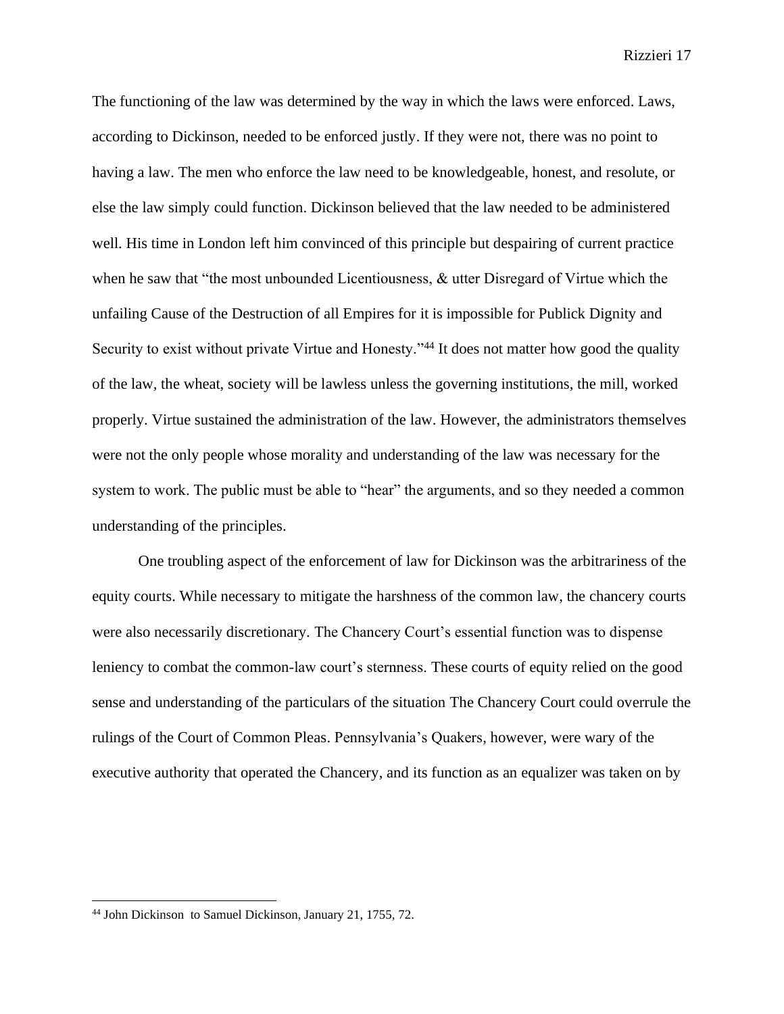The functioning of the law was determined by the way in which the laws were enforced. Laws, according to Dickinson, needed to be enforced justly. If they were not, there was no point to having a law. The men who enforce the law need to be knowledgeable, honest, and resolute, or else the law simply could function. Dickinson believed that the law needed to be administered well. His time in London left him convinced of this principle but despairing of current practice when he saw that "the most unbounded Licentiousness, & utter Disregard of Virtue which the unfailing Cause of the Destruction of all Empires for it is impossible for Publick Dignity and Security to exist without private Virtue and Honesty."<sup>44</sup> It does not matter how good the quality of the law, the wheat, society will be lawless unless the governing institutions, the mill, worked properly. Virtue sustained the administration of the law. However, the administrators themselves were not the only people whose morality and understanding of the law was necessary for the system to work. The public must be able to "hear" the arguments, and so they needed a common understanding of the principles.

One troubling aspect of the enforcement of law for Dickinson was the arbitrariness of the equity courts. While necessary to mitigate the harshness of the common law, the chancery courts were also necessarily discretionary. The Chancery Court's essential function was to dispense leniency to combat the common-law court's sternness. These courts of equity relied on the good sense and understanding of the particulars of the situation The Chancery Court could overrule the rulings of the Court of Common Pleas. Pennsylvania's Quakers, however, were wary of the executive authority that operated the Chancery, and its function as an equalizer was taken on by

<sup>44</sup> John Dickinson to Samuel Dickinson, January 21, 1755, 72.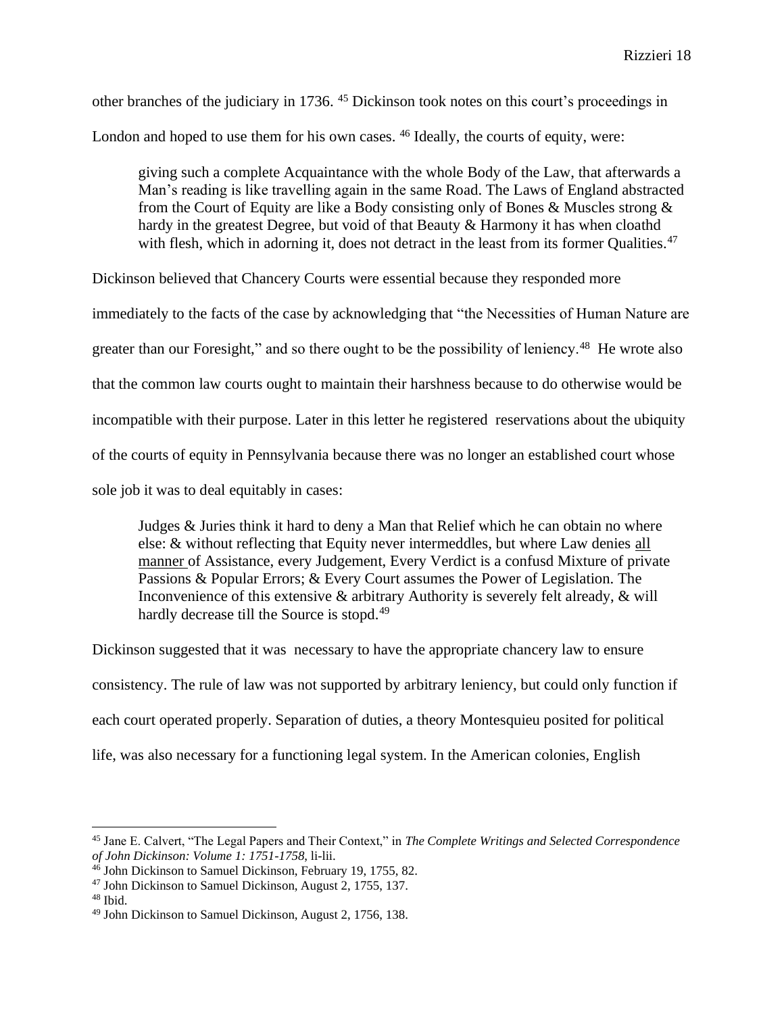other branches of the judiciary in 1736. <sup>45</sup> Dickinson took notes on this court's proceedings in London and hoped to use them for his own cases. <sup>46</sup> Ideally, the courts of equity, were:

giving such a complete Acquaintance with the whole Body of the Law, that afterwards a Man's reading is like travelling again in the same Road. The Laws of England abstracted from the Court of Equity are like a Body consisting only of Bones & Muscles strong  $\&$ hardy in the greatest Degree, but void of that Beauty & Harmony it has when cloathd with flesh, which in adorning it, does not detract in the least from its former Qualities.<sup>47</sup>

Dickinson believed that Chancery Courts were essential because they responded more

immediately to the facts of the case by acknowledging that "the Necessities of Human Nature are greater than our Foresight," and so there ought to be the possibility of leniency.<sup>48</sup> He wrote also that the common law courts ought to maintain their harshness because to do otherwise would be incompatible with their purpose. Later in this letter he registered reservations about the ubiquity of the courts of equity in Pennsylvania because there was no longer an established court whose sole job it was to deal equitably in cases:

Judges & Juries think it hard to deny a Man that Relief which he can obtain no where else: & without reflecting that Equity never intermeddles, but where Law denies all manner of Assistance, every Judgement, Every Verdict is a confusd Mixture of private Passions & Popular Errors; & Every Court assumes the Power of Legislation. The Inconvenience of this extensive & arbitrary Authority is severely felt already, & will hardly decrease till the Source is stopd.<sup>49</sup>

Dickinson suggested that it was necessary to have the appropriate chancery law to ensure consistency. The rule of law was not supported by arbitrary leniency, but could only function if each court operated properly. Separation of duties, a theory Montesquieu posited for political life, was also necessary for a functioning legal system. In the American colonies, English

<sup>45</sup> Jane E. Calvert, "The Legal Papers and Their Context," in *The Complete Writings and Selected Correspondence of John Dickinson: Volume 1: 1751-1758*, li-lii.

<sup>&</sup>lt;sup>46</sup> John Dickinson to Samuel Dickinson, February 19, 1755, 82.

<sup>47</sup> John Dickinson to Samuel Dickinson, August 2, 1755, 137.

 $48$  Ibid.

<sup>49</sup> John Dickinson to Samuel Dickinson, August 2, 1756, 138.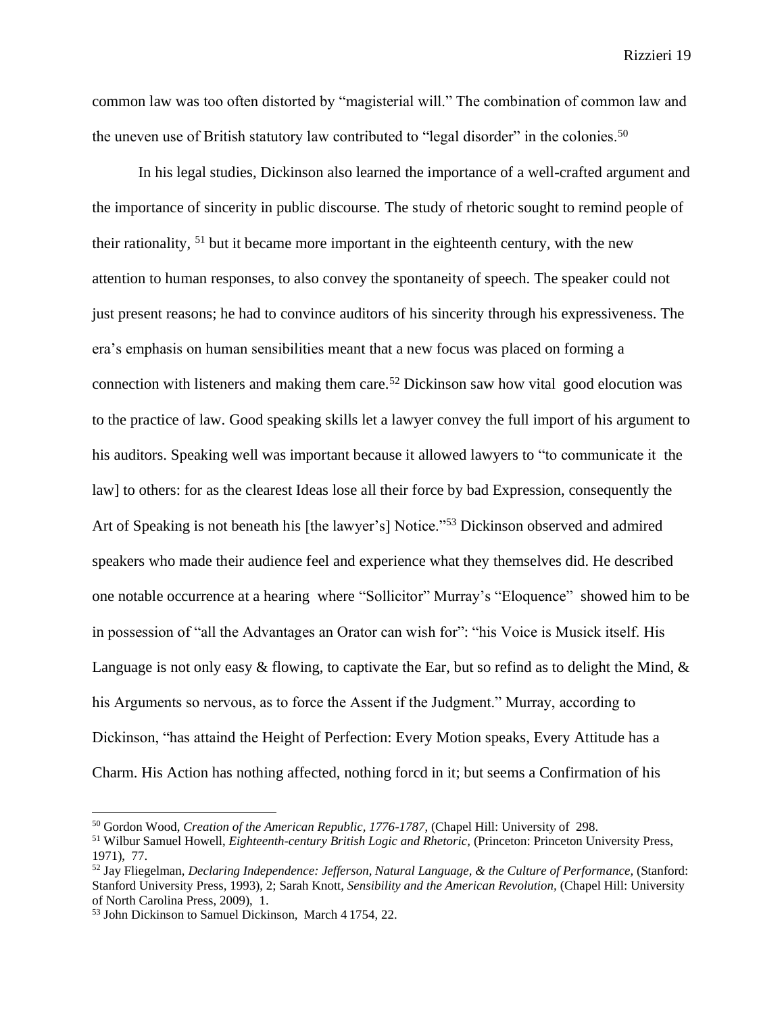common law was too often distorted by "magisterial will." The combination of common law and the uneven use of British statutory law contributed to "legal disorder" in the colonies.<sup>50</sup>

In his legal studies, Dickinson also learned the importance of a well-crafted argument and the importance of sincerity in public discourse. The study of rhetoric sought to remind people of their rationality, <sup>51</sup> but it became more important in the eighteenth century, with the new attention to human responses, to also convey the spontaneity of speech. The speaker could not just present reasons; he had to convince auditors of his sincerity through his expressiveness. The era's emphasis on human sensibilities meant that a new focus was placed on forming a connection with listeners and making them care.<sup>52</sup> Dickinson saw how vital good elocution was to the practice of law. Good speaking skills let a lawyer convey the full import of his argument to his auditors. Speaking well was important because it allowed lawyers to "to communicate it the law] to others: for as the clearest Ideas lose all their force by bad Expression, consequently the Art of Speaking is not beneath his [the lawyer's] Notice."<sup>53</sup> Dickinson observed and admired speakers who made their audience feel and experience what they themselves did. He described one notable occurrence at a hearing where "Sollicitor" Murray's "Eloquence" showed him to be in possession of "all the Advantages an Orator can wish for": "his Voice is Musick itself. His Language is not only easy & flowing, to captivate the Ear, but so refind as to delight the Mind, & his Arguments so nervous, as to force the Assent if the Judgment." Murray, according to Dickinson, "has attaind the Height of Perfection: Every Motion speaks, Every Attitude has a Charm. His Action has nothing affected, nothing forcd in it; but seems a Confirmation of his

<sup>50</sup> Gordon Wood, *Creation of the American Republic, 1776-1787*, (Chapel Hill: University of 298.

<sup>51</sup> Wilbur Samuel Howell, *Eighteenth-century British Logic and Rhetoric,* (Princeton: Princeton University Press, 1971), 77.

<sup>52</sup> Jay Fliegelman, *Declaring Independence: Jefferson, Natural Language, & the Culture of Performance,* (Stanford: Stanford University Press, 1993), 2; Sarah Knott, *Sensibility and the American Revolution,* (Chapel Hill: University of North Carolina Press, 2009), 1.

<sup>53</sup> John Dickinson to Samuel Dickinson, March 4 1754, 22.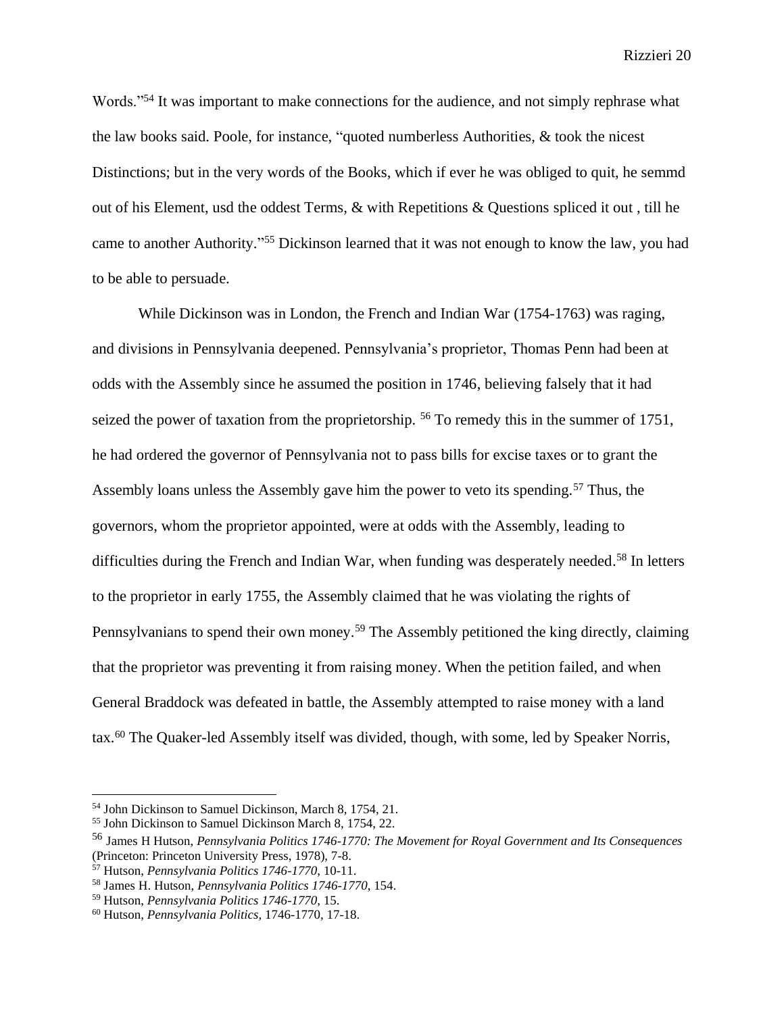Words."<sup>54</sup> It was important to make connections for the audience, and not simply rephrase what the law books said. Poole, for instance, "quoted numberless Authorities, & took the nicest Distinctions; but in the very words of the Books, which if ever he was obliged to quit, he semmd out of his Element, usd the oddest Terms, & with Repetitions & Questions spliced it out , till he came to another Authority."<sup>55</sup> Dickinson learned that it was not enough to know the law, you had to be able to persuade.

While Dickinson was in London, the French and Indian War (1754-1763) was raging, and divisions in Pennsylvania deepened. Pennsylvania's proprietor, Thomas Penn had been at odds with the Assembly since he assumed the position in 1746, believing falsely that it had seized the power of taxation from the proprietorship. <sup>56</sup> To remedy this in the summer of 1751, he had ordered the governor of Pennsylvania not to pass bills for excise taxes or to grant the Assembly loans unless the Assembly gave him the power to veto its spending.<sup>57</sup> Thus, the governors, whom the proprietor appointed, were at odds with the Assembly, leading to difficulties during the French and Indian War, when funding was desperately needed.<sup>58</sup> In letters to the proprietor in early 1755, the Assembly claimed that he was violating the rights of Pennsylvanians to spend their own money.<sup>59</sup> The Assembly petitioned the king directly, claiming that the proprietor was preventing it from raising money. When the petition failed, and when General Braddock was defeated in battle, the Assembly attempted to raise money with a land tax.<sup>60</sup> The Quaker-led Assembly itself was divided, though, with some, led by Speaker Norris,

<sup>54</sup> John Dickinson to Samuel Dickinson, March 8, 1754, 21.

<sup>55</sup> John Dickinson to Samuel Dickinson March 8, 1754, 22.

<sup>56</sup> James H Hutson, *Pennsylvania Politics 1746-1770: The Movement for Royal Government and Its Consequences* (Princeton: Princeton University Press, 1978), 7-8.

<sup>57</sup> Hutson, *Pennsylvania Politics 1746-1770*, 10-11.

<sup>58</sup> James H. Hutson, *Pennsylvania Politics 1746-1770*, 154.

<sup>59</sup> Hutson, *Pennsylvania Politics 1746-1770*, 15.

<sup>60</sup> Hutson, *Pennsylvania Politics,* 1746-1770, 17-18.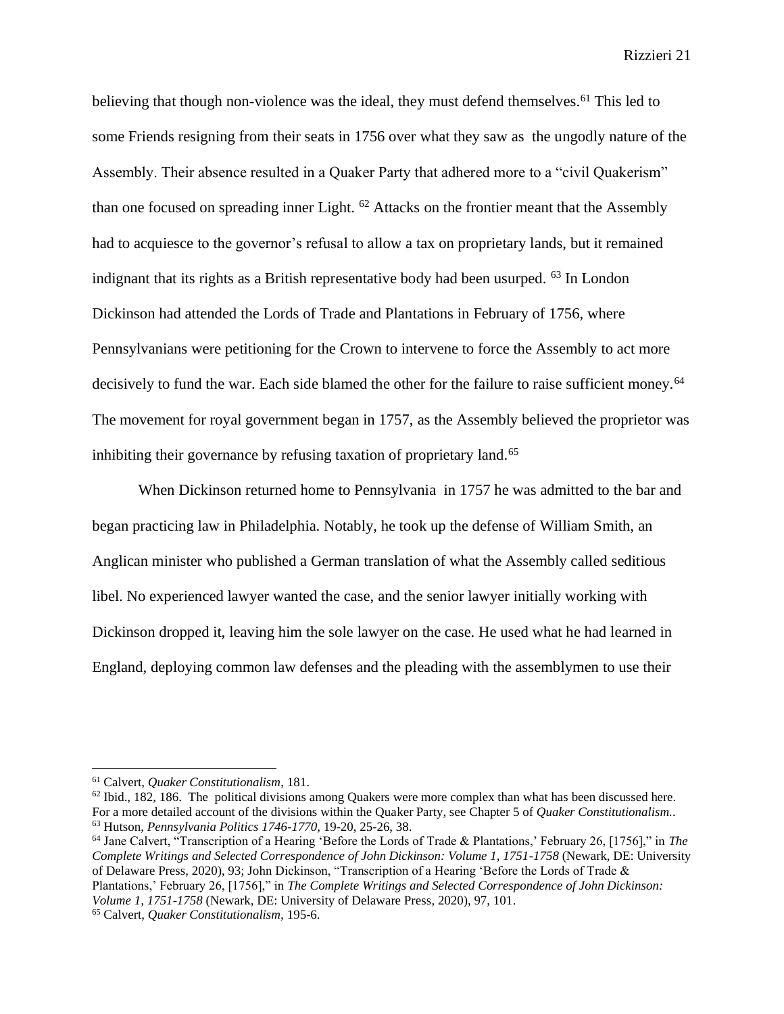believing that though non-violence was the ideal, they must defend themselves.<sup>61</sup> This led to some Friends resigning from their seats in 1756 over what they saw as the ungodly nature of the Assembly. Their absence resulted in a Quaker Party that adhered more to a "civil Quakerism" than one focused on spreading inner Light. <sup>62</sup> Attacks on the frontier meant that the Assembly had to acquiesce to the governor's refusal to allow a tax on proprietary lands, but it remained indignant that its rights as a British representative body had been usurped. <sup>63</sup> In London Dickinson had attended the Lords of Trade and Plantations in February of 1756, where Pennsylvanians were petitioning for the Crown to intervene to force the Assembly to act more decisively to fund the war. Each side blamed the other for the failure to raise sufficient money.<sup>64</sup> The movement for royal government began in 1757, as the Assembly believed the proprietor was inhibiting their governance by refusing taxation of proprietary land.<sup>65</sup>

When Dickinson returned home to Pennsylvania in 1757 he was admitted to the bar and began practicing law in Philadelphia. Notably, he took up the defense of William Smith, an Anglican minister who published a German translation of what the Assembly called seditious libel. No experienced lawyer wanted the case, and the senior lawyer initially working with Dickinson dropped it, leaving him the sole lawyer on the case. He used what he had learned in England, deploying common law defenses and the pleading with the assemblymen to use their

<sup>64</sup> Jane Calvert, "Transcription of a Hearing 'Before the Lords of Trade & Plantations,' February 26, [1756]," in *The Complete Writings and Selected Correspondence of John Dickinson: Volume 1, 1751-1758* (Newark, DE: University of Delaware Press, 2020), 93; John Dickinson, "Transcription of a Hearing 'Before the Lords of Trade & Plantations,' February 26, [1756]," in *The Complete Writings and Selected Correspondence of John Dickinson: Volume 1, 1751-1758* (Newark, DE: University of Delaware Press, 2020), 97, 101.

<sup>61</sup> Calvert, *Quaker Constitutionalism*, 181.

 $62$  Ibid., 182, 186. The political divisions among Quakers were more complex than what has been discussed here. For a more detailed account of the divisions within the Quaker Party, see Chapter 5 of *Quaker Constitutionalism.*. <sup>63</sup> Hutson, *Pennsylvania Politics 1746-1770,* 19-20, 25-26, 38.

<sup>65</sup> Calvert, *Quaker Constitutionalism,* 195-6.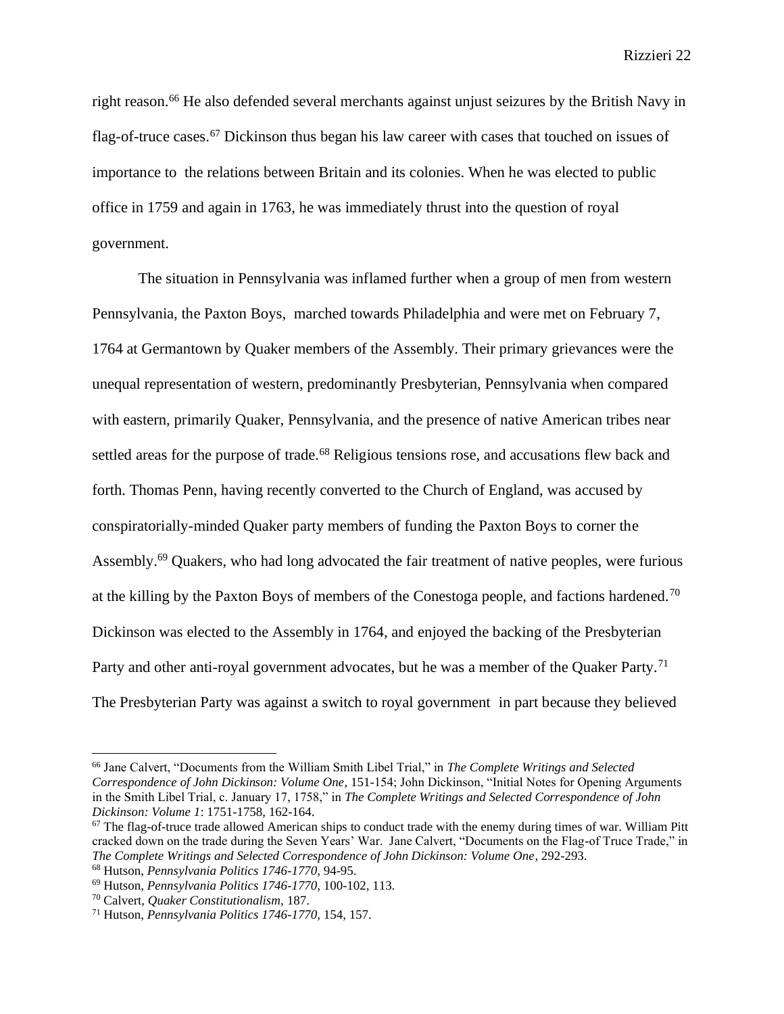right reason.<sup>66</sup> He also defended several merchants against unjust seizures by the British Navy in flag-of-truce cases.<sup>67</sup> Dickinson thus began his law career with cases that touched on issues of importance to the relations between Britain and its colonies. When he was elected to public office in 1759 and again in 1763, he was immediately thrust into the question of royal government.

The situation in Pennsylvania was inflamed further when a group of men from western Pennsylvania, the Paxton Boys, marched towards Philadelphia and were met on February 7, 1764 at Germantown by Quaker members of the Assembly. Their primary grievances were the unequal representation of western, predominantly Presbyterian, Pennsylvania when compared with eastern, primarily Quaker, Pennsylvania, and the presence of native American tribes near settled areas for the purpose of trade.<sup>68</sup> Religious tensions rose, and accusations flew back and forth. Thomas Penn, having recently converted to the Church of England, was accused by conspiratorially-minded Quaker party members of funding the Paxton Boys to corner the Assembly.<sup>69</sup> Quakers, who had long advocated the fair treatment of native peoples, were furious at the killing by the Paxton Boys of members of the Conestoga people, and factions hardened.<sup>70</sup> Dickinson was elected to the Assembly in 1764, and enjoyed the backing of the Presbyterian Party and other anti-royal government advocates, but he was a member of the Quaker Party.<sup>71</sup> The Presbyterian Party was against a switch to royal government in part because they believed

<sup>66</sup> Jane Calvert, "Documents from the William Smith Libel Trial," in *The Complete Writings and Selected Correspondence of John Dickinson: Volume One*, 151-154; John Dickinson, "Initial Notes for Opening Arguments in the Smith Libel Trial, c. January 17, 1758," in *The Complete Writings and Selected Correspondence of John Dickinson: Volume 1*: 1751-1758, 162-164.

 $67$  The flag-of-truce trade allowed American ships to conduct trade with the enemy during times of war. William Pitt cracked down on the trade during the Seven Years' War. Jane Calvert, "Documents on the Flag-of Truce Trade," in *The Complete Writings and Selected Correspondence of John Dickinson: Volume One*, 292-293. <sup>68</sup> Hutson, *Pennsylvania Politics 1746-1770,* 94-95.

<sup>69</sup> Hutson, *Pennsylvania Politics 1746-1770*, 100-102, 113.

<sup>70</sup> Calvert, *Quaker Constitutionalism,* 187.

<sup>71</sup> Hutson, *Pennsylvania Politics 1746-1770,* 154, 157.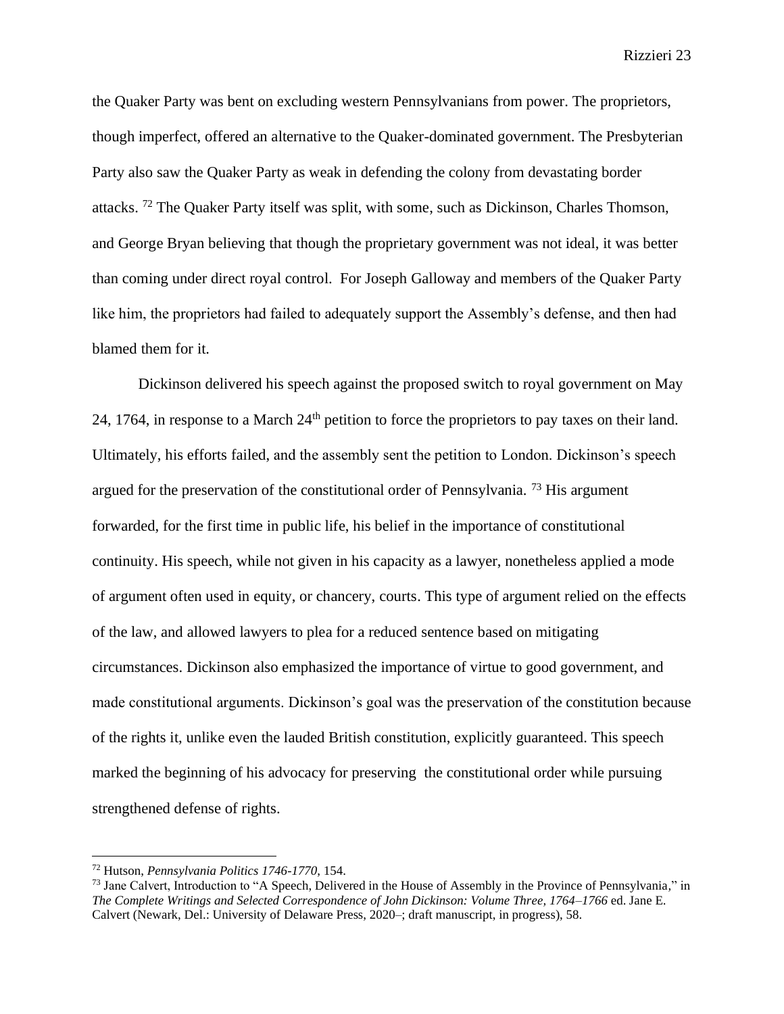the Quaker Party was bent on excluding western Pennsylvanians from power. The proprietors, though imperfect, offered an alternative to the Quaker-dominated government. The Presbyterian Party also saw the Quaker Party as weak in defending the colony from devastating border attacks. <sup>72</sup> The Quaker Party itself was split, with some, such as Dickinson, Charles Thomson, and George Bryan believing that though the proprietary government was not ideal, it was better than coming under direct royal control. For Joseph Galloway and members of the Quaker Party like him, the proprietors had failed to adequately support the Assembly's defense, and then had blamed them for it.

Dickinson delivered his speech against the proposed switch to royal government on May 24, 1764, in response to a March 24th petition to force the proprietors to pay taxes on their land. Ultimately, his efforts failed, and the assembly sent the petition to London. Dickinson's speech argued for the preservation of the constitutional order of Pennsylvania.<sup>73</sup> His argument forwarded, for the first time in public life, his belief in the importance of constitutional continuity. His speech, while not given in his capacity as a lawyer, nonetheless applied a mode of argument often used in equity, or chancery, courts. This type of argument relied on the effects of the law, and allowed lawyers to plea for a reduced sentence based on mitigating circumstances. Dickinson also emphasized the importance of virtue to good government, and made constitutional arguments. Dickinson's goal was the preservation of the constitution because of the rights it, unlike even the lauded British constitution, explicitly guaranteed. This speech marked the beginning of his advocacy for preserving the constitutional order while pursuing strengthened defense of rights.

<sup>72</sup> Hutson, *Pennsylvania Politics 1746-1770*, 154.

<sup>73</sup> Jane Calvert, Introduction to "A Speech, Delivered in the House of Assembly in the Province of Pennsylvania*,*" in *The Complete Writings and Selected Correspondence of John Dickinson: Volume Three, 1764–1766* ed. Jane E. Calvert (Newark, Del.: University of Delaware Press, 2020–; draft manuscript, in progress), 58.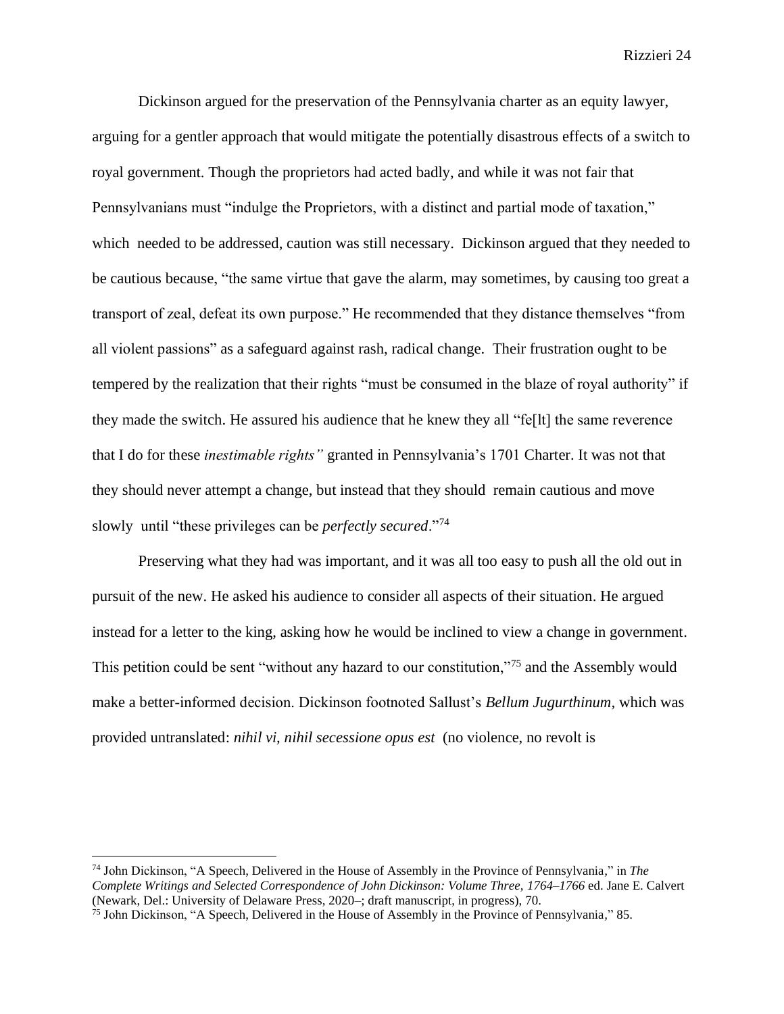Dickinson argued for the preservation of the Pennsylvania charter as an equity lawyer, arguing for a gentler approach that would mitigate the potentially disastrous effects of a switch to royal government. Though the proprietors had acted badly, and while it was not fair that Pennsylvanians must "indulge the Proprietors, with a distinct and partial mode of taxation," which needed to be addressed, caution was still necessary. Dickinson argued that they needed to be cautious because, "the same virtue that gave the alarm, may sometimes, by causing too great a transport of zeal, defeat its own purpose." He recommended that they distance themselves "from all violent passions" as a safeguard against rash, radical change. Their frustration ought to be tempered by the realization that their rights "must be consumed in the blaze of royal authority" if they made the switch. He assured his audience that he knew they all "fe[lt] the same reverence that I do for these *inestimable rights"* granted in Pennsylvania's 1701 Charter. It was not that they should never attempt a change, but instead that they should remain cautious and move slowly until "these privileges can be *perfectly secured*."<sup>74</sup>

Preserving what they had was important, and it was all too easy to push all the old out in pursuit of the new. He asked his audience to consider all aspects of their situation. He argued instead for a letter to the king, asking how he would be inclined to view a change in government. This petition could be sent "without any hazard to our constitution,"<sup>75</sup> and the Assembly would make a better-informed decision. Dickinson footnoted Sallust's *Bellum Jugurthinum,* which was provided untranslated: *nihil vi, nihil secessione opus est* (no violence, no revolt is

<sup>74</sup> John Dickinson, "A Speech, Delivered in the House of Assembly in the Province of Pennsylvania*,*" in *The Complete Writings and Selected Correspondence of John Dickinson: Volume Three, 1764–1766* ed. Jane E. Calvert (Newark, Del.: University of Delaware Press, 2020–; draft manuscript, in progress), 70.

<sup>75</sup> John Dickinson, "A Speech, Delivered in the House of Assembly in the Province of Pennsylvania*,*" 85.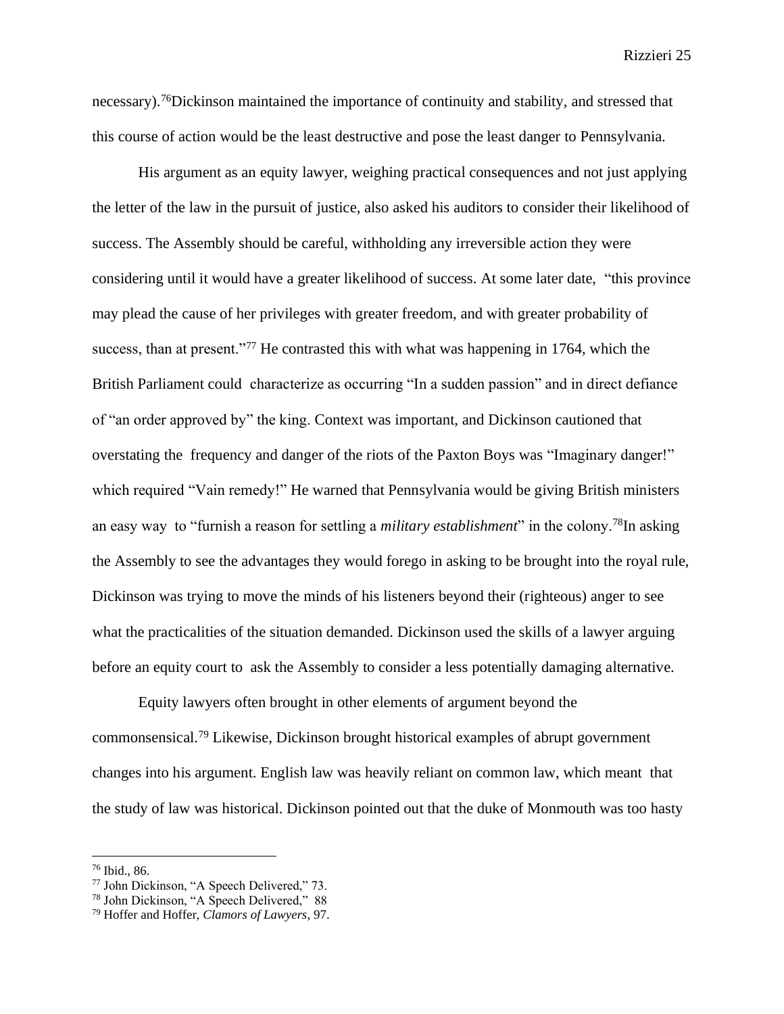necessary).<sup>76</sup>Dickinson maintained the importance of continuity and stability, and stressed that this course of action would be the least destructive and pose the least danger to Pennsylvania.

His argument as an equity lawyer, weighing practical consequences and not just applying the letter of the law in the pursuit of justice, also asked his auditors to consider their likelihood of success. The Assembly should be careful, withholding any irreversible action they were considering until it would have a greater likelihood of success. At some later date, "this province may plead the cause of her privileges with greater freedom, and with greater probability of success, than at present."<sup>77</sup> He contrasted this with what was happening in 1764, which the British Parliament could characterize as occurring "In a sudden passion" and in direct defiance of "an order approved by" the king. Context was important, and Dickinson cautioned that overstating the frequency and danger of the riots of the Paxton Boys was "Imaginary danger!" which required "Vain remedy!" He warned that Pennsylvania would be giving British ministers an easy way to "furnish a reason for settling a *military establishment*" in the colony.<sup>78</sup>In asking the Assembly to see the advantages they would forego in asking to be brought into the royal rule, Dickinson was trying to move the minds of his listeners beyond their (righteous) anger to see what the practicalities of the situation demanded. Dickinson used the skills of a lawyer arguing before an equity court to ask the Assembly to consider a less potentially damaging alternative.

Equity lawyers often brought in other elements of argument beyond the commonsensical.<sup>79</sup> Likewise, Dickinson brought historical examples of abrupt government changes into his argument. English law was heavily reliant on common law, which meant that the study of law was historical. Dickinson pointed out that the duke of Monmouth was too hasty

<sup>76</sup> Ibid., 86.

<sup>77</sup> John Dickinson, "A Speech Delivered," 73.

<sup>78</sup> John Dickinson, "A Speech Delivered," 88

<sup>79</sup> Hoffer and Hoffer, *Clamors of Lawyers,* 97.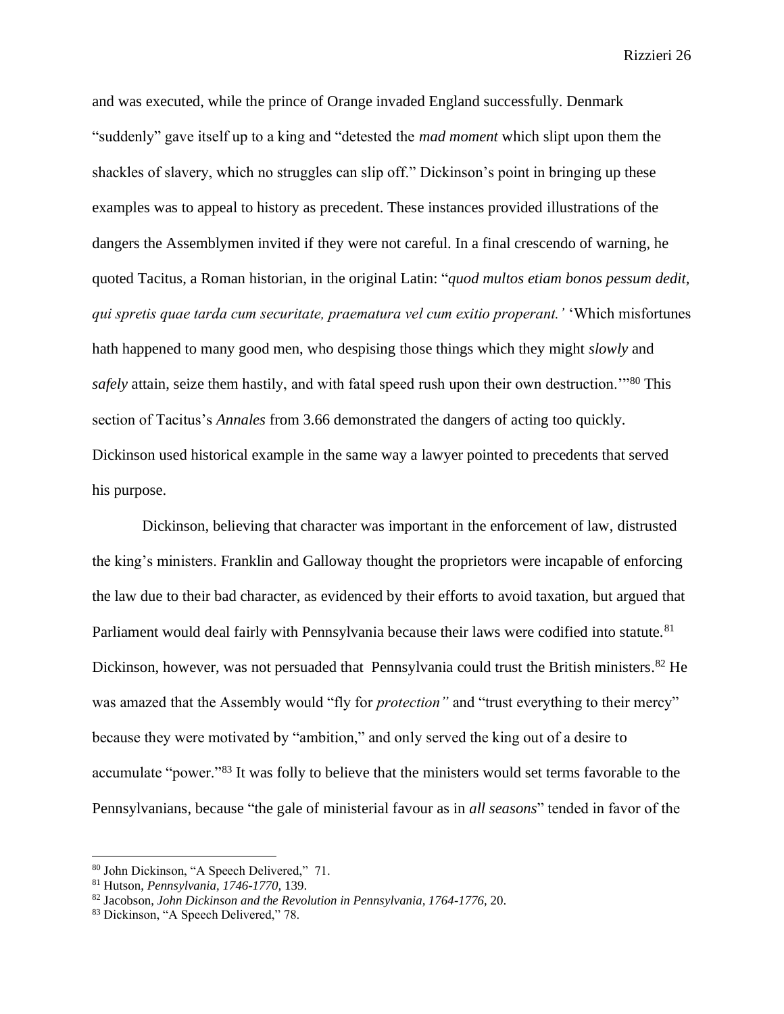and was executed, while the prince of Orange invaded England successfully. Denmark "suddenly" gave itself up to a king and "detested the *mad moment* which slipt upon them the shackles of slavery, which no struggles can slip off." Dickinson's point in bringing up these examples was to appeal to history as precedent. These instances provided illustrations of the dangers the Assemblymen invited if they were not careful. In a final crescendo of warning, he quoted Tacitus, a Roman historian, in the original Latin: "*quod multos etiam bonos pessum dedit, qui spretis quae tarda cum securitate, praematura vel cum exitio properant.'* 'Which misfortunes hath happened to many good men, who despising those things which they might *slowly* and *safely* attain, seize them hastily, and with fatal speed rush upon their own destruction.'"<sup>80</sup> This section of Tacitus's *Annales* from 3.66 demonstrated the dangers of acting too quickly. Dickinson used historical example in the same way a lawyer pointed to precedents that served his purpose.

Dickinson, believing that character was important in the enforcement of law, distrusted the king's ministers. Franklin and Galloway thought the proprietors were incapable of enforcing the law due to their bad character, as evidenced by their efforts to avoid taxation, but argued that Parliament would deal fairly with Pennsylvania because their laws were codified into statute.<sup>81</sup> Dickinson, however, was not persuaded that Pennsylvania could trust the British ministers.<sup>82</sup> He was amazed that the Assembly would "fly for *protection"* and "trust everything to their mercy" because they were motivated by "ambition," and only served the king out of a desire to accumulate "power."<sup>83</sup> It was folly to believe that the ministers would set terms favorable to the Pennsylvanians, because "the gale of ministerial favour as in *all seasons*" tended in favor of the

<sup>80</sup> John Dickinson, "A Speech Delivered," 71.

<sup>81</sup> Hutson, *Pennsylvania, 1746-1770,* 139.

<sup>82</sup> Jacobson, *John Dickinson and the Revolution in Pennsylvania, 1764-1776,* 20.

<sup>83</sup> Dickinson, "A Speech Delivered," 78.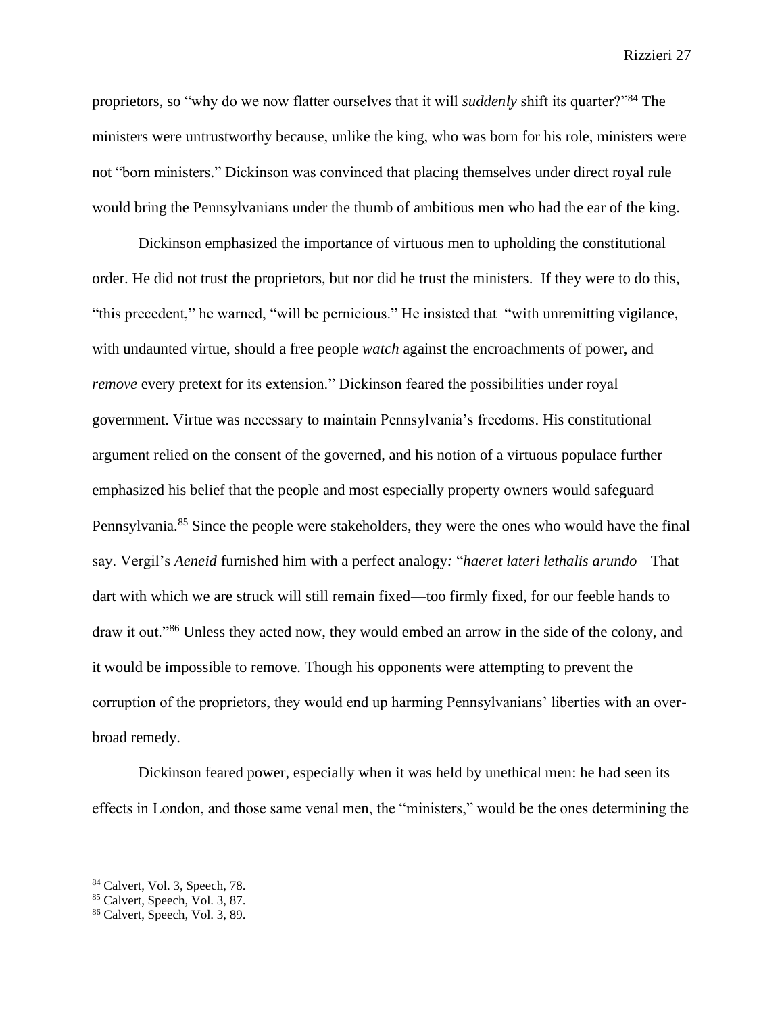proprietors, so "why do we now flatter ourselves that it will *suddenly* shift its quarter?"<sup>84</sup> The ministers were untrustworthy because, unlike the king, who was born for his role, ministers were not "born ministers." Dickinson was convinced that placing themselves under direct royal rule would bring the Pennsylvanians under the thumb of ambitious men who had the ear of the king.

Dickinson emphasized the importance of virtuous men to upholding the constitutional order. He did not trust the proprietors, but nor did he trust the ministers. If they were to do this, "this precedent," he warned, "will be pernicious." He insisted that "with unremitting vigilance, with undaunted virtue, should a free people *watch* against the encroachments of power, and *remove* every pretext for its extension." Dickinson feared the possibilities under royal government. Virtue was necessary to maintain Pennsylvania's freedoms. His constitutional argument relied on the consent of the governed, and his notion of a virtuous populace further emphasized his belief that the people and most especially property owners would safeguard Pennsylvania.<sup>85</sup> Since the people were stakeholders, they were the ones who would have the final say. Vergil's *Aeneid* furnished him with a perfect analogy*:* "*haeret lateri lethalis arundo—*That dart with which we are struck will still remain fixed—too firmly fixed, for our feeble hands to draw it out."<sup>86</sup> Unless they acted now, they would embed an arrow in the side of the colony, and it would be impossible to remove. Though his opponents were attempting to prevent the corruption of the proprietors, they would end up harming Pennsylvanians' liberties with an overbroad remedy.

Dickinson feared power, especially when it was held by unethical men: he had seen its effects in London, and those same venal men, the "ministers," would be the ones determining the

<sup>84</sup> Calvert, Vol. 3, Speech, 78.

<sup>85</sup> Calvert, Speech, Vol. 3, 87.

<sup>86</sup> Calvert, Speech, Vol. 3, 89.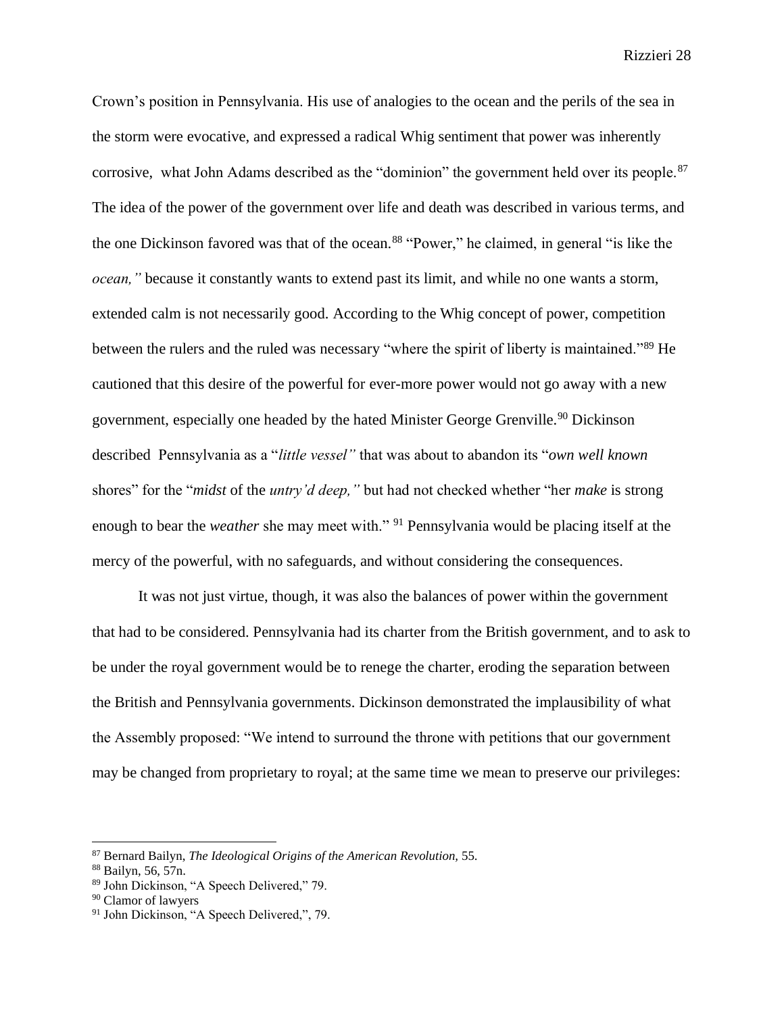Crown's position in Pennsylvania. His use of analogies to the ocean and the perils of the sea in the storm were evocative, and expressed a radical Whig sentiment that power was inherently corrosive, what John Adams described as the "dominion" the government held over its people.<sup>87</sup> The idea of the power of the government over life and death was described in various terms, and the one Dickinson favored was that of the ocean.<sup>88</sup> "Power," he claimed, in general "is like the *ocean,"* because it constantly wants to extend past its limit, and while no one wants a storm, extended calm is not necessarily good. According to the Whig concept of power, competition between the rulers and the ruled was necessary "where the spirit of liberty is maintained."<sup>89</sup> He cautioned that this desire of the powerful for ever-more power would not go away with a new government, especially one headed by the hated Minister George Grenville.<sup>90</sup> Dickinson described Pennsylvania as a "*little vessel"* that was about to abandon its "*own well known*  shores" for the "*midst* of the *untry'd deep,"* but had not checked whether "her *make* is strong enough to bear the *weather* she may meet with." <sup>91</sup> Pennsylvania would be placing itself at the mercy of the powerful, with no safeguards, and without considering the consequences.

It was not just virtue, though, it was also the balances of power within the government that had to be considered. Pennsylvania had its charter from the British government, and to ask to be under the royal government would be to renege the charter, eroding the separation between the British and Pennsylvania governments. Dickinson demonstrated the implausibility of what the Assembly proposed: "We intend to surround the throne with petitions that our government may be changed from proprietary to royal; at the same time we mean to preserve our privileges:

<sup>87</sup> Bernard Bailyn, *The Ideological Origins of the American Revolution,* 55.

<sup>88</sup> Bailyn, 56, 57n.

<sup>89</sup> John Dickinson, "A Speech Delivered," 79.

<sup>90</sup> Clamor of lawyers

<sup>&</sup>lt;sup>91</sup> John Dickinson, "A Speech Delivered,", 79.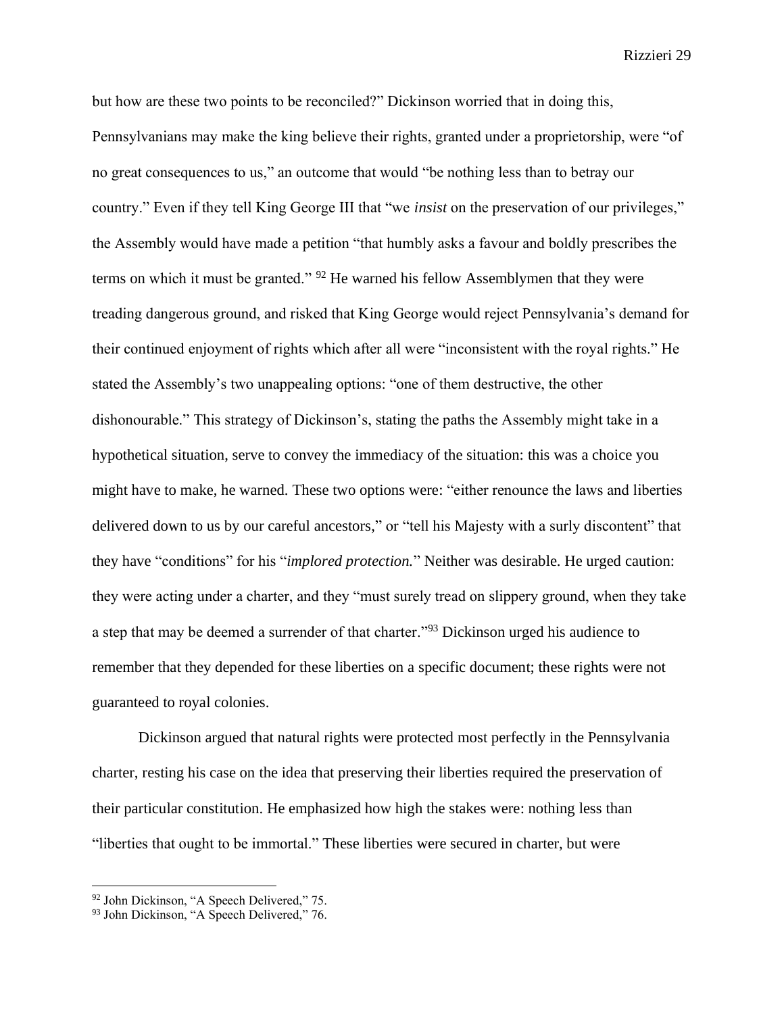but how are these two points to be reconciled?" Dickinson worried that in doing this, Pennsylvanians may make the king believe their rights, granted under a proprietorship, were "of no great consequences to us," an outcome that would "be nothing less than to betray our country." Even if they tell King George III that "we *insist* on the preservation of our privileges," the Assembly would have made a petition "that humbly asks a favour and boldly prescribes the terms on which it must be granted." <sup>92</sup> He warned his fellow Assemblymen that they were treading dangerous ground, and risked that King George would reject Pennsylvania's demand for their continued enjoyment of rights which after all were "inconsistent with the royal rights." He stated the Assembly's two unappealing options: "one of them destructive, the other dishonourable." This strategy of Dickinson's, stating the paths the Assembly might take in a hypothetical situation, serve to convey the immediacy of the situation: this was a choice you might have to make, he warned. These two options were: "either renounce the laws and liberties delivered down to us by our careful ancestors," or "tell his Majesty with a surly discontent" that they have "conditions" for his "*implored protection.*" Neither was desirable. He urged caution: they were acting under a charter, and they "must surely tread on slippery ground, when they take a step that may be deemed a surrender of that charter."<sup>93</sup> Dickinson urged his audience to remember that they depended for these liberties on a specific document; these rights were not guaranteed to royal colonies.

Dickinson argued that natural rights were protected most perfectly in the Pennsylvania charter, resting his case on the idea that preserving their liberties required the preservation of their particular constitution. He emphasized how high the stakes were: nothing less than "liberties that ought to be immortal." These liberties were secured in charter, but were

<sup>92</sup> John Dickinson, "A Speech Delivered," 75.

<sup>&</sup>lt;sup>93</sup> John Dickinson, "A Speech Delivered," 76.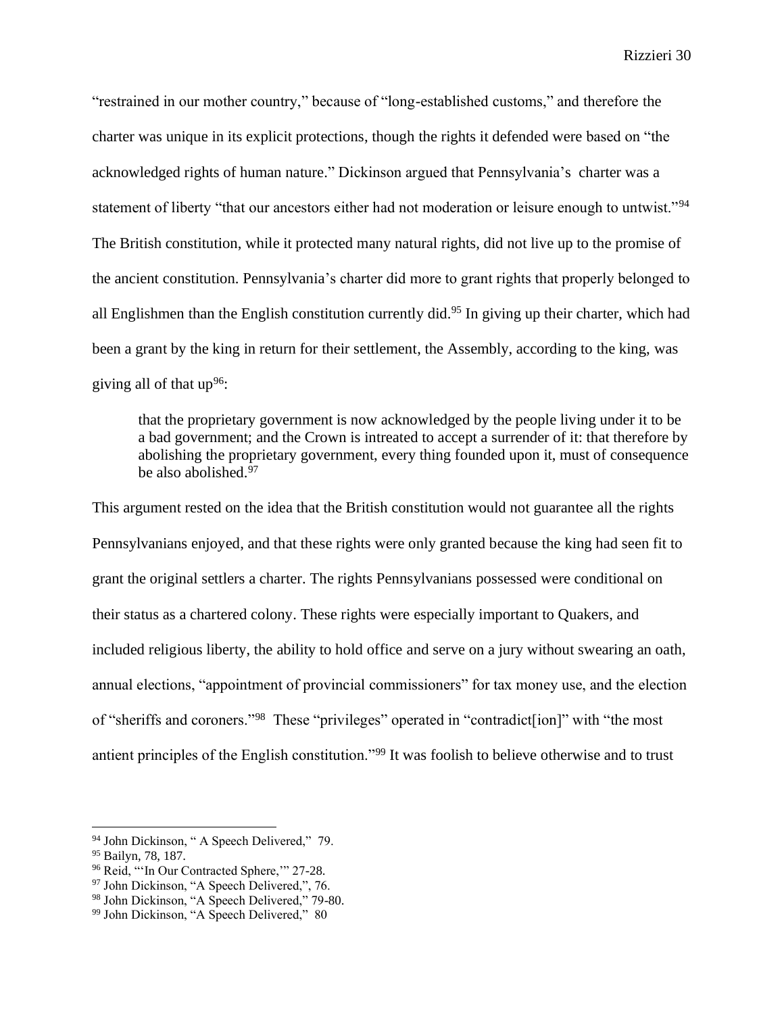"restrained in our mother country," because of "long-established customs," and therefore the charter was unique in its explicit protections, though the rights it defended were based on "the acknowledged rights of human nature." Dickinson argued that Pennsylvania's charter was a statement of liberty "that our ancestors either had not moderation or leisure enough to untwist."<sup>94</sup> The British constitution, while it protected many natural rights, did not live up to the promise of the ancient constitution. Pennsylvania's charter did more to grant rights that properly belonged to all Englishmen than the English constitution currently did.<sup>95</sup> In giving up their charter, which had been a grant by the king in return for their settlement, the Assembly, according to the king, was giving all of that  $up^{96}$ :

that the proprietary government is now acknowledged by the people living under it to be a bad government; and the Crown is intreated to accept a surrender of it: that therefore by abolishing the proprietary government, every thing founded upon it, must of consequence be also abolished.<sup>97</sup>

This argument rested on the idea that the British constitution would not guarantee all the rights Pennsylvanians enjoyed, and that these rights were only granted because the king had seen fit to grant the original settlers a charter. The rights Pennsylvanians possessed were conditional on their status as a chartered colony. These rights were especially important to Quakers, and included religious liberty, the ability to hold office and serve on a jury without swearing an oath, annual elections, "appointment of provincial commissioners" for tax money use, and the election of "sheriffs and coroners."<sup>98</sup> These "privileges" operated in "contradict[ion]" with "the most antient principles of the English constitution."<sup>99</sup> It was foolish to believe otherwise and to trust

<sup>94</sup> John Dickinson, " A Speech Delivered," 79.

<sup>95</sup> Bailyn, 78, 187.

<sup>&</sup>lt;sup>96</sup> Reid, "'In Our Contracted Sphere," 27-28.

 $^{97}$  John Dickinson, "A Speech Delivered,", 76.

<sup>98</sup> John Dickinson, "A Speech Delivered," 79-80.

<sup>99</sup> John Dickinson, "A Speech Delivered," 80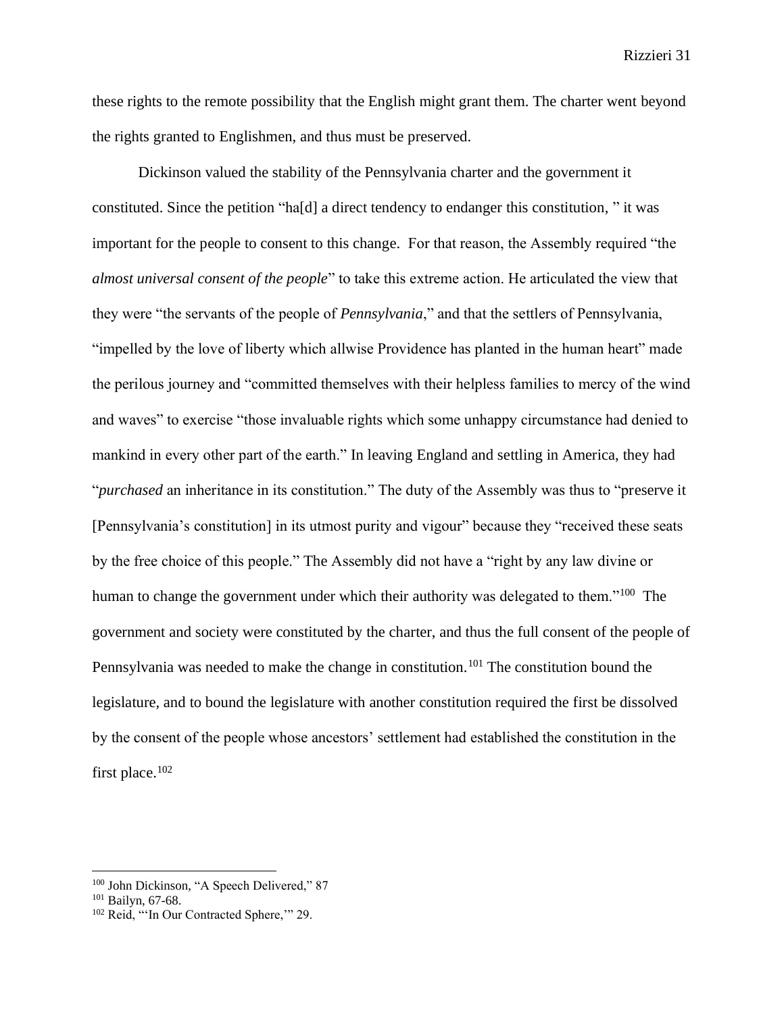these rights to the remote possibility that the English might grant them. The charter went beyond the rights granted to Englishmen, and thus must be preserved.

Dickinson valued the stability of the Pennsylvania charter and the government it constituted. Since the petition "ha[d] a direct tendency to endanger this constitution, " it was important for the people to consent to this change. For that reason, the Assembly required "the *almost universal consent of the people*" to take this extreme action. He articulated the view that they were "the servants of the people of *Pennsylvania*," and that the settlers of Pennsylvania, "impelled by the love of liberty which allwise Providence has planted in the human heart" made the perilous journey and "committed themselves with their helpless families to mercy of the wind and waves" to exercise "those invaluable rights which some unhappy circumstance had denied to mankind in every other part of the earth." In leaving England and settling in America, they had "*purchased* an inheritance in its constitution." The duty of the Assembly was thus to "preserve it [Pennsylvania's constitution] in its utmost purity and vigour" because they "received these seats by the free choice of this people." The Assembly did not have a "right by any law divine or human to change the government under which their authority was delegated to them."<sup>100</sup> The government and society were constituted by the charter, and thus the full consent of the people of Pennsylvania was needed to make the change in constitution.<sup>101</sup> The constitution bound the legislature, and to bound the legislature with another constitution required the first be dissolved by the consent of the people whose ancestors' settlement had established the constitution in the first place.<sup>102</sup>

<sup>&</sup>lt;sup>100</sup> John Dickinson, "A Speech Delivered," 87

<sup>101</sup> Bailyn, 67-68.

<sup>&</sup>lt;sup>102</sup> Reid, "'In Our Contracted Sphere," 29.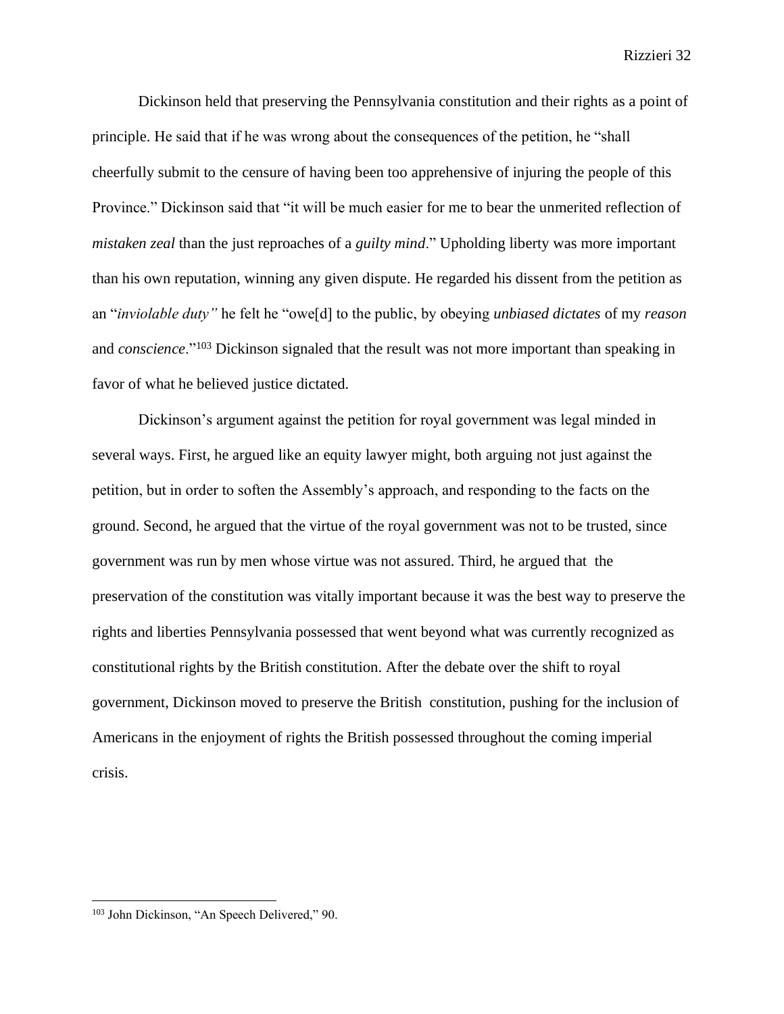Dickinson held that preserving the Pennsylvania constitution and their rights as a point of principle. He said that if he was wrong about the consequences of the petition, he "shall cheerfully submit to the censure of having been too apprehensive of injuring the people of this Province." Dickinson said that "it will be much easier for me to bear the unmerited reflection of *mistaken zeal* than the just reproaches of a *guilty mind*." Upholding liberty was more important than his own reputation, winning any given dispute. He regarded his dissent from the petition as an "*inviolable duty"* he felt he "owe[d] to the public, by obeying *unbiased dictates* of my *reason*  and *conscience*."<sup>103</sup> Dickinson signaled that the result was not more important than speaking in favor of what he believed justice dictated.

Dickinson's argument against the petition for royal government was legal minded in several ways. First, he argued like an equity lawyer might, both arguing not just against the petition, but in order to soften the Assembly's approach, and responding to the facts on the ground. Second, he argued that the virtue of the royal government was not to be trusted, since government was run by men whose virtue was not assured. Third, he argued that the preservation of the constitution was vitally important because it was the best way to preserve the rights and liberties Pennsylvania possessed that went beyond what was currently recognized as constitutional rights by the British constitution. After the debate over the shift to royal government, Dickinson moved to preserve the British constitution, pushing for the inclusion of Americans in the enjoyment of rights the British possessed throughout the coming imperial crisis.

<sup>103</sup> John Dickinson, "An Speech Delivered," 90.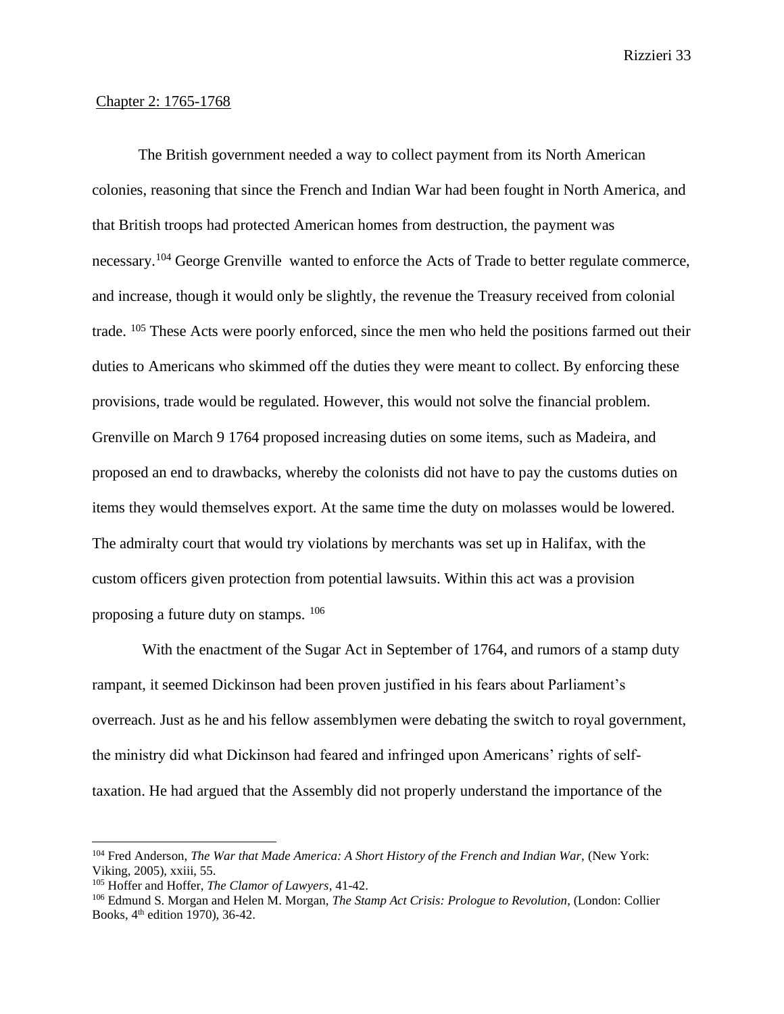### Chapter 2: 1765-1768

The British government needed a way to collect payment from its North American colonies, reasoning that since the French and Indian War had been fought in North America, and that British troops had protected American homes from destruction, the payment was necessary.<sup>104</sup> George Grenville wanted to enforce the Acts of Trade to better regulate commerce, and increase, though it would only be slightly, the revenue the Treasury received from colonial trade. <sup>105</sup> These Acts were poorly enforced, since the men who held the positions farmed out their duties to Americans who skimmed off the duties they were meant to collect. By enforcing these provisions, trade would be regulated. However, this would not solve the financial problem. Grenville on March 9 1764 proposed increasing duties on some items, such as Madeira, and proposed an end to drawbacks, whereby the colonists did not have to pay the customs duties on items they would themselves export. At the same time the duty on molasses would be lowered. The admiralty court that would try violations by merchants was set up in Halifax, with the custom officers given protection from potential lawsuits. Within this act was a provision proposing a future duty on stamps. <sup>106</sup>

With the enactment of the Sugar Act in September of 1764, and rumors of a stamp duty rampant, it seemed Dickinson had been proven justified in his fears about Parliament's overreach. Just as he and his fellow assemblymen were debating the switch to royal government, the ministry did what Dickinson had feared and infringed upon Americans' rights of selftaxation. He had argued that the Assembly did not properly understand the importance of the

<sup>&</sup>lt;sup>104</sup> Fred Anderson, *The War that Made America: A Short History of the French and Indian War, (New York:* Viking, 2005), xxiii, 55.

<sup>105</sup> Hoffer and Hoffer, *The Clamor of Lawyers*, 41-42.

<sup>106</sup> Edmund S. Morgan and Helen M. Morgan, *The Stamp Act Crisis: Prologue to Revolution*, (London: Collier Books, 4th edition 1970), 36-42.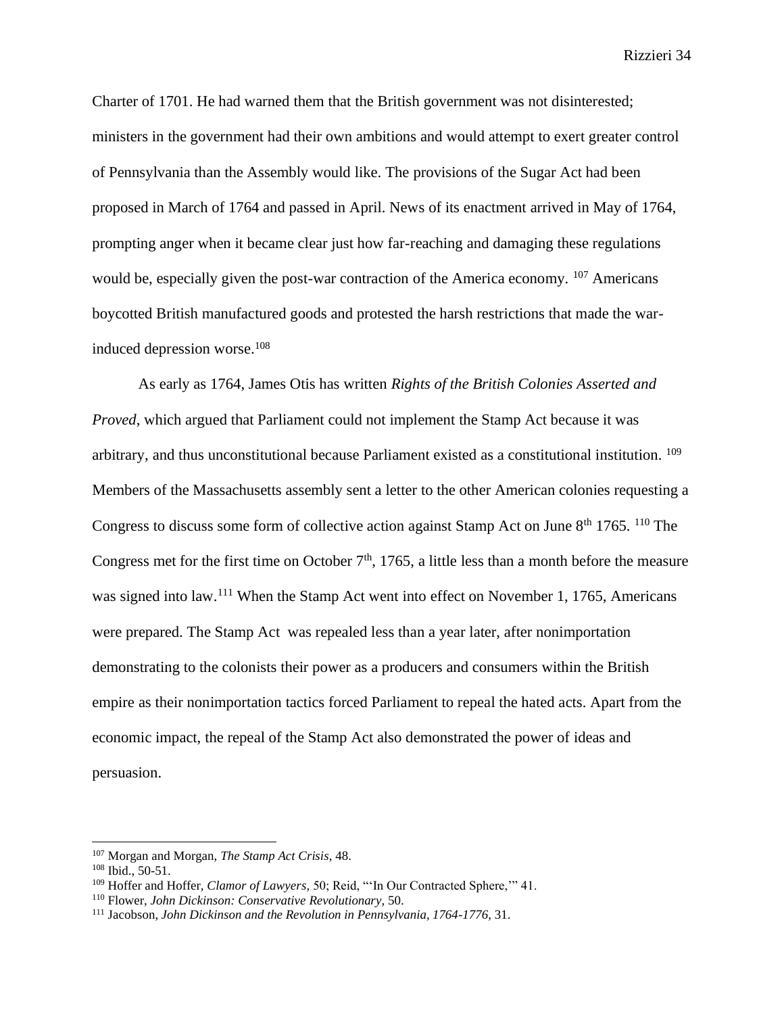Charter of 1701. He had warned them that the British government was not disinterested; ministers in the government had their own ambitions and would attempt to exert greater control of Pennsylvania than the Assembly would like. The provisions of the Sugar Act had been proposed in March of 1764 and passed in April. News of its enactment arrived in May of 1764, prompting anger when it became clear just how far-reaching and damaging these regulations would be, especially given the post-war contraction of the America economy. <sup>107</sup> Americans boycotted British manufactured goods and protested the harsh restrictions that made the warinduced depression worse.<sup>108</sup>

As early as 1764, James Otis has written *Rights of the British Colonies Asserted and Proved*, which argued that Parliament could not implement the Stamp Act because it was arbitrary, and thus unconstitutional because Parliament existed as a constitutional institution. <sup>109</sup> Members of the Massachusetts assembly sent a letter to the other American colonies requesting a Congress to discuss some form of collective action against Stamp Act on June  $8<sup>th</sup> 1765$ . <sup>110</sup> The Congress met for the first time on October  $7<sup>th</sup>$ , 1765, a little less than a month before the measure was signed into law.<sup>111</sup> When the Stamp Act went into effect on November 1, 1765, Americans were prepared. The Stamp Act was repealed less than a year later, after nonimportation demonstrating to the colonists their power as a producers and consumers within the British empire as their nonimportation tactics forced Parliament to repeal the hated acts. Apart from the economic impact, the repeal of the Stamp Act also demonstrated the power of ideas and persuasion.

<sup>107</sup> Morgan and Morgan, *The Stamp Act Crisis*, 48.

 $108$  Ibid., 50-51.

<sup>109</sup> Hoffer and Hoffer, *Clamor of Lawyers,* 50; Reid, "'In Our Contracted Sphere,'" 41.

<sup>110</sup> Flower, *John Dickinson: Conservative Revolutionary*, 50.

<sup>111</sup> Jacobson, *John Dickinson and the Revolution in Pennsylvania, 1764-1776*, 31.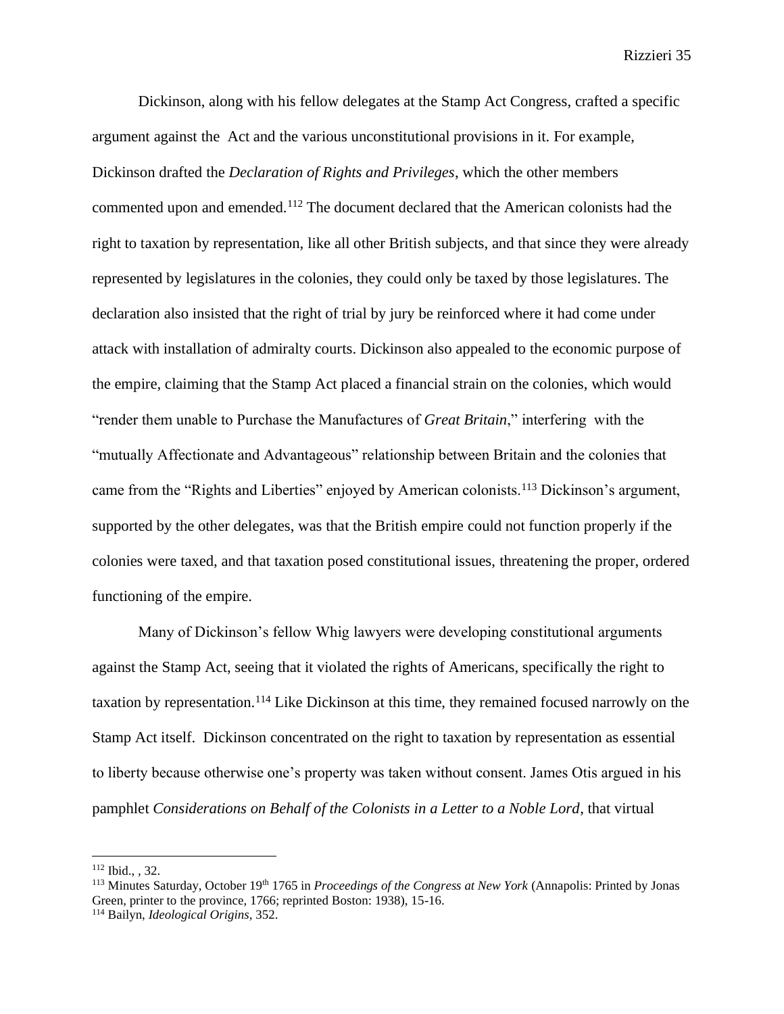Dickinson, along with his fellow delegates at the Stamp Act Congress, crafted a specific argument against the Act and the various unconstitutional provisions in it. For example, Dickinson drafted the *Declaration of Rights and Privileges*, which the other members commented upon and emended.<sup>112</sup> The document declared that the American colonists had the right to taxation by representation, like all other British subjects, and that since they were already represented by legislatures in the colonies, they could only be taxed by those legislatures. The declaration also insisted that the right of trial by jury be reinforced where it had come under attack with installation of admiralty courts. Dickinson also appealed to the economic purpose of the empire, claiming that the Stamp Act placed a financial strain on the colonies, which would "render them unable to Purchase the Manufactures of *Great Britain*," interfering with the "mutually Affectionate and Advantageous" relationship between Britain and the colonies that came from the "Rights and Liberties" enjoyed by American colonists.<sup>113</sup> Dickinson's argument, supported by the other delegates, was that the British empire could not function properly if the colonies were taxed, and that taxation posed constitutional issues, threatening the proper, ordered functioning of the empire.

Many of Dickinson's fellow Whig lawyers were developing constitutional arguments against the Stamp Act, seeing that it violated the rights of Americans, specifically the right to taxation by representation.<sup>114</sup> Like Dickinson at this time, they remained focused narrowly on the Stamp Act itself. Dickinson concentrated on the right to taxation by representation as essential to liberty because otherwise one's property was taken without consent. James Otis argued in his pamphlet *Considerations on Behalf of the Colonists in a Letter to a Noble Lord*, that virtual

<sup>112</sup> Ibid., *,* 32.

<sup>113</sup> Minutes Saturday, October 19th 1765 in *Proceedings of the Congress at New York* (Annapolis: Printed by Jonas Green, printer to the province, 1766; reprinted Boston: 1938), 15-16.

<sup>114</sup> Bailyn, *Ideological Origins*, 352.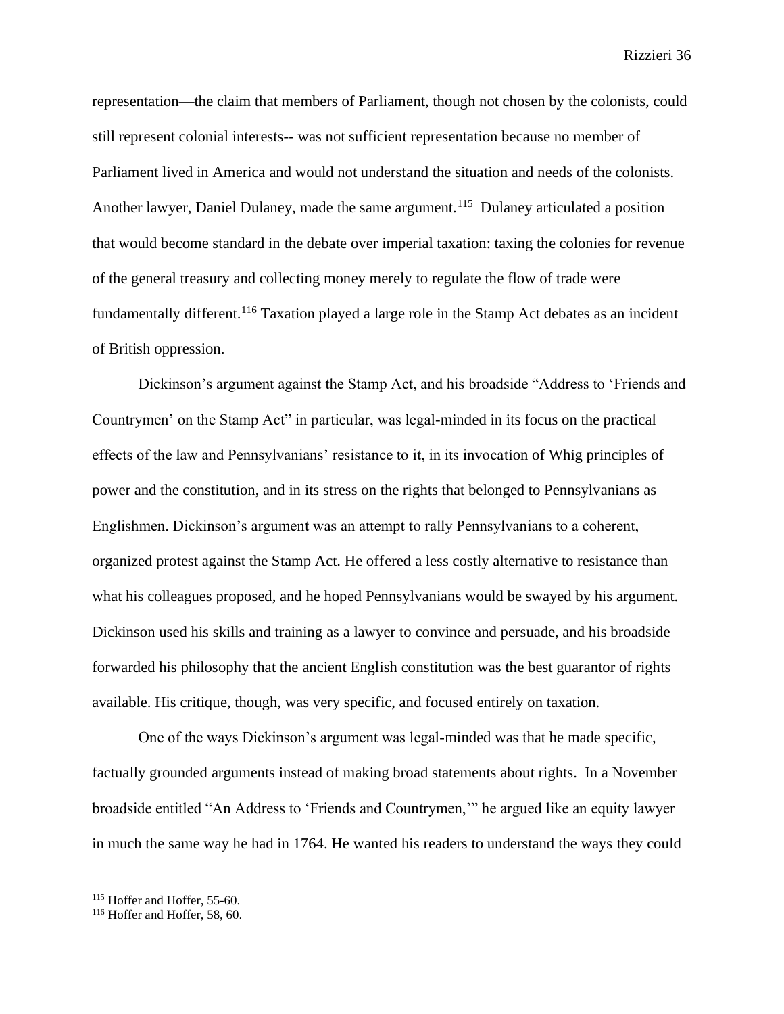representation—the claim that members of Parliament, though not chosen by the colonists, could still represent colonial interests-- was not sufficient representation because no member of Parliament lived in America and would not understand the situation and needs of the colonists. Another lawyer, Daniel Dulaney, made the same argument.<sup>115</sup> Dulaney articulated a position that would become standard in the debate over imperial taxation: taxing the colonies for revenue of the general treasury and collecting money merely to regulate the flow of trade were fundamentally different.<sup>116</sup> Taxation played a large role in the Stamp Act debates as an incident of British oppression.

Dickinson's argument against the Stamp Act, and his broadside "Address to 'Friends and Countrymen' on the Stamp Act" in particular, was legal-minded in its focus on the practical effects of the law and Pennsylvanians' resistance to it, in its invocation of Whig principles of power and the constitution, and in its stress on the rights that belonged to Pennsylvanians as Englishmen. Dickinson's argument was an attempt to rally Pennsylvanians to a coherent, organized protest against the Stamp Act. He offered a less costly alternative to resistance than what his colleagues proposed, and he hoped Pennsylvanians would be swayed by his argument. Dickinson used his skills and training as a lawyer to convince and persuade, and his broadside forwarded his philosophy that the ancient English constitution was the best guarantor of rights available. His critique, though, was very specific, and focused entirely on taxation.

One of the ways Dickinson's argument was legal-minded was that he made specific, factually grounded arguments instead of making broad statements about rights. In a November broadside entitled "An Address to 'Friends and Countrymen,'" he argued like an equity lawyer in much the same way he had in 1764. He wanted his readers to understand the ways they could

<sup>&</sup>lt;sup>115</sup> Hoffer and Hoffer, 55-60.

<sup>116</sup> Hoffer and Hoffer, 58, 60.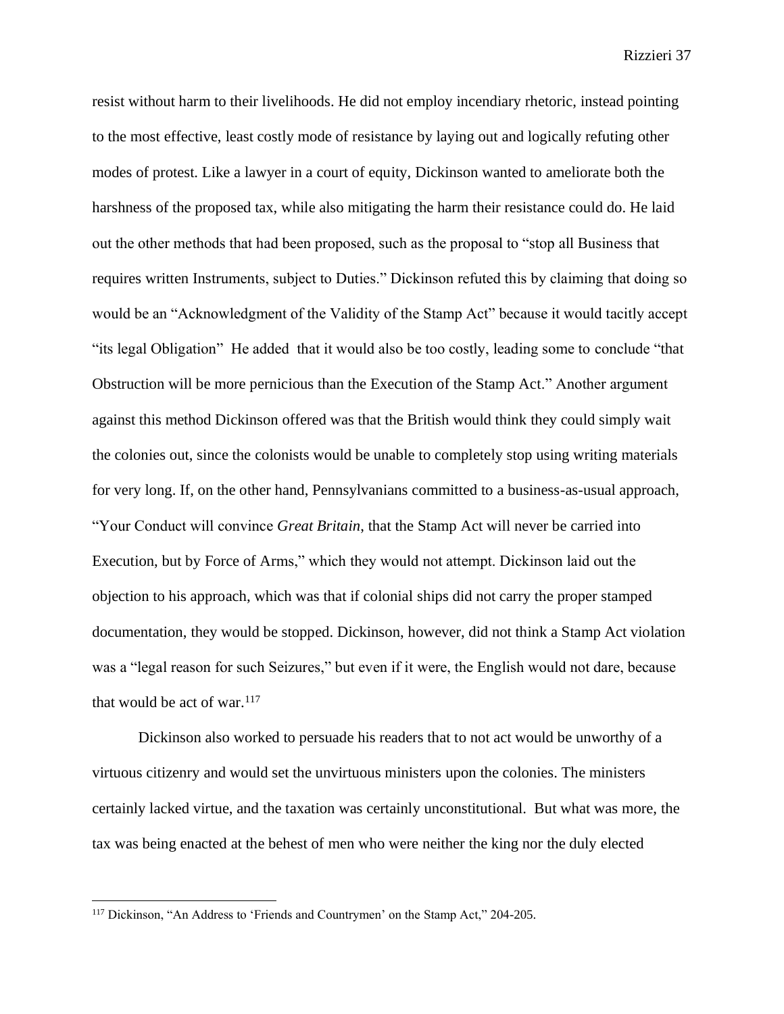resist without harm to their livelihoods. He did not employ incendiary rhetoric, instead pointing to the most effective, least costly mode of resistance by laying out and logically refuting other modes of protest. Like a lawyer in a court of equity, Dickinson wanted to ameliorate both the harshness of the proposed tax, while also mitigating the harm their resistance could do. He laid out the other methods that had been proposed, such as the proposal to "stop all Business that requires written Instruments, subject to Duties." Dickinson refuted this by claiming that doing so would be an "Acknowledgment of the Validity of the Stamp Act" because it would tacitly accept "its legal Obligation" He added that it would also be too costly, leading some to conclude "that Obstruction will be more pernicious than the Execution of the Stamp Act." Another argument against this method Dickinson offered was that the British would think they could simply wait the colonies out, since the colonists would be unable to completely stop using writing materials for very long. If, on the other hand, Pennsylvanians committed to a business-as-usual approach, "Your Conduct will convince *Great Britain*, that the Stamp Act will never be carried into Execution, but by Force of Arms," which they would not attempt. Dickinson laid out the objection to his approach, which was that if colonial ships did not carry the proper stamped documentation, they would be stopped. Dickinson, however, did not think a Stamp Act violation was a "legal reason for such Seizures," but even if it were, the English would not dare, because that would be act of war. $117$ 

Dickinson also worked to persuade his readers that to not act would be unworthy of a virtuous citizenry and would set the unvirtuous ministers upon the colonies. The ministers certainly lacked virtue, and the taxation was certainly unconstitutional. But what was more, the tax was being enacted at the behest of men who were neither the king nor the duly elected

<sup>117</sup> Dickinson, "An Address to 'Friends and Countrymen' on the Stamp Act," 204-205.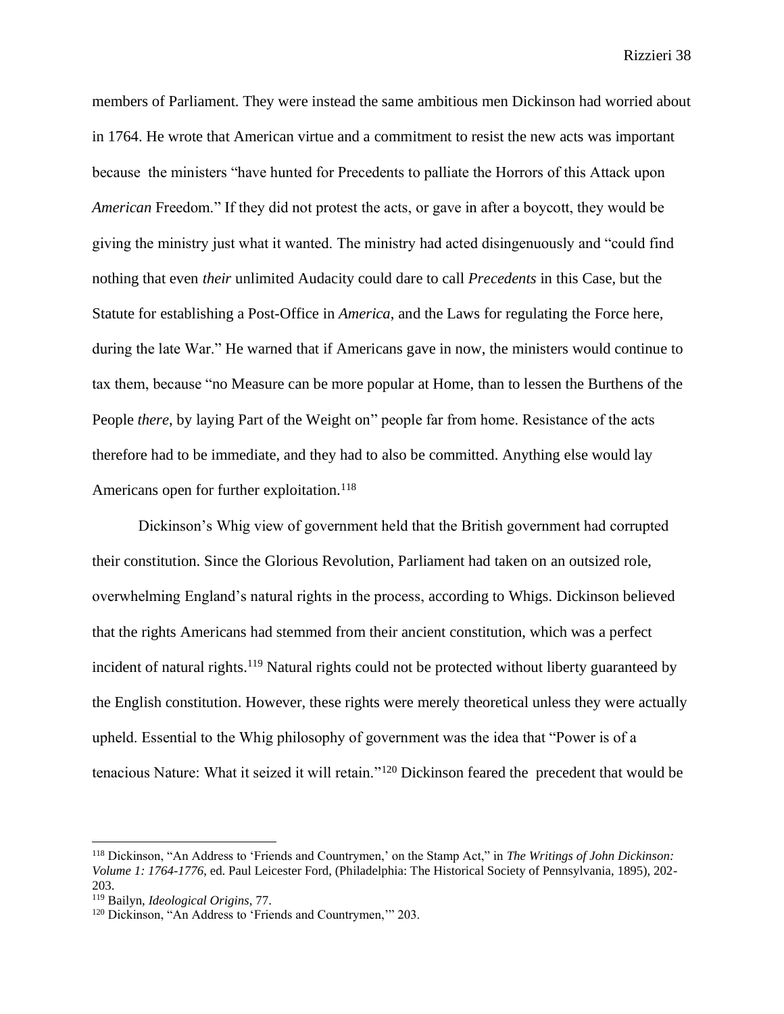members of Parliament. They were instead the same ambitious men Dickinson had worried about in 1764. He wrote that American virtue and a commitment to resist the new acts was important because the ministers "have hunted for Precedents to palliate the Horrors of this Attack upon *American* Freedom." If they did not protest the acts, or gave in after a boycott, they would be giving the ministry just what it wanted. The ministry had acted disingenuously and "could find nothing that even *their* unlimited Audacity could dare to call *Precedents* in this Case, but the Statute for establishing a Post-Office in *America*, and the Laws for regulating the Force here, during the late War." He warned that if Americans gave in now, the ministers would continue to tax them, because "no Measure can be more popular at Home, than to lessen the Burthens of the People *there*, by laying Part of the Weight on" people far from home. Resistance of the acts therefore had to be immediate, and they had to also be committed. Anything else would lay Americans open for further exploitation.<sup>118</sup>

Dickinson's Whig view of government held that the British government had corrupted their constitution. Since the Glorious Revolution, Parliament had taken on an outsized role, overwhelming England's natural rights in the process, according to Whigs. Dickinson believed that the rights Americans had stemmed from their ancient constitution, which was a perfect incident of natural rights.<sup>119</sup> Natural rights could not be protected without liberty guaranteed by the English constitution. However, these rights were merely theoretical unless they were actually upheld. Essential to the Whig philosophy of government was the idea that "Power is of a tenacious Nature: What it seized it will retain."<sup>120</sup> Dickinson feared the precedent that would be

<sup>118</sup> Dickinson, "An Address to 'Friends and Countrymen,' on the Stamp Act," in *The Writings of John Dickinson: Volume 1: 1764-1776*, ed. Paul Leicester Ford, (Philadelphia: The Historical Society of Pennsylvania, 1895), 202- 203.

<sup>119</sup> Bailyn, *Ideological Origins*, 77.

<sup>&</sup>lt;sup>120</sup> Dickinson, "An Address to 'Friends and Countrymen," 203.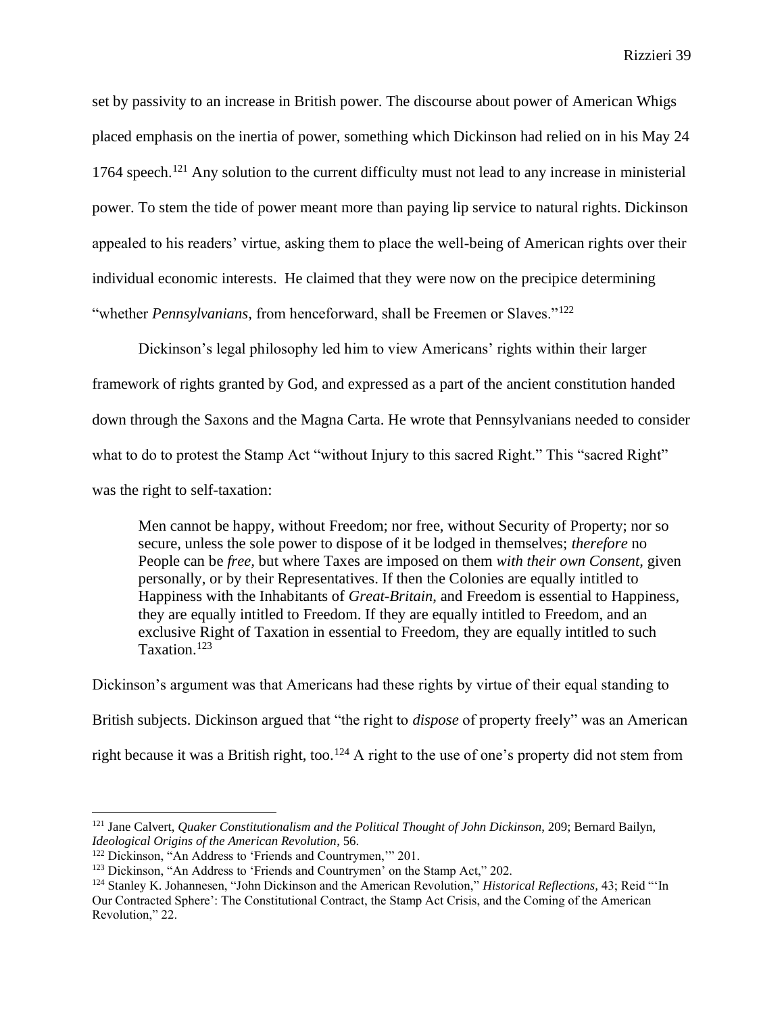set by passivity to an increase in British power. The discourse about power of American Whigs placed emphasis on the inertia of power, something which Dickinson had relied on in his May 24 1764 speech.<sup>121</sup> Any solution to the current difficulty must not lead to any increase in ministerial power. To stem the tide of power meant more than paying lip service to natural rights. Dickinson appealed to his readers' virtue, asking them to place the well-being of American rights over their individual economic interests. He claimed that they were now on the precipice determining "whether *Pennsylvanians*, from henceforward, shall be Freemen or Slaves."<sup>122</sup>

Dickinson's legal philosophy led him to view Americans' rights within their larger framework of rights granted by God, and expressed as a part of the ancient constitution handed down through the Saxons and the Magna Carta. He wrote that Pennsylvanians needed to consider what to do to protest the Stamp Act "without Injury to this sacred Right." This "sacred Right" was the right to self-taxation:

Men cannot be happy, without Freedom; nor free, without Security of Property; nor so secure, unless the sole power to dispose of it be lodged in themselves; *therefore* no People can be *free,* but where Taxes are imposed on them *with their own Consent,* given personally, or by their Representatives. If then the Colonies are equally intitled to Happiness with the Inhabitants of *Great-Britain*, and Freedom is essential to Happiness, they are equally intitled to Freedom. If they are equally intitled to Freedom, and an exclusive Right of Taxation in essential to Freedom, they are equally intitled to such Taxation.<sup>123</sup>

Dickinson's argument was that Americans had these rights by virtue of their equal standing to British subjects. Dickinson argued that "the right to *dispose* of property freely" was an American right because it was a British right, too.<sup>124</sup> A right to the use of one's property did not stem from

<sup>121</sup> Jane Calvert, *Quaker Constitutionalism and the Political Thought of John Dickinson*, 209; Bernard Bailyn, *Ideological Origins of the American Revolution*, 56.

<sup>&</sup>lt;sup>122</sup> Dickinson, "An Address to 'Friends and Countrymen," 201.

<sup>&</sup>lt;sup>123</sup> Dickinson, "An Address to 'Friends and Countrymen' on the Stamp Act," 202.

<sup>124</sup> Stanley K. Johannesen, "John Dickinson and the American Revolution," *Historical Reflections,* 43; Reid "'In Our Contracted Sphere': The Constitutional Contract, the Stamp Act Crisis, and the Coming of the American Revolution," 22.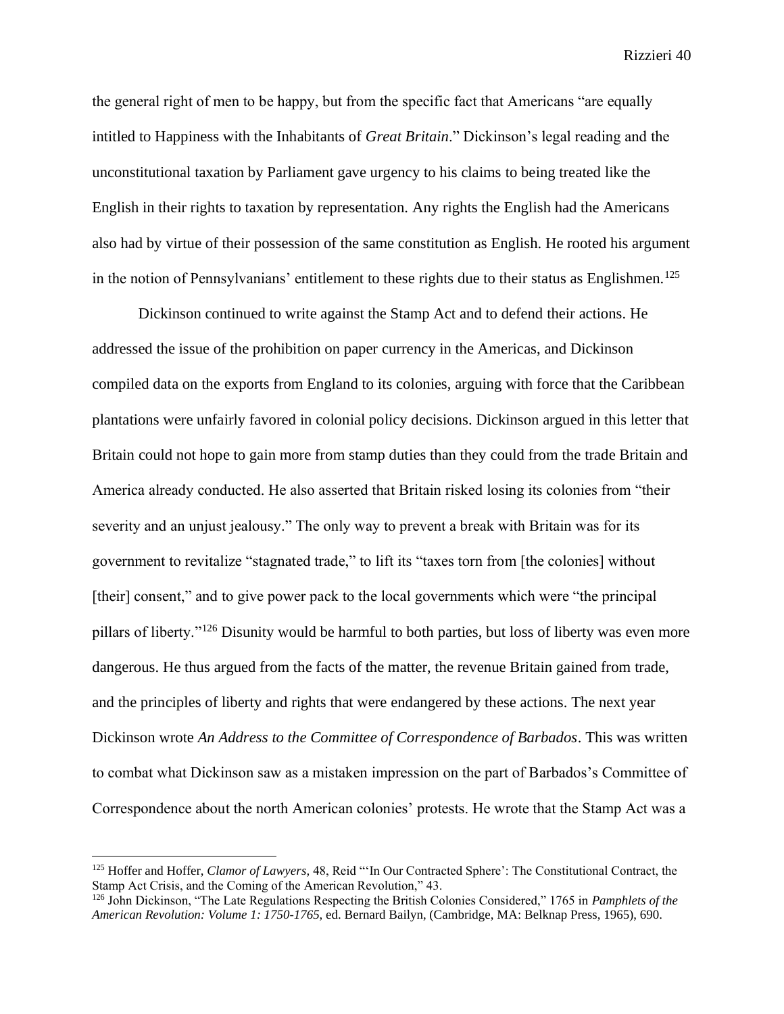the general right of men to be happy, but from the specific fact that Americans "are equally intitled to Happiness with the Inhabitants of *Great Britain*." Dickinson's legal reading and the unconstitutional taxation by Parliament gave urgency to his claims to being treated like the English in their rights to taxation by representation. Any rights the English had the Americans also had by virtue of their possession of the same constitution as English. He rooted his argument in the notion of Pennsylvanians' entitlement to these rights due to their status as Englishmen.<sup>125</sup>

Dickinson continued to write against the Stamp Act and to defend their actions. He addressed the issue of the prohibition on paper currency in the Americas, and Dickinson compiled data on the exports from England to its colonies, arguing with force that the Caribbean plantations were unfairly favored in colonial policy decisions. Dickinson argued in this letter that Britain could not hope to gain more from stamp duties than they could from the trade Britain and America already conducted. He also asserted that Britain risked losing its colonies from "their severity and an unjust jealousy." The only way to prevent a break with Britain was for its government to revitalize "stagnated trade," to lift its "taxes torn from [the colonies] without [their] consent," and to give power pack to the local governments which were "the principal" pillars of liberty."<sup>126</sup> Disunity would be harmful to both parties, but loss of liberty was even more dangerous. He thus argued from the facts of the matter, the revenue Britain gained from trade, and the principles of liberty and rights that were endangered by these actions. The next year Dickinson wrote *An Address to the Committee of Correspondence of Barbados*. This was written to combat what Dickinson saw as a mistaken impression on the part of Barbados's Committee of Correspondence about the north American colonies' protests. He wrote that the Stamp Act was a

<sup>125</sup> Hoffer and Hoffer, *Clamor of Lawyers,* 48, Reid "'In Our Contracted Sphere': The Constitutional Contract, the Stamp Act Crisis, and the Coming of the American Revolution," 43.

<sup>126</sup> John Dickinson, "The Late Regulations Respecting the British Colonies Considered," 1765 in *Pamphlets of the American Revolution: Volume 1: 1750-1765*, ed. Bernard Bailyn, (Cambridge, MA: Belknap Press, 1965), 690.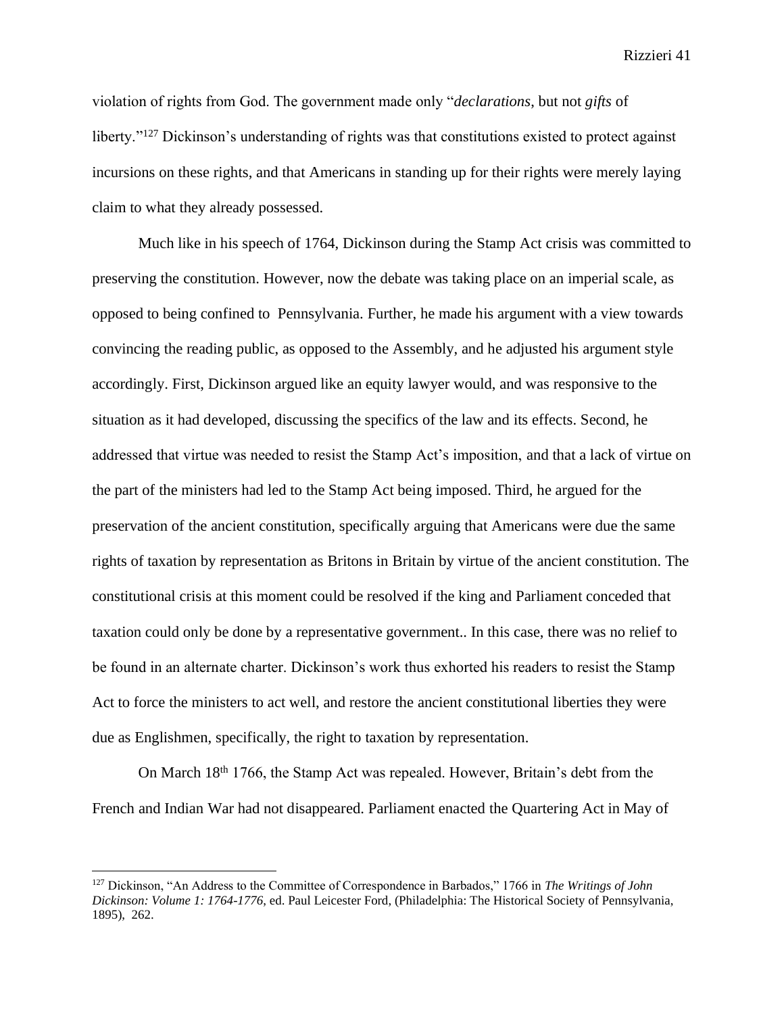violation of rights from God. The government made only "*declarations*, but not *gifts* of liberty."<sup>127</sup> Dickinson's understanding of rights was that constitutions existed to protect against incursions on these rights, and that Americans in standing up for their rights were merely laying claim to what they already possessed.

Much like in his speech of 1764, Dickinson during the Stamp Act crisis was committed to preserving the constitution. However, now the debate was taking place on an imperial scale, as opposed to being confined to Pennsylvania. Further, he made his argument with a view towards convincing the reading public, as opposed to the Assembly, and he adjusted his argument style accordingly. First, Dickinson argued like an equity lawyer would, and was responsive to the situation as it had developed, discussing the specifics of the law and its effects. Second, he addressed that virtue was needed to resist the Stamp Act's imposition, and that a lack of virtue on the part of the ministers had led to the Stamp Act being imposed. Third, he argued for the preservation of the ancient constitution, specifically arguing that Americans were due the same rights of taxation by representation as Britons in Britain by virtue of the ancient constitution. The constitutional crisis at this moment could be resolved if the king and Parliament conceded that taxation could only be done by a representative government.. In this case, there was no relief to be found in an alternate charter. Dickinson's work thus exhorted his readers to resist the Stamp Act to force the ministers to act well, and restore the ancient constitutional liberties they were due as Englishmen, specifically, the right to taxation by representation.

On March 18th 1766, the Stamp Act was repealed. However, Britain's debt from the French and Indian War had not disappeared. Parliament enacted the Quartering Act in May of

<sup>127</sup> Dickinson, "An Address to the Committee of Correspondence in Barbados," 1766 in *The Writings of John Dickinson: Volume 1: 1764-1776*, ed. Paul Leicester Ford, (Philadelphia: The Historical Society of Pennsylvania, 1895), 262.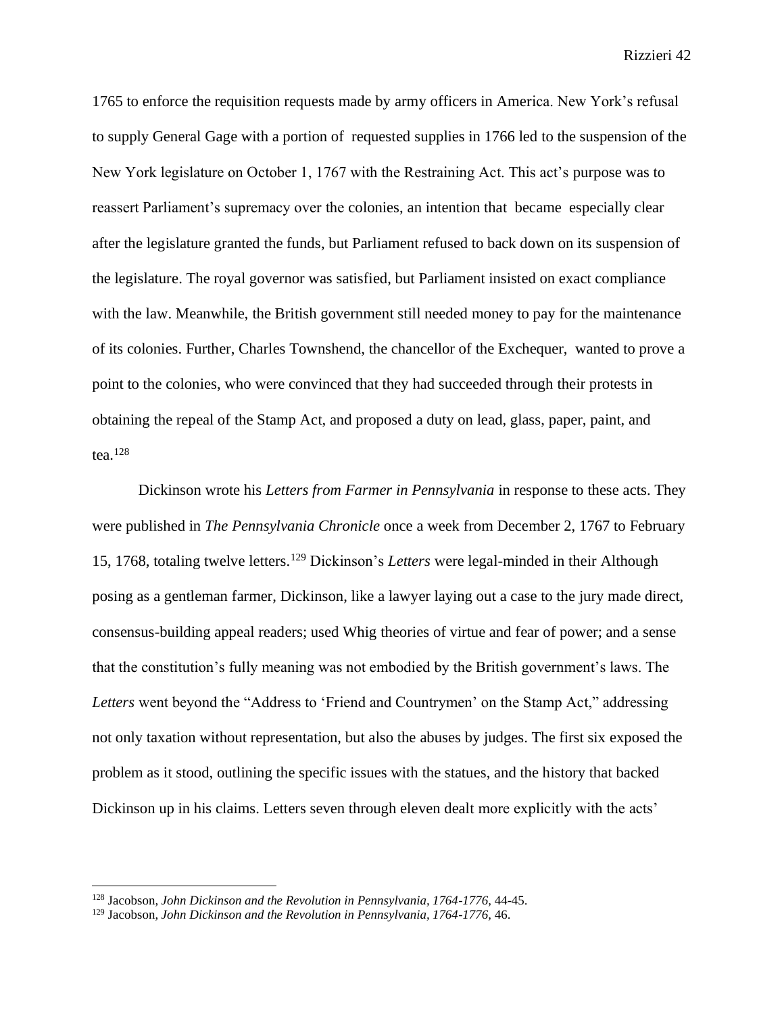1765 to enforce the requisition requests made by army officers in America. New York's refusal to supply General Gage with a portion of requested supplies in 1766 led to the suspension of the New York legislature on October 1, 1767 with the Restraining Act. This act's purpose was to reassert Parliament's supremacy over the colonies, an intention that became especially clear after the legislature granted the funds, but Parliament refused to back down on its suspension of the legislature. The royal governor was satisfied, but Parliament insisted on exact compliance with the law. Meanwhile, the British government still needed money to pay for the maintenance of its colonies. Further, Charles Townshend, the chancellor of the Exchequer, wanted to prove a point to the colonies, who were convinced that they had succeeded through their protests in obtaining the repeal of the Stamp Act, and proposed a duty on lead, glass, paper, paint, and tea. $128$ 

Dickinson wrote his *Letters from Farmer in Pennsylvania* in response to these acts. They were published in *The Pennsylvania Chronicle* once a week from December 2, 1767 to February 15, 1768, totaling twelve letters.<sup>129</sup> Dickinson's *Letters* were legal-minded in their Although posing as a gentleman farmer, Dickinson, like a lawyer laying out a case to the jury made direct, consensus-building appeal readers; used Whig theories of virtue and fear of power; and a sense that the constitution's fully meaning was not embodied by the British government's laws. The *Letters* went beyond the "Address to 'Friend and Countrymen' on the Stamp Act," addressing not only taxation without representation, but also the abuses by judges. The first six exposed the problem as it stood, outlining the specific issues with the statues, and the history that backed Dickinson up in his claims. Letters seven through eleven dealt more explicitly with the acts'

<sup>128</sup> Jacobson, *John Dickinson and the Revolution in Pennsylvania, 1764-1776,* 44-45.

<sup>129</sup> Jacobson, *John Dickinson and the Revolution in Pennsylvania, 1764-1776,* 46.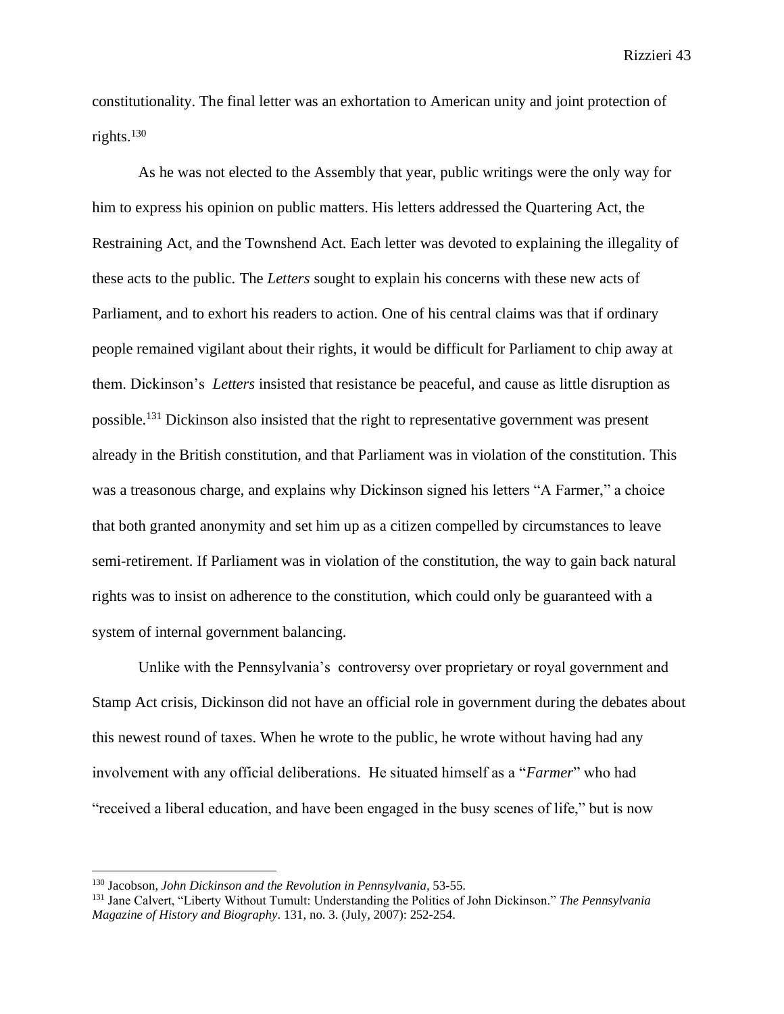constitutionality. The final letter was an exhortation to American unity and joint protection of rights.<sup>130</sup>

As he was not elected to the Assembly that year, public writings were the only way for him to express his opinion on public matters. His letters addressed the Quartering Act, the Restraining Act, and the Townshend Act. Each letter was devoted to explaining the illegality of these acts to the public. The *Letters* sought to explain his concerns with these new acts of Parliament, and to exhort his readers to action. One of his central claims was that if ordinary people remained vigilant about their rights, it would be difficult for Parliament to chip away at them. Dickinson's *Letters* insisted that resistance be peaceful, and cause as little disruption as possible.<sup>131</sup> Dickinson also insisted that the right to representative government was present already in the British constitution, and that Parliament was in violation of the constitution. This was a treasonous charge, and explains why Dickinson signed his letters "A Farmer," a choice that both granted anonymity and set him up as a citizen compelled by circumstances to leave semi-retirement. If Parliament was in violation of the constitution, the way to gain back natural rights was to insist on adherence to the constitution, which could only be guaranteed with a system of internal government balancing.

Unlike with the Pennsylvania's controversy over proprietary or royal government and Stamp Act crisis, Dickinson did not have an official role in government during the debates about this newest round of taxes. When he wrote to the public, he wrote without having had any involvement with any official deliberations. He situated himself as a "*Farmer*" who had "received a liberal education, and have been engaged in the busy scenes of life," but is now

<sup>130</sup> Jacobson, *John Dickinson and the Revolution in Pennsylvania,* 53-55.

<sup>131</sup> Jane Calvert, "Liberty Without Tumult: Understanding the Politics of John Dickinson." *The Pennsylvania Magazine of History and Biography*. 131, no. 3. (July, 2007): 252-254.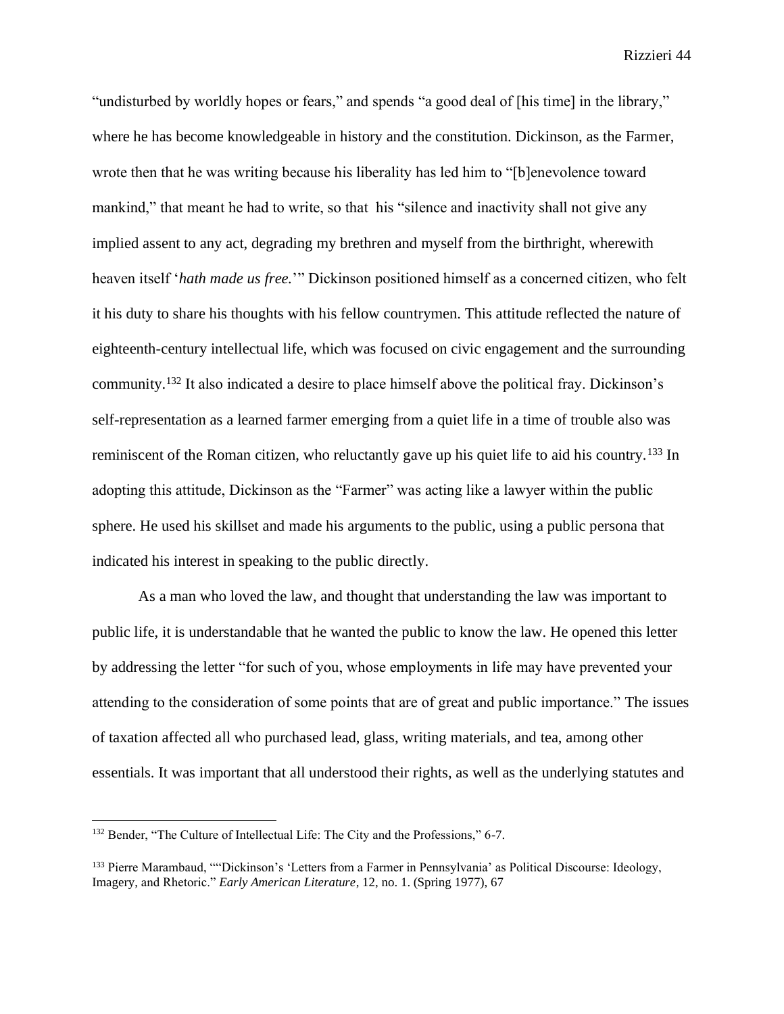"undisturbed by worldly hopes or fears," and spends "a good deal of [his time] in the library," where he has become knowledgeable in history and the constitution. Dickinson, as the Farmer, wrote then that he was writing because his liberality has led him to "[b]enevolence toward mankind," that meant he had to write, so that his "silence and inactivity shall not give any implied assent to any act, degrading my brethren and myself from the birthright, wherewith heaven itself '*hath made us free.*'" Dickinson positioned himself as a concerned citizen, who felt it his duty to share his thoughts with his fellow countrymen. This attitude reflected the nature of eighteenth-century intellectual life, which was focused on civic engagement and the surrounding community.<sup>132</sup> It also indicated a desire to place himself above the political fray. Dickinson's self-representation as a learned farmer emerging from a quiet life in a time of trouble also was reminiscent of the Roman citizen, who reluctantly gave up his quiet life to aid his country.<sup>133</sup> In adopting this attitude, Dickinson as the "Farmer" was acting like a lawyer within the public sphere. He used his skillset and made his arguments to the public, using a public persona that indicated his interest in speaking to the public directly.

As a man who loved the law, and thought that understanding the law was important to public life, it is understandable that he wanted the public to know the law. He opened this letter by addressing the letter "for such of you, whose employments in life may have prevented your attending to the consideration of some points that are of great and public importance." The issues of taxation affected all who purchased lead, glass, writing materials, and tea, among other essentials. It was important that all understood their rights, as well as the underlying statutes and

<sup>132</sup> Bender, "The Culture of Intellectual Life: The City and the Professions," 6-7.

<sup>133</sup> Pierre Marambaud, ""Dickinson's 'Letters from a Farmer in Pennsylvania' as Political Discourse: Ideology, Imagery, and Rhetoric." *Early American Literature*, 12, no. 1. (Spring 1977), 67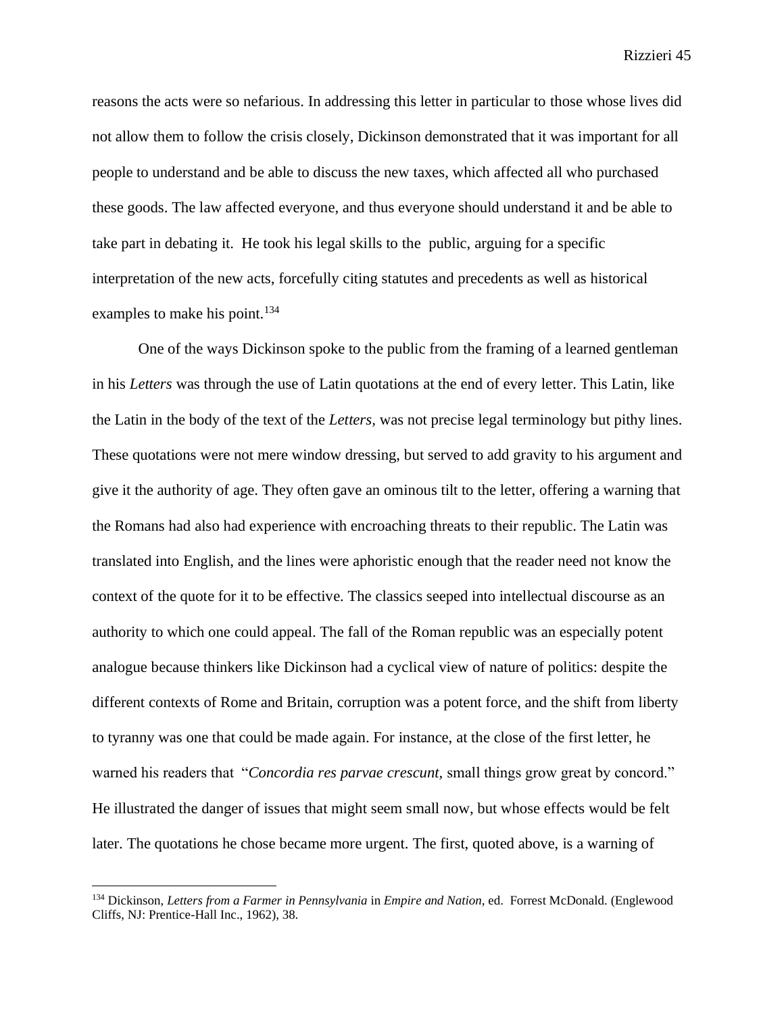reasons the acts were so nefarious. In addressing this letter in particular to those whose lives did not allow them to follow the crisis closely, Dickinson demonstrated that it was important for all people to understand and be able to discuss the new taxes, which affected all who purchased these goods. The law affected everyone, and thus everyone should understand it and be able to take part in debating it. He took his legal skills to the public, arguing for a specific interpretation of the new acts, forcefully citing statutes and precedents as well as historical examples to make his point.<sup>134</sup>

One of the ways Dickinson spoke to the public from the framing of a learned gentleman in his *Letters* was through the use of Latin quotations at the end of every letter. This Latin, like the Latin in the body of the text of the *Letters,* was not precise legal terminology but pithy lines. These quotations were not mere window dressing, but served to add gravity to his argument and give it the authority of age. They often gave an ominous tilt to the letter, offering a warning that the Romans had also had experience with encroaching threats to their republic. The Latin was translated into English, and the lines were aphoristic enough that the reader need not know the context of the quote for it to be effective. The classics seeped into intellectual discourse as an authority to which one could appeal. The fall of the Roman republic was an especially potent analogue because thinkers like Dickinson had a cyclical view of nature of politics: despite the different contexts of Rome and Britain, corruption was a potent force, and the shift from liberty to tyranny was one that could be made again. For instance, at the close of the first letter, he warned his readers that "*Concordia res parvae crescunt,* small things grow great by concord." He illustrated the danger of issues that might seem small now, but whose effects would be felt later. The quotations he chose became more urgent. The first, quoted above, is a warning of

<sup>134</sup> Dickinson, *Letters from a Farmer in Pennsylvania* in *Empire and Nation*, ed. Forrest McDonald. (Englewood Cliffs, NJ: Prentice-Hall Inc., 1962), 38.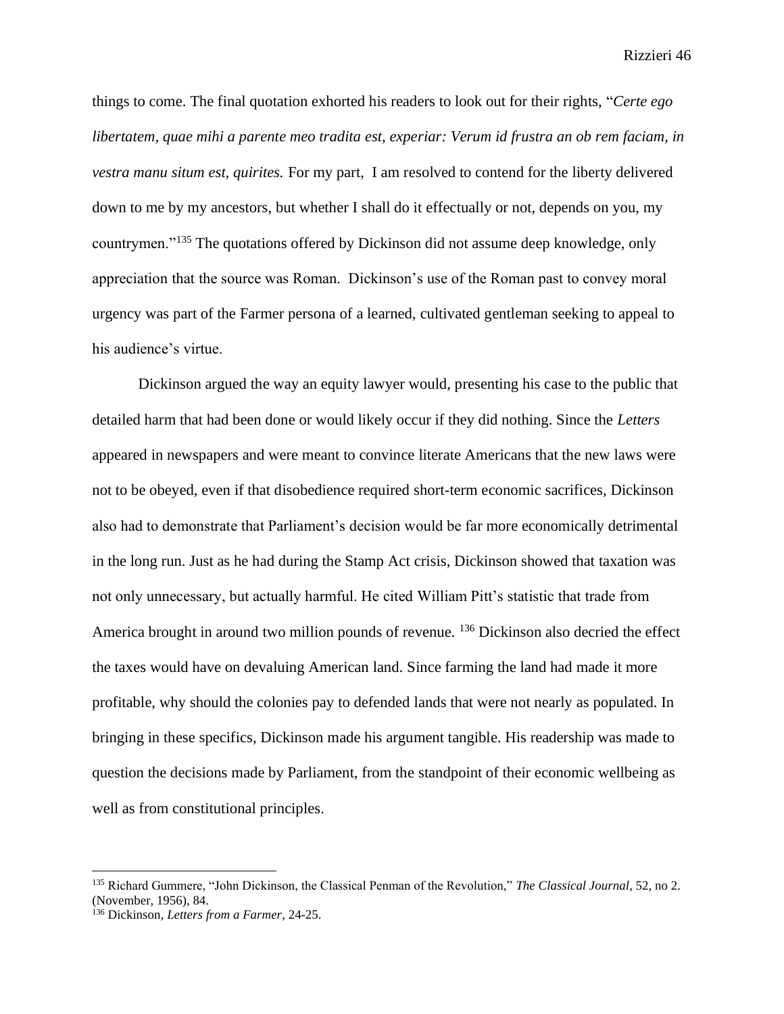things to come. The final quotation exhorted his readers to look out for their rights, "*Certe ego libertatem, quae mihi a parente meo tradita est, experiar: Verum id frustra an ob rem faciam, in vestra manu situm est, quirites.* For my part, I am resolved to contend for the liberty delivered down to me by my ancestors, but whether I shall do it effectually or not, depends on you, my countrymen."<sup>135</sup> The quotations offered by Dickinson did not assume deep knowledge, only appreciation that the source was Roman. Dickinson's use of the Roman past to convey moral urgency was part of the Farmer persona of a learned, cultivated gentleman seeking to appeal to his audience's virtue.

Dickinson argued the way an equity lawyer would, presenting his case to the public that detailed harm that had been done or would likely occur if they did nothing. Since the *Letters*  appeared in newspapers and were meant to convince literate Americans that the new laws were not to be obeyed, even if that disobedience required short-term economic sacrifices, Dickinson also had to demonstrate that Parliament's decision would be far more economically detrimental in the long run. Just as he had during the Stamp Act crisis, Dickinson showed that taxation was not only unnecessary, but actually harmful. He cited William Pitt's statistic that trade from America brought in around two million pounds of revenue. <sup>136</sup> Dickinson also decried the effect the taxes would have on devaluing American land. Since farming the land had made it more profitable, why should the colonies pay to defended lands that were not nearly as populated. In bringing in these specifics, Dickinson made his argument tangible. His readership was made to question the decisions made by Parliament, from the standpoint of their economic wellbeing as well as from constitutional principles.

<sup>135</sup> Richard Gummere, "John Dickinson, the Classical Penman of the Revolution," *The Classical Journal*, 52, no 2. (November, 1956), 84.

<sup>136</sup> Dickinson, *Letters from a Farmer*, 24-25.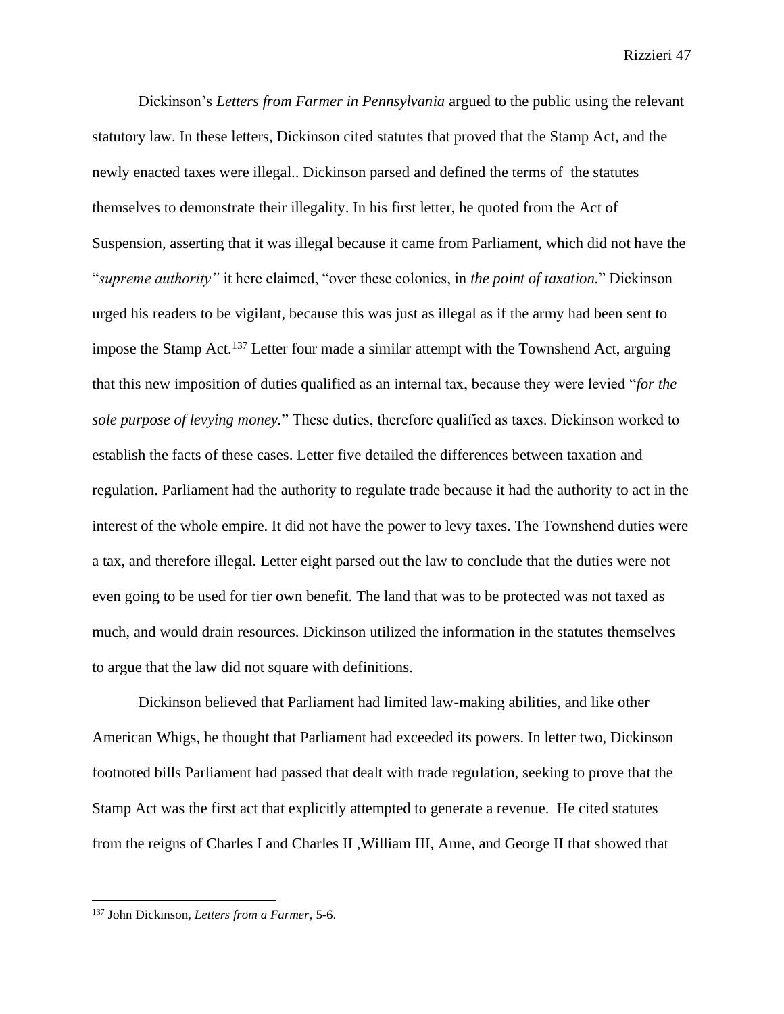Dickinson's *Letters from Farmer in Pennsylvania* argued to the public using the relevant statutory law. In these letters, Dickinson cited statutes that proved that the Stamp Act, and the newly enacted taxes were illegal.. Dickinson parsed and defined the terms of the statutes themselves to demonstrate their illegality. In his first letter, he quoted from the Act of Suspension, asserting that it was illegal because it came from Parliament, which did not have the "*supreme authority"* it here claimed, "over these colonies, in *the point of taxation.*" Dickinson urged his readers to be vigilant, because this was just as illegal as if the army had been sent to impose the Stamp Act.<sup>137</sup> Letter four made a similar attempt with the Townshend Act, arguing that this new imposition of duties qualified as an internal tax, because they were levied "*for the sole purpose of levying money.*" These duties, therefore qualified as taxes. Dickinson worked to establish the facts of these cases. Letter five detailed the differences between taxation and regulation. Parliament had the authority to regulate trade because it had the authority to act in the interest of the whole empire. It did not have the power to levy taxes. The Townshend duties were a tax, and therefore illegal. Letter eight parsed out the law to conclude that the duties were not even going to be used for tier own benefit. The land that was to be protected was not taxed as much, and would drain resources. Dickinson utilized the information in the statutes themselves to argue that the law did not square with definitions.

Dickinson believed that Parliament had limited law-making abilities, and like other American Whigs, he thought that Parliament had exceeded its powers. In letter two, Dickinson footnoted bills Parliament had passed that dealt with trade regulation, seeking to prove that the Stamp Act was the first act that explicitly attempted to generate a revenue. He cited statutes from the reigns of Charles I and Charles II ,William III, Anne, and George II that showed that

<sup>137</sup> John Dickinson, *Letters from a Farmer,* 5-6.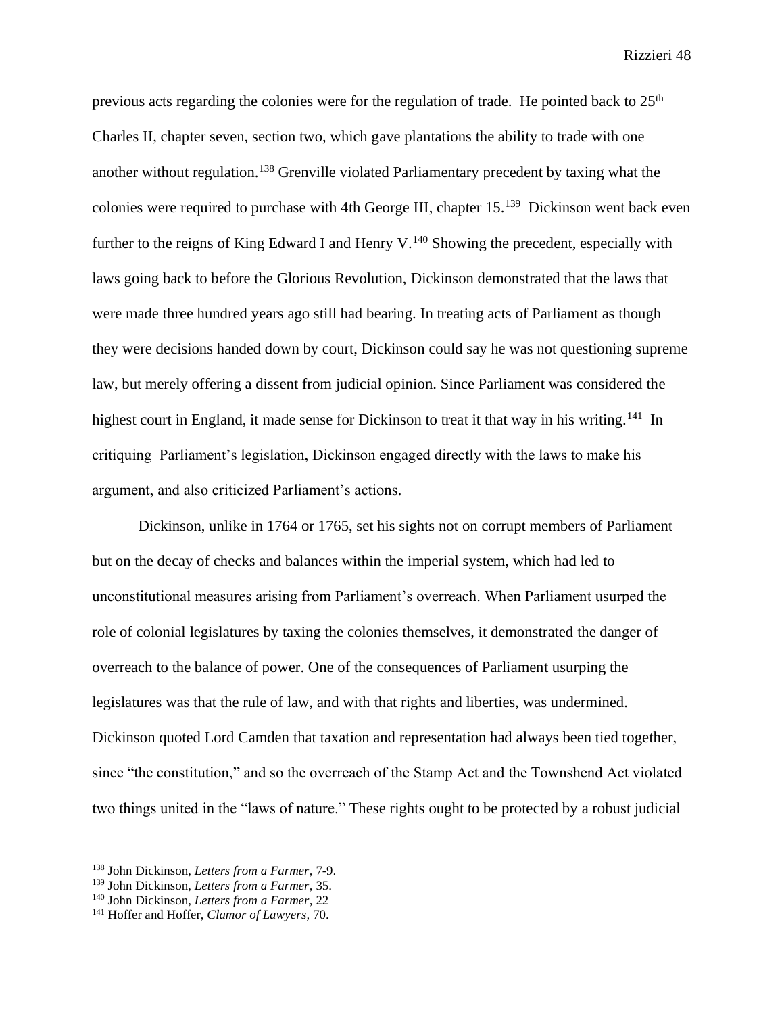previous acts regarding the colonies were for the regulation of trade. He pointed back to  $25<sup>th</sup>$ Charles II, chapter seven, section two, which gave plantations the ability to trade with one another without regulation.<sup>138</sup> Grenville violated Parliamentary precedent by taxing what the colonies were required to purchase with 4th George III, chapter 15.<sup>139</sup> Dickinson went back even further to the reigns of King Edward I and Henry V.<sup>140</sup> Showing the precedent, especially with laws going back to before the Glorious Revolution, Dickinson demonstrated that the laws that were made three hundred years ago still had bearing. In treating acts of Parliament as though they were decisions handed down by court, Dickinson could say he was not questioning supreme law, but merely offering a dissent from judicial opinion. Since Parliament was considered the highest court in England, it made sense for Dickinson to treat it that way in his writing.<sup>141</sup> In critiquing Parliament's legislation, Dickinson engaged directly with the laws to make his argument, and also criticized Parliament's actions.

Dickinson, unlike in 1764 or 1765, set his sights not on corrupt members of Parliament but on the decay of checks and balances within the imperial system, which had led to unconstitutional measures arising from Parliament's overreach. When Parliament usurped the role of colonial legislatures by taxing the colonies themselves, it demonstrated the danger of overreach to the balance of power. One of the consequences of Parliament usurping the legislatures was that the rule of law, and with that rights and liberties, was undermined. Dickinson quoted Lord Camden that taxation and representation had always been tied together, since "the constitution," and so the overreach of the Stamp Act and the Townshend Act violated two things united in the "laws of nature." These rights ought to be protected by a robust judicial

<sup>138</sup> John Dickinson, *Letters from a Farmer,* 7-9.

<sup>139</sup> John Dickinson, *Letters from a Farmer,* 35.

<sup>140</sup> John Dickinson, *Letters from a Farmer,* 22

<sup>141</sup> Hoffer and Hoffer, *Clamor of Lawyers,* 70.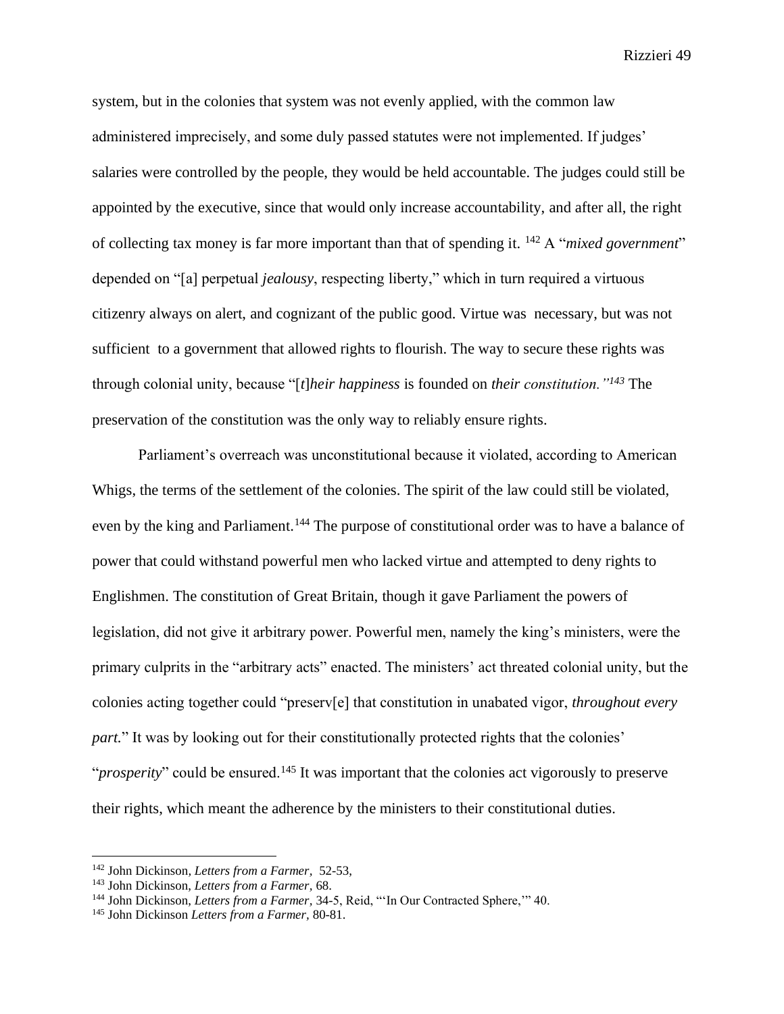system, but in the colonies that system was not evenly applied, with the common law administered imprecisely, and some duly passed statutes were not implemented. If judges' salaries were controlled by the people, they would be held accountable. The judges could still be appointed by the executive, since that would only increase accountability, and after all, the right of collecting tax money is far more important than that of spending it. <sup>142</sup> A "*mixed government*" depended on "[a] perpetual *jealousy*, respecting liberty," which in turn required a virtuous citizenry always on alert, and cognizant of the public good. Virtue was necessary, but was not sufficient to a government that allowed rights to flourish. The way to secure these rights was through colonial unity, because "[*t*]*heir happiness* is founded on *their constitution."<sup>143</sup>* The preservation of the constitution was the only way to reliably ensure rights.

Parliament's overreach was unconstitutional because it violated, according to American Whigs, the terms of the settlement of the colonies. The spirit of the law could still be violated, even by the king and Parliament.<sup>144</sup> The purpose of constitutional order was to have a balance of power that could withstand powerful men who lacked virtue and attempted to deny rights to Englishmen. The constitution of Great Britain, though it gave Parliament the powers of legislation, did not give it arbitrary power. Powerful men, namely the king's ministers, were the primary culprits in the "arbitrary acts" enacted. The ministers' act threated colonial unity, but the colonies acting together could "preserv[e] that constitution in unabated vigor, *throughout every part.*" It was by looking out for their constitutionally protected rights that the colonies' "*prosperity*" could be ensured.<sup>145</sup> It was important that the colonies act vigorously to preserve their rights, which meant the adherence by the ministers to their constitutional duties.

<sup>142</sup> John Dickinson*, Letters from a Farmer,* 52-53,

<sup>143</sup> John Dickinson, *Letters from a Farmer,* 68.

<sup>144</sup> John Dickinson, *Letters from a Farmer,* 34-5, Reid, "'In Our Contracted Sphere,'" 40.

<sup>145</sup> John Dickinson *Letters from a Farmer,* 80-81.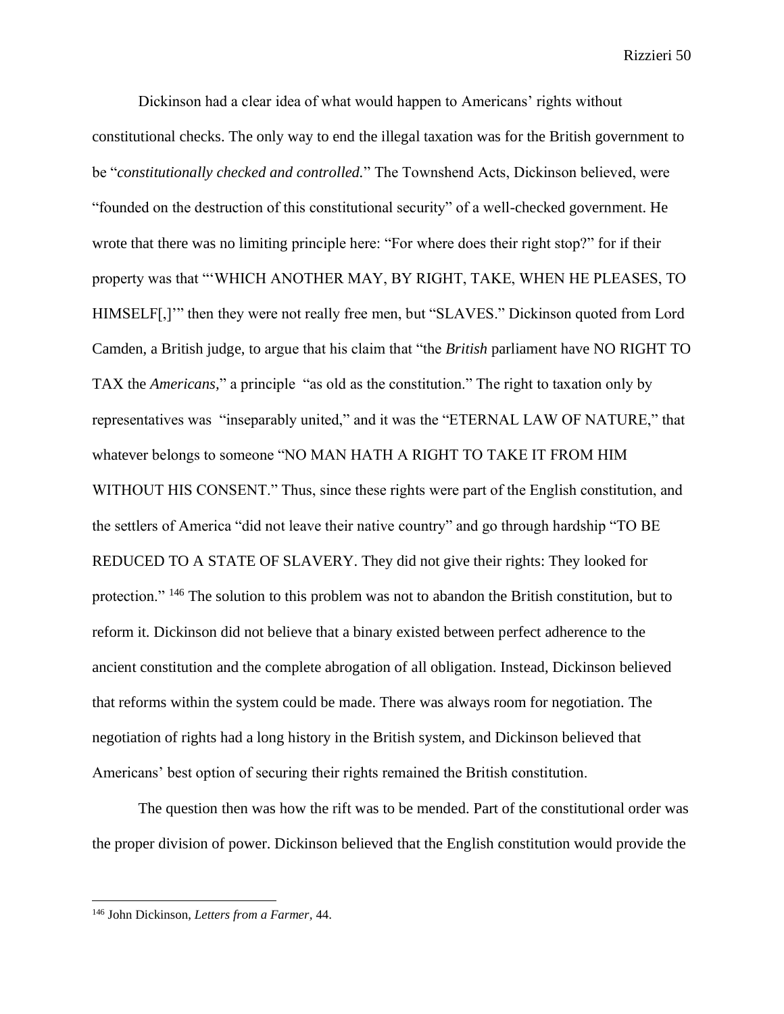Dickinson had a clear idea of what would happen to Americans' rights without constitutional checks. The only way to end the illegal taxation was for the British government to be "*constitutionally checked and controlled.*" The Townshend Acts, Dickinson believed, were "founded on the destruction of this constitutional security" of a well-checked government. He wrote that there was no limiting principle here: "For where does their right stop?" for if their property was that "'WHICH ANOTHER MAY, BY RIGHT, TAKE, WHEN HE PLEASES, TO HIMSELF[,]'" then they were not really free men, but "SLAVES." Dickinson quoted from Lord Camden, a British judge, to argue that his claim that "the *British* parliament have NO RIGHT TO TAX the *Americans,*" a principle "as old as the constitution." The right to taxation only by representatives was "inseparably united," and it was the "ETERNAL LAW OF NATURE," that whatever belongs to someone "NO MAN HATH A RIGHT TO TAKE IT FROM HIM WITHOUT HIS CONSENT." Thus, since these rights were part of the English constitution, and the settlers of America "did not leave their native country" and go through hardship "TO BE REDUCED TO A STATE OF SLAVERY. They did not give their rights: They looked for protection." <sup>146</sup> The solution to this problem was not to abandon the British constitution, but to reform it. Dickinson did not believe that a binary existed between perfect adherence to the ancient constitution and the complete abrogation of all obligation. Instead, Dickinson believed that reforms within the system could be made. There was always room for negotiation. The negotiation of rights had a long history in the British system, and Dickinson believed that Americans' best option of securing their rights remained the British constitution.

The question then was how the rift was to be mended. Part of the constitutional order was the proper division of power. Dickinson believed that the English constitution would provide the

<sup>146</sup> John Dickinson, *Letters from a Farmer,* 44.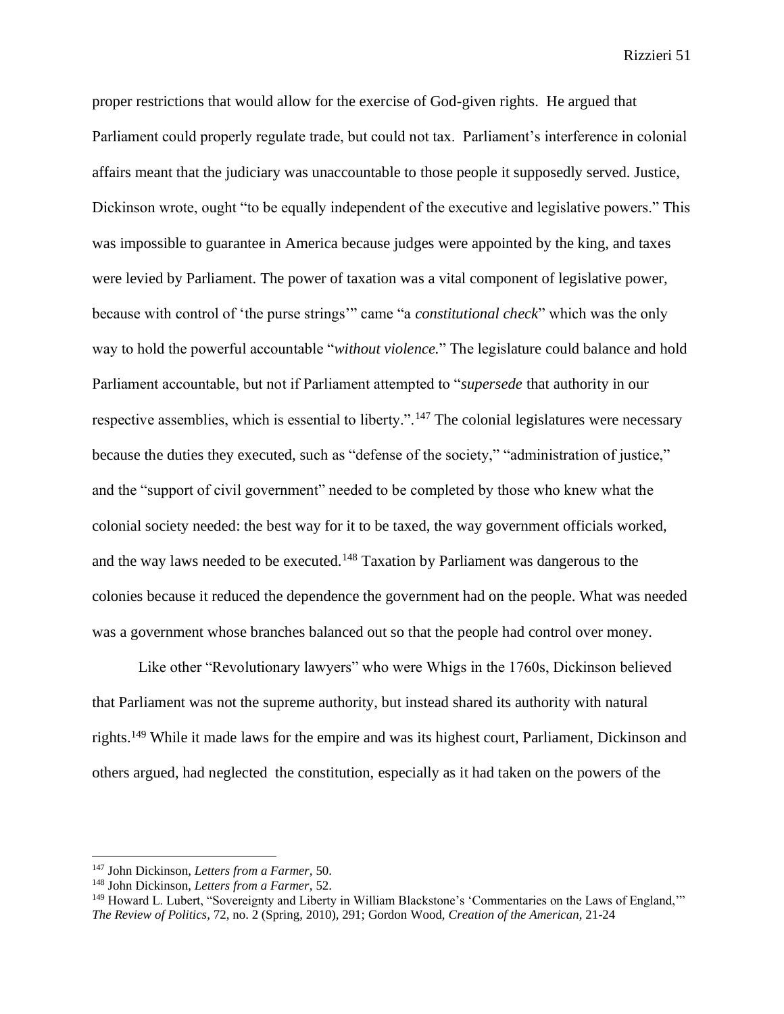proper restrictions that would allow for the exercise of God-given rights. He argued that Parliament could properly regulate trade, but could not tax. Parliament's interference in colonial affairs meant that the judiciary was unaccountable to those people it supposedly served. Justice, Dickinson wrote, ought "to be equally independent of the executive and legislative powers." This was impossible to guarantee in America because judges were appointed by the king, and taxes were levied by Parliament. The power of taxation was a vital component of legislative power, because with control of 'the purse strings'" came "a *constitutional check*" which was the only way to hold the powerful accountable "*without violence.*" The legislature could balance and hold Parliament accountable, but not if Parliament attempted to "*supersede* that authority in our respective assemblies, which is essential to liberty.".<sup>147</sup> The colonial legislatures were necessary because the duties they executed, such as "defense of the society," "administration of justice," and the "support of civil government" needed to be completed by those who knew what the colonial society needed: the best way for it to be taxed, the way government officials worked, and the way laws needed to be executed.<sup>148</sup> Taxation by Parliament was dangerous to the colonies because it reduced the dependence the government had on the people. What was needed was a government whose branches balanced out so that the people had control over money.

Like other "Revolutionary lawyers" who were Whigs in the 1760s, Dickinson believed that Parliament was not the supreme authority, but instead shared its authority with natural rights.<sup>149</sup> While it made laws for the empire and was its highest court, Parliament, Dickinson and others argued, had neglected the constitution, especially as it had taken on the powers of the

<sup>147</sup> John Dickinson, *Letters from a Farmer,* 50.

<sup>148</sup> John Dickinson, *Letters from a Farmer,* 52.

<sup>&</sup>lt;sup>149</sup> Howard L. Lubert, "Sovereignty and Liberty in William Blackstone's 'Commentaries on the Laws of England,"" *The Review of Politics,* 72, no. 2 (Spring, 2010), 291; Gordon Wood, *Creation of the American*, 21-24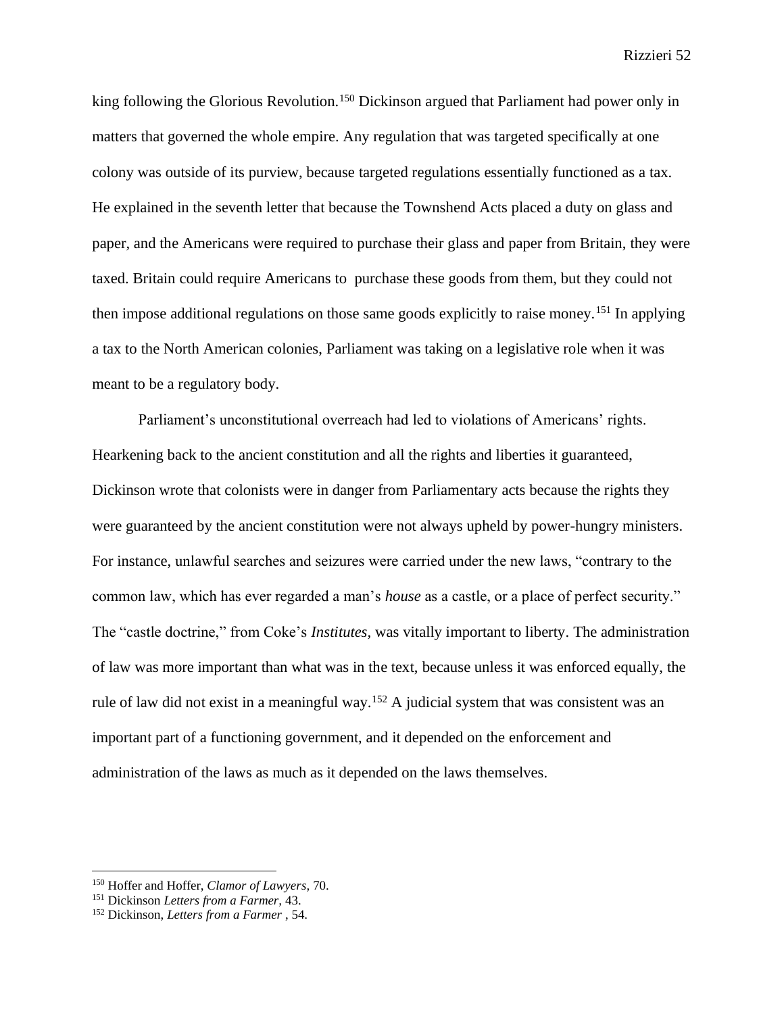king following the Glorious Revolution.<sup>150</sup> Dickinson argued that Parliament had power only in matters that governed the whole empire. Any regulation that was targeted specifically at one colony was outside of its purview, because targeted regulations essentially functioned as a tax. He explained in the seventh letter that because the Townshend Acts placed a duty on glass and paper, and the Americans were required to purchase their glass and paper from Britain, they were taxed. Britain could require Americans to purchase these goods from them, but they could not then impose additional regulations on those same goods explicitly to raise money.<sup>151</sup> In applying a tax to the North American colonies, Parliament was taking on a legislative role when it was meant to be a regulatory body.

Parliament's unconstitutional overreach had led to violations of Americans' rights. Hearkening back to the ancient constitution and all the rights and liberties it guaranteed, Dickinson wrote that colonists were in danger from Parliamentary acts because the rights they were guaranteed by the ancient constitution were not always upheld by power-hungry ministers. For instance, unlawful searches and seizures were carried under the new laws, "contrary to the common law, which has ever regarded a man's *house* as a castle, or a place of perfect security." The "castle doctrine," from Coke's *Institutes,* was vitally important to liberty. The administration of law was more important than what was in the text, because unless it was enforced equally, the rule of law did not exist in a meaningful way.<sup>152</sup> A judicial system that was consistent was an important part of a functioning government, and it depended on the enforcement and administration of the laws as much as it depended on the laws themselves.

<sup>150</sup> Hoffer and Hoffer, *Clamor of Lawyers,* 70.

<sup>151</sup> Dickinson *Letters from a Farmer,* 43.

<sup>152</sup> Dickinson, *Letters from a Farmer* , 54.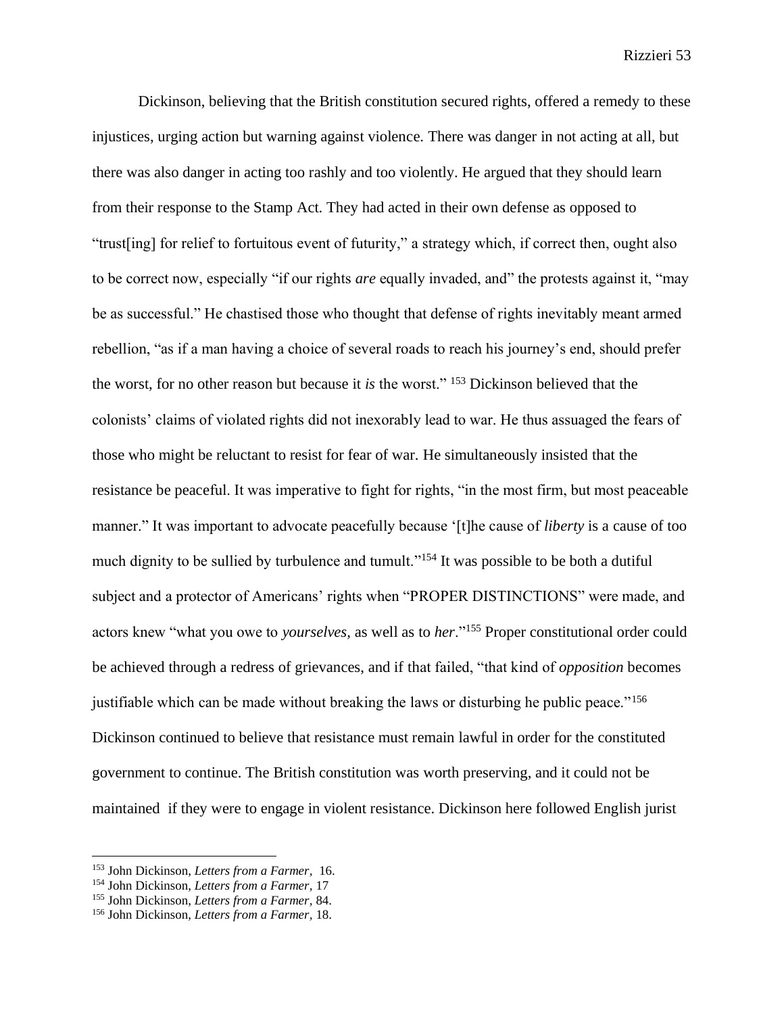Dickinson, believing that the British constitution secured rights, offered a remedy to these injustices, urging action but warning against violence. There was danger in not acting at all, but there was also danger in acting too rashly and too violently. He argued that they should learn from their response to the Stamp Act. They had acted in their own defense as opposed to "trust[ing] for relief to fortuitous event of futurity," a strategy which, if correct then, ought also to be correct now, especially "if our rights *are* equally invaded, and" the protests against it, "may be as successful." He chastised those who thought that defense of rights inevitably meant armed rebellion, "as if a man having a choice of several roads to reach his journey's end, should prefer the worst, for no other reason but because it *is* the worst." <sup>153</sup> Dickinson believed that the colonists' claims of violated rights did not inexorably lead to war. He thus assuaged the fears of those who might be reluctant to resist for fear of war. He simultaneously insisted that the resistance be peaceful. It was imperative to fight for rights, "in the most firm, but most peaceable manner." It was important to advocate peacefully because '[t]he cause of *liberty* is a cause of too much dignity to be sullied by turbulence and tumult."<sup>154</sup> It was possible to be both a dutiful subject and a protector of Americans' rights when "PROPER DISTINCTIONS" were made, and actors knew "what you owe to *yourselves,* as well as to *her*."<sup>155</sup> Proper constitutional order could be achieved through a redress of grievances, and if that failed, "that kind of *opposition* becomes justifiable which can be made without breaking the laws or disturbing he public peace."<sup>156</sup> Dickinson continued to believe that resistance must remain lawful in order for the constituted government to continue. The British constitution was worth preserving, and it could not be maintained if they were to engage in violent resistance. Dickinson here followed English jurist

<sup>153</sup> John Dickinson, *Letters from a Farmer,* 16.

<sup>154</sup> John Dickinson, *Letters from a Farmer,* 17

<sup>155</sup> John Dickinson, *Letters from a Farmer,* 84.

<sup>156</sup> John Dickinson, *Letters from a Farmer,* 18.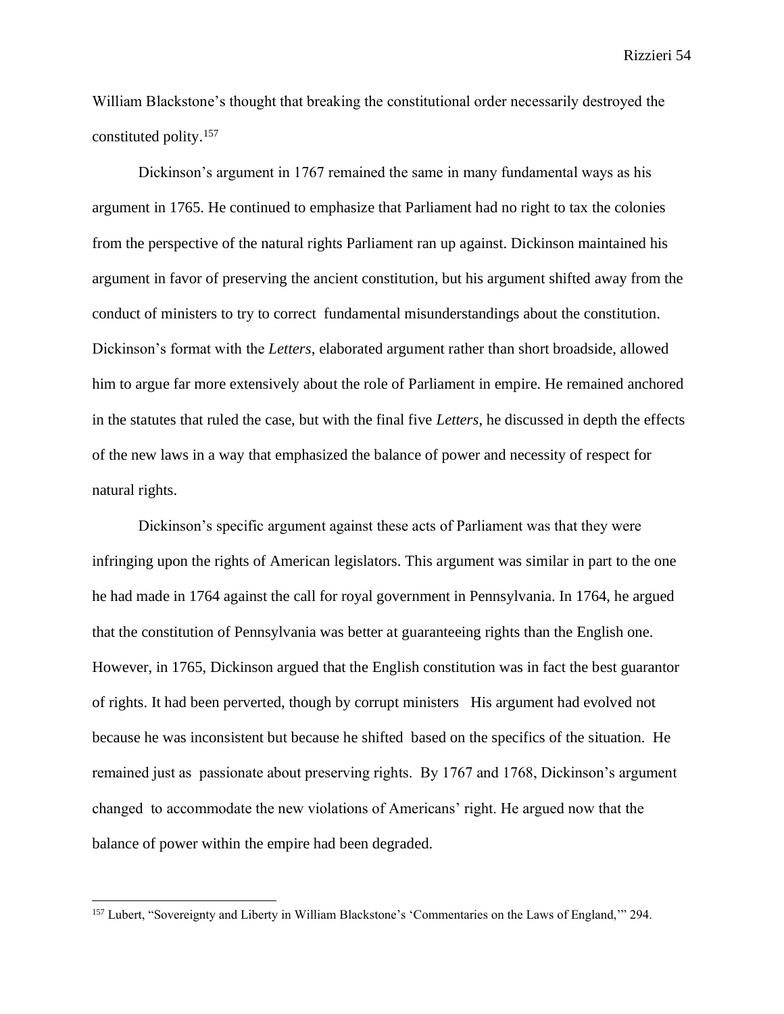William Blackstone's thought that breaking the constitutional order necessarily destroyed the constituted polity.<sup>157</sup>

Dickinson's argument in 1767 remained the same in many fundamental ways as his argument in 1765. He continued to emphasize that Parliament had no right to tax the colonies from the perspective of the natural rights Parliament ran up against. Dickinson maintained his argument in favor of preserving the ancient constitution, but his argument shifted away from the conduct of ministers to try to correct fundamental misunderstandings about the constitution. Dickinson's format with the *Letters*, elaborated argument rather than short broadside, allowed him to argue far more extensively about the role of Parliament in empire. He remained anchored in the statutes that ruled the case, but with the final five *Letters*, he discussed in depth the effects of the new laws in a way that emphasized the balance of power and necessity of respect for natural rights.

Dickinson's specific argument against these acts of Parliament was that they were infringing upon the rights of American legislators. This argument was similar in part to the one he had made in 1764 against the call for royal government in Pennsylvania. In 1764, he argued that the constitution of Pennsylvania was better at guaranteeing rights than the English one. However, in 1765, Dickinson argued that the English constitution was in fact the best guarantor of rights. It had been perverted, though by corrupt ministers His argument had evolved not because he was inconsistent but because he shifted based on the specifics of the situation. He remained just as passionate about preserving rights. By 1767 and 1768, Dickinson's argument changed to accommodate the new violations of Americans' right. He argued now that the balance of power within the empire had been degraded.

<sup>157</sup> Lubert, "Sovereignty and Liberty in William Blackstone's 'Commentaries on the Laws of England,'" 294.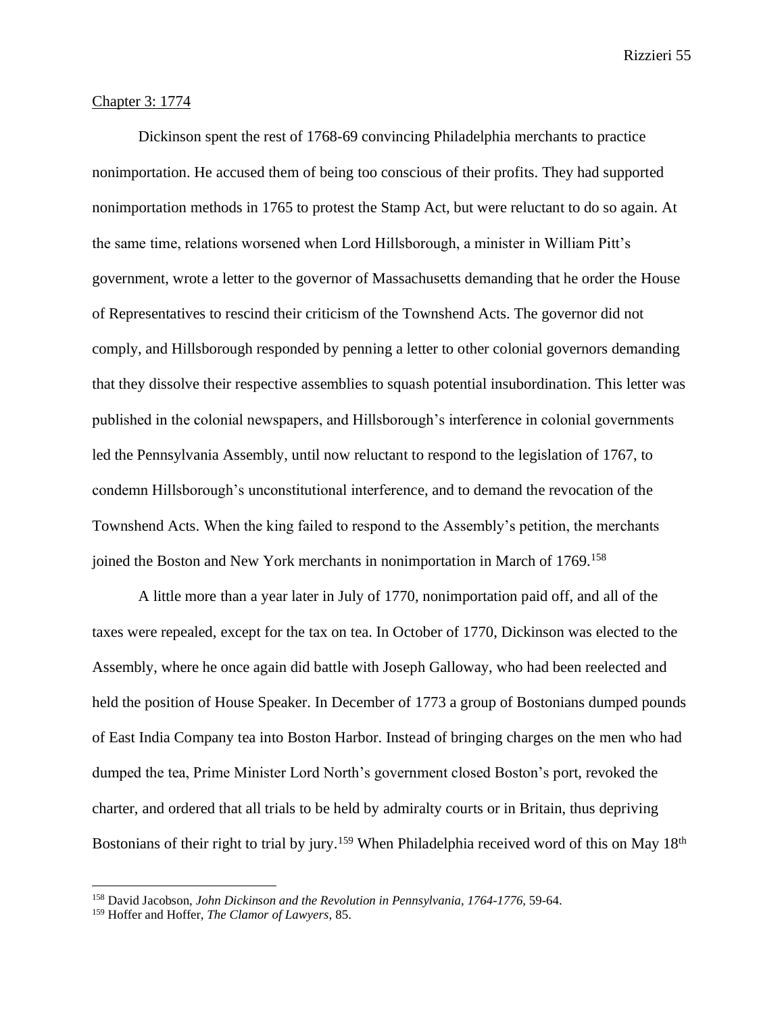## Chapter 3: 1774

Dickinson spent the rest of 1768-69 convincing Philadelphia merchants to practice nonimportation. He accused them of being too conscious of their profits. They had supported nonimportation methods in 1765 to protest the Stamp Act, but were reluctant to do so again. At the same time, relations worsened when Lord Hillsborough, a minister in William Pitt's government, wrote a letter to the governor of Massachusetts demanding that he order the House of Representatives to rescind their criticism of the Townshend Acts. The governor did not comply, and Hillsborough responded by penning a letter to other colonial governors demanding that they dissolve their respective assemblies to squash potential insubordination. This letter was published in the colonial newspapers, and Hillsborough's interference in colonial governments led the Pennsylvania Assembly, until now reluctant to respond to the legislation of 1767, to condemn Hillsborough's unconstitutional interference, and to demand the revocation of the Townshend Acts. When the king failed to respond to the Assembly's petition, the merchants joined the Boston and New York merchants in nonimportation in March of 1769.<sup>158</sup>

A little more than a year later in July of 1770, nonimportation paid off, and all of the taxes were repealed, except for the tax on tea. In October of 1770, Dickinson was elected to the Assembly, where he once again did battle with Joseph Galloway, who had been reelected and held the position of House Speaker. In December of 1773 a group of Bostonians dumped pounds of East India Company tea into Boston Harbor. Instead of bringing charges on the men who had dumped the tea, Prime Minister Lord North's government closed Boston's port, revoked the charter, and ordered that all trials to be held by admiralty courts or in Britain, thus depriving Bostonians of their right to trial by jury.<sup>159</sup> When Philadelphia received word of this on May 18<sup>th</sup>

<sup>158</sup> David Jacobson, *John Dickinson and the Revolution in Pennsylvania, 1764-1776,* 59-64.

<sup>159</sup> Hoffer and Hoffer, *The Clamor of Lawyers,* 85.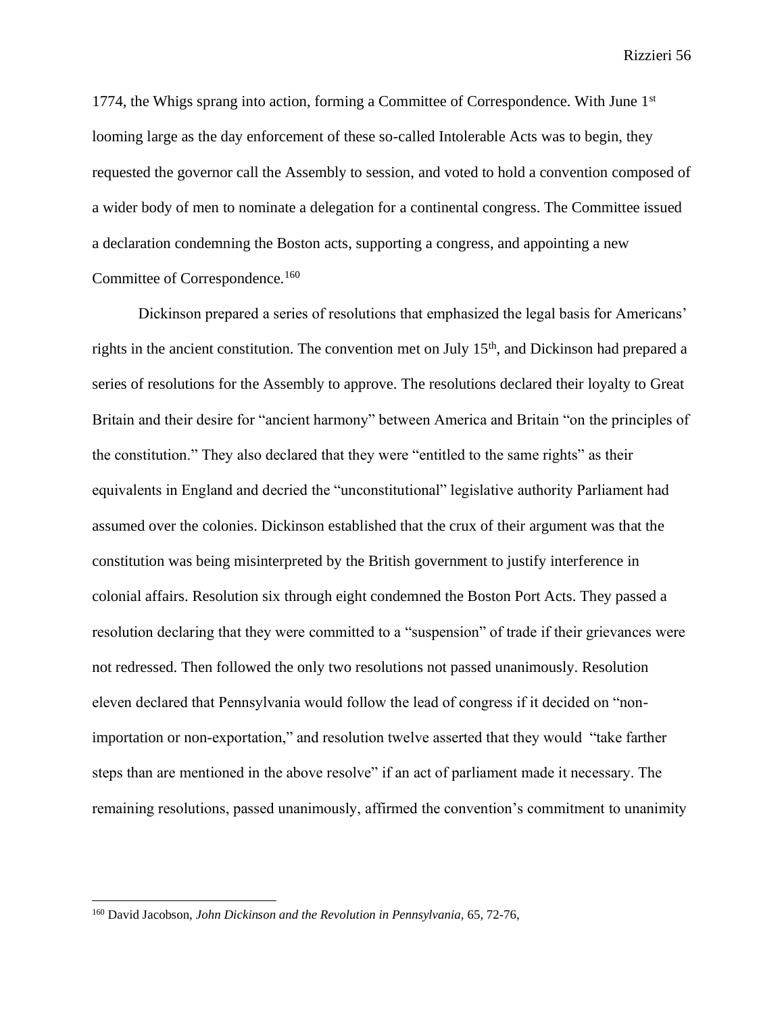1774, the Whigs sprang into action, forming a Committee of Correspondence. With June  $1<sup>st</sup>$ looming large as the day enforcement of these so-called Intolerable Acts was to begin, they requested the governor call the Assembly to session, and voted to hold a convention composed of a wider body of men to nominate a delegation for a continental congress. The Committee issued a declaration condemning the Boston acts, supporting a congress, and appointing a new Committee of Correspondence.<sup>160</sup>

Dickinson prepared a series of resolutions that emphasized the legal basis for Americans' rights in the ancient constitution. The convention met on July 15<sup>th</sup>, and Dickinson had prepared a series of resolutions for the Assembly to approve. The resolutions declared their loyalty to Great Britain and their desire for "ancient harmony" between America and Britain "on the principles of the constitution." They also declared that they were "entitled to the same rights" as their equivalents in England and decried the "unconstitutional" legislative authority Parliament had assumed over the colonies. Dickinson established that the crux of their argument was that the constitution was being misinterpreted by the British government to justify interference in colonial affairs. Resolution six through eight condemned the Boston Port Acts. They passed a resolution declaring that they were committed to a "suspension" of trade if their grievances were not redressed. Then followed the only two resolutions not passed unanimously. Resolution eleven declared that Pennsylvania would follow the lead of congress if it decided on "nonimportation or non-exportation," and resolution twelve asserted that they would "take farther steps than are mentioned in the above resolve" if an act of parliament made it necessary. The remaining resolutions, passed unanimously, affirmed the convention's commitment to unanimity

<sup>160</sup> David Jacobson, *John Dickinson and the Revolution in Pennsylvania,* 65, 72-76,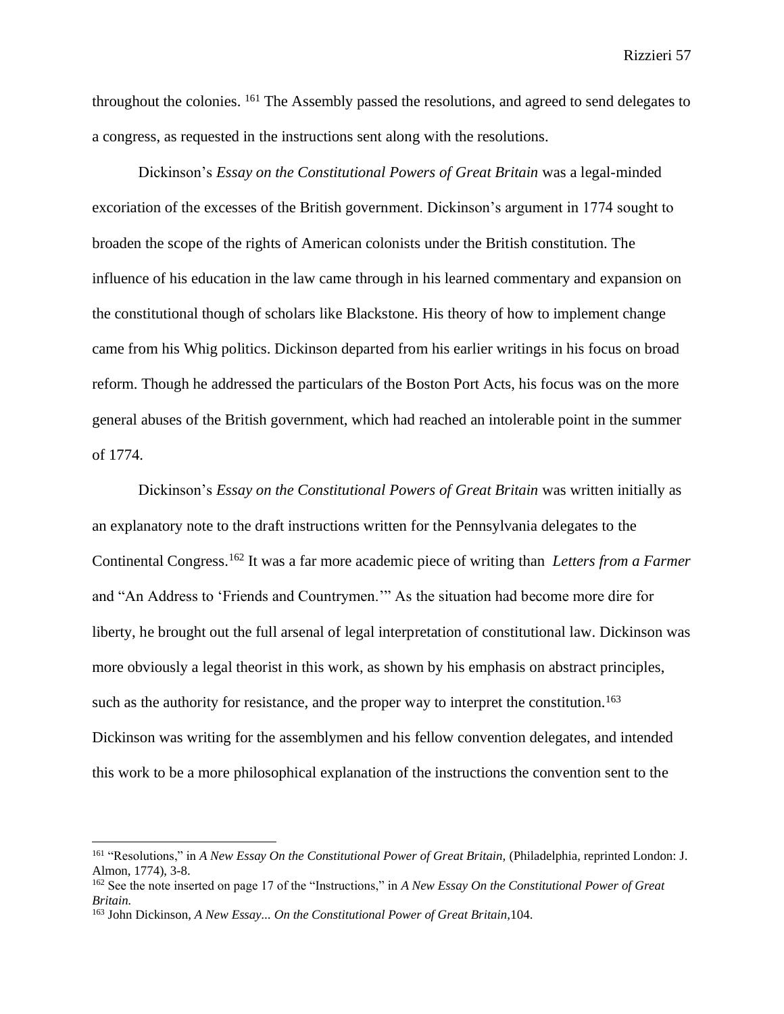throughout the colonies. <sup>161</sup> The Assembly passed the resolutions, and agreed to send delegates to a congress, as requested in the instructions sent along with the resolutions.

Dickinson's *Essay on the Constitutional Powers of Great Britain* was a legal-minded excoriation of the excesses of the British government. Dickinson's argument in 1774 sought to broaden the scope of the rights of American colonists under the British constitution. The influence of his education in the law came through in his learned commentary and expansion on the constitutional though of scholars like Blackstone. His theory of how to implement change came from his Whig politics. Dickinson departed from his earlier writings in his focus on broad reform. Though he addressed the particulars of the Boston Port Acts, his focus was on the more general abuses of the British government, which had reached an intolerable point in the summer of 1774.

Dickinson's *Essay on the Constitutional Powers of Great Britain* was written initially as an explanatory note to the draft instructions written for the Pennsylvania delegates to the Continental Congress.<sup>162</sup> It was a far more academic piece of writing than *Letters from a Farmer*  and "An Address to 'Friends and Countrymen.'" As the situation had become more dire for liberty, he brought out the full arsenal of legal interpretation of constitutional law. Dickinson was more obviously a legal theorist in this work, as shown by his emphasis on abstract principles, such as the authority for resistance, and the proper way to interpret the constitution.<sup>163</sup> Dickinson was writing for the assemblymen and his fellow convention delegates, and intended this work to be a more philosophical explanation of the instructions the convention sent to the

<sup>&</sup>lt;sup>161</sup> "Resolutions," in *A New Essay On the Constitutional Power of Great Britain*, (Philadelphia, reprinted London: J. Almon, 1774), 3-8.

<sup>162</sup> See the note inserted on page 17 of the "Instructions," in *A New Essay On the Constitutional Power of Great Britain.* 

<sup>163</sup> John Dickinson, *A New Essay... On the Constitutional Power of Great Britain,*104.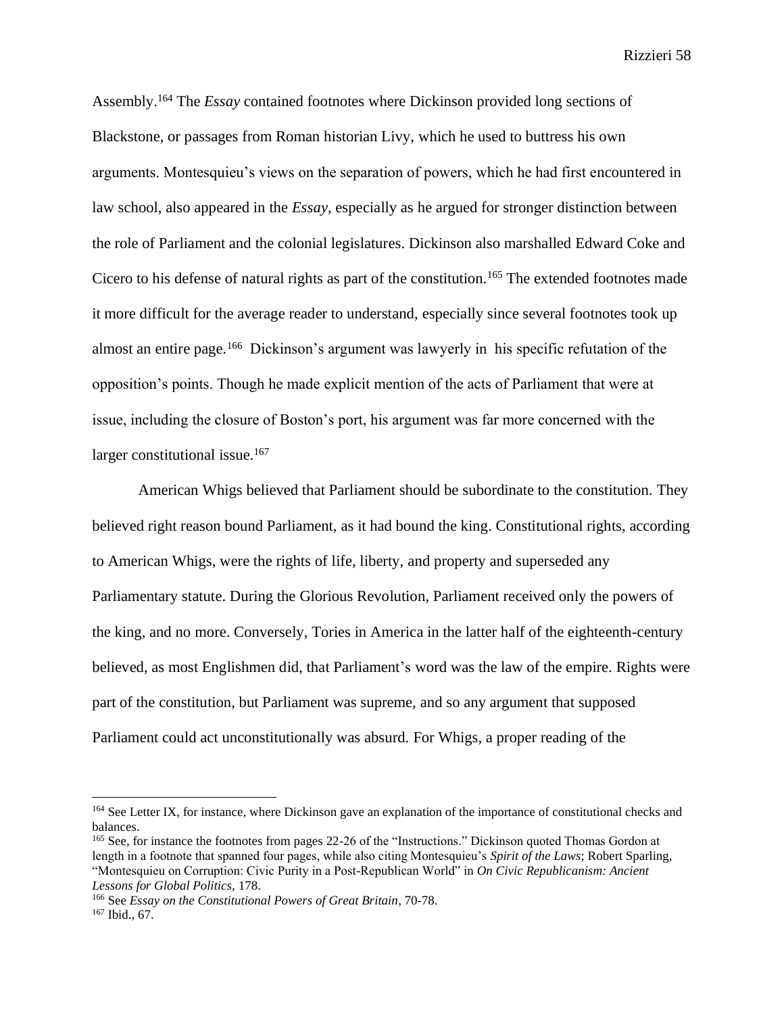Assembly.<sup>164</sup> The *Essay* contained footnotes where Dickinson provided long sections of Blackstone, or passages from Roman historian Livy, which he used to buttress his own arguments. Montesquieu's views on the separation of powers, which he had first encountered in law school, also appeared in the *Essay*, especially as he argued for stronger distinction between the role of Parliament and the colonial legislatures. Dickinson also marshalled Edward Coke and Cicero to his defense of natural rights as part of the constitution.<sup>165</sup> The extended footnotes made it more difficult for the average reader to understand, especially since several footnotes took up almost an entire page.<sup>166</sup> Dickinson's argument was lawyerly in his specific refutation of the opposition's points. Though he made explicit mention of the acts of Parliament that were at issue, including the closure of Boston's port, his argument was far more concerned with the larger constitutional issue.<sup>167</sup>

American Whigs believed that Parliament should be subordinate to the constitution. They believed right reason bound Parliament, as it had bound the king. Constitutional rights, according to American Whigs, were the rights of life, liberty, and property and superseded any Parliamentary statute. During the Glorious Revolution, Parliament received only the powers of the king, and no more. Conversely, Tories in America in the latter half of the eighteenth-century believed, as most Englishmen did, that Parliament's word was the law of the empire. Rights were part of the constitution, but Parliament was supreme, and so any argument that supposed Parliament could act unconstitutionally was absurd. For Whigs, a proper reading of the

<sup>&</sup>lt;sup>164</sup> See Letter IX, for instance, where Dickinson gave an explanation of the importance of constitutional checks and balances.

<sup>165</sup> See, for instance the footnotes from pages 22-26 of the "Instructions." Dickinson quoted Thomas Gordon at length in a footnote that spanned four pages, while also citing Montesquieu's *Spirit of the Laws*; Robert Sparling, "Montesquieu on Corruption: Civic Purity in a Post-Republican World" in *On Civic Republicanism: Ancient Lessons for Global Politics,* 178.

<sup>166</sup> See *Essay on the Constitutional Powers of Great Britain*, 70-78. <sup>167</sup> Ibid., 67.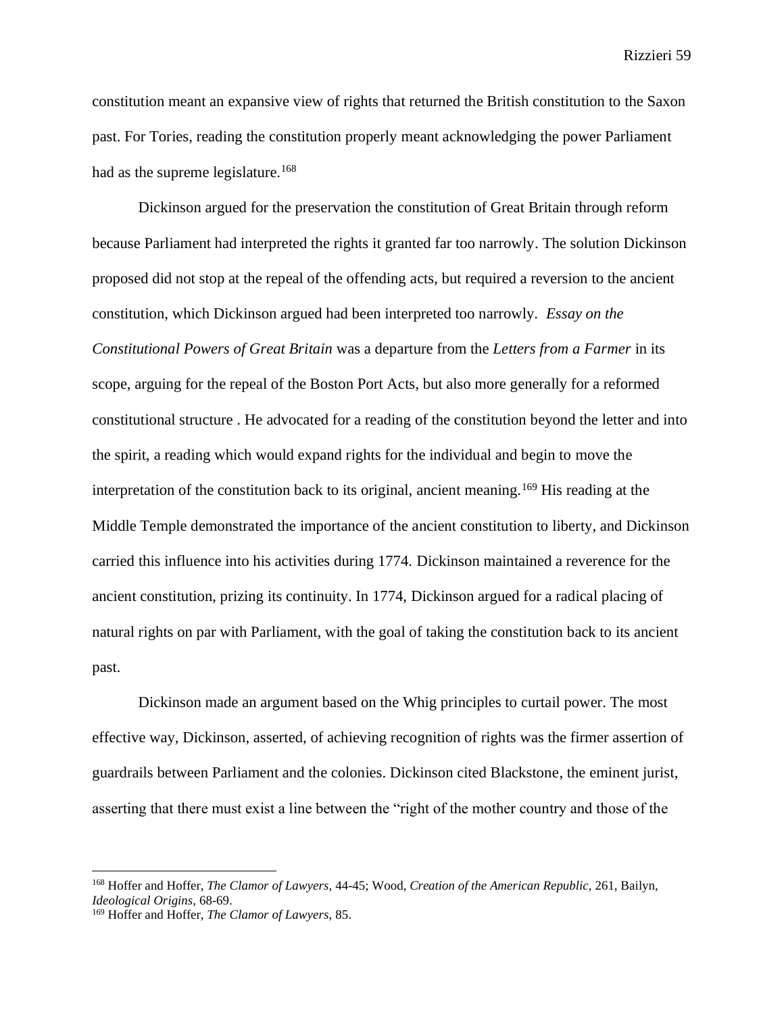constitution meant an expansive view of rights that returned the British constitution to the Saxon past. For Tories, reading the constitution properly meant acknowledging the power Parliament had as the supreme legislature.<sup>168</sup>

Dickinson argued for the preservation the constitution of Great Britain through reform because Parliament had interpreted the rights it granted far too narrowly. The solution Dickinson proposed did not stop at the repeal of the offending acts, but required a reversion to the ancient constitution, which Dickinson argued had been interpreted too narrowly. *Essay on the Constitutional Powers of Great Britain* was a departure from the *Letters from a Farmer* in its scope, arguing for the repeal of the Boston Port Acts, but also more generally for a reformed constitutional structure . He advocated for a reading of the constitution beyond the letter and into the spirit, a reading which would expand rights for the individual and begin to move the interpretation of the constitution back to its original, ancient meaning.<sup>169</sup> His reading at the Middle Temple demonstrated the importance of the ancient constitution to liberty, and Dickinson carried this influence into his activities during 1774. Dickinson maintained a reverence for the ancient constitution, prizing its continuity. In 1774, Dickinson argued for a radical placing of natural rights on par with Parliament, with the goal of taking the constitution back to its ancient past.

Dickinson made an argument based on the Whig principles to curtail power. The most effective way, Dickinson, asserted, of achieving recognition of rights was the firmer assertion of guardrails between Parliament and the colonies. Dickinson cited Blackstone, the eminent jurist, asserting that there must exist a line between the "right of the mother country and those of the

<sup>168</sup> Hoffer and Hoffer, *The Clamor of Lawyers,* 44-45; Wood, *Creation of the American Republic,* 261, Bailyn, *Ideological Origins,* 68-69.

<sup>169</sup> Hoffer and Hoffer, *The Clamor of Lawyers,* 85.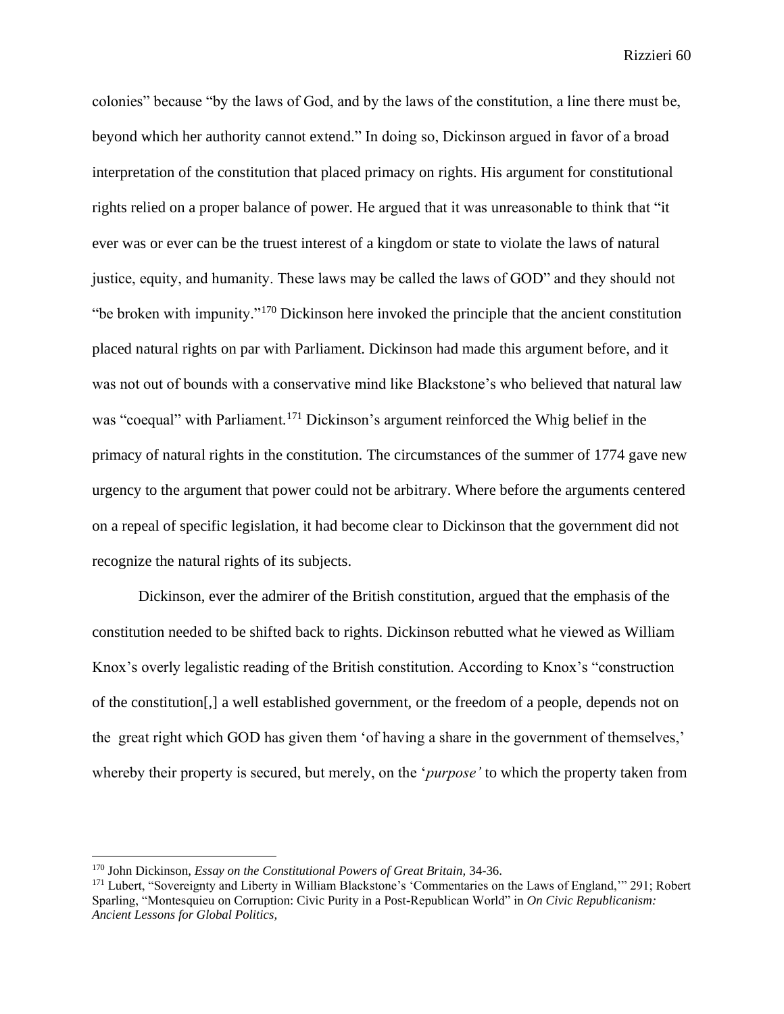colonies" because "by the laws of God, and by the laws of the constitution, a line there must be, beyond which her authority cannot extend." In doing so, Dickinson argued in favor of a broad interpretation of the constitution that placed primacy on rights. His argument for constitutional rights relied on a proper balance of power. He argued that it was unreasonable to think that "it ever was or ever can be the truest interest of a kingdom or state to violate the laws of natural justice, equity, and humanity. These laws may be called the laws of GOD" and they should not "be broken with impunity."<sup>170</sup> Dickinson here invoked the principle that the ancient constitution placed natural rights on par with Parliament. Dickinson had made this argument before, and it was not out of bounds with a conservative mind like Blackstone's who believed that natural law was "coequal" with Parliament.<sup>171</sup> Dickinson's argument reinforced the Whig belief in the primacy of natural rights in the constitution. The circumstances of the summer of 1774 gave new urgency to the argument that power could not be arbitrary. Where before the arguments centered on a repeal of specific legislation, it had become clear to Dickinson that the government did not recognize the natural rights of its subjects.

Dickinson, ever the admirer of the British constitution, argued that the emphasis of the constitution needed to be shifted back to rights. Dickinson rebutted what he viewed as William Knox's overly legalistic reading of the British constitution. According to Knox's "construction of the constitution[,] a well established government, or the freedom of a people, depends not on the great right which GOD has given them 'of having a share in the government of themselves,' whereby their property is secured, but merely, on the '*purpose'* to which the property taken from

<sup>170</sup> John Dickinson, *Essay on the Constitutional Powers of Great Britain,* 34-36.

<sup>171</sup> Lubert, "Sovereignty and Liberty in William Blackstone's 'Commentaries on the Laws of England,'" 291; Robert Sparling, "Montesquieu on Corruption: Civic Purity in a Post-Republican World" in *On Civic Republicanism: Ancient Lessons for Global Politics,*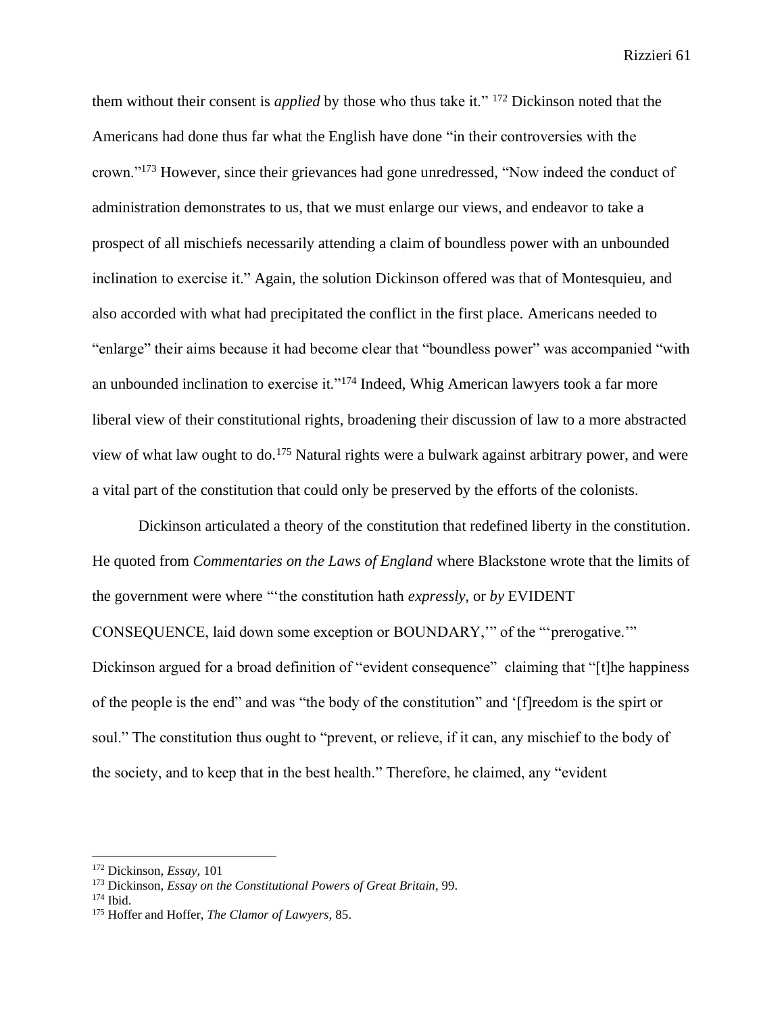them without their consent is *applied* by those who thus take it." <sup>172</sup> Dickinson noted that the Americans had done thus far what the English have done "in their controversies with the crown."<sup>173</sup> However, since their grievances had gone unredressed, "Now indeed the conduct of administration demonstrates to us, that we must enlarge our views, and endeavor to take a prospect of all mischiefs necessarily attending a claim of boundless power with an unbounded inclination to exercise it." Again, the solution Dickinson offered was that of Montesquieu, and also accorded with what had precipitated the conflict in the first place. Americans needed to "enlarge" their aims because it had become clear that "boundless power" was accompanied "with an unbounded inclination to exercise it."<sup>174</sup> Indeed, Whig American lawyers took a far more liberal view of their constitutional rights, broadening their discussion of law to a more abstracted view of what law ought to do.<sup>175</sup> Natural rights were a bulwark against arbitrary power, and were a vital part of the constitution that could only be preserved by the efforts of the colonists.

Dickinson articulated a theory of the constitution that redefined liberty in the constitution. He quoted from *Commentaries on the Laws of England* where Blackstone wrote that the limits of the government were where "'the constitution hath *expressly*, or *by* EVIDENT CONSEQUENCE, laid down some exception or BOUNDARY,'" of the "'prerogative.'" Dickinson argued for a broad definition of "evident consequence" claiming that "[t]he happiness of the people is the end" and was "the body of the constitution" and '[f]reedom is the spirt or soul." The constitution thus ought to "prevent, or relieve, if it can, any mischief to the body of the society, and to keep that in the best health." Therefore, he claimed, any "evident

<sup>172</sup> Dickinson, *Essay,* 101

<sup>173</sup> Dickinson, *Essay on the Constitutional Powers of Great Britain*, 99.

<sup>174</sup> Ibid.

<sup>175</sup> Hoffer and Hoffer, *The Clamor of Lawyers,* 85.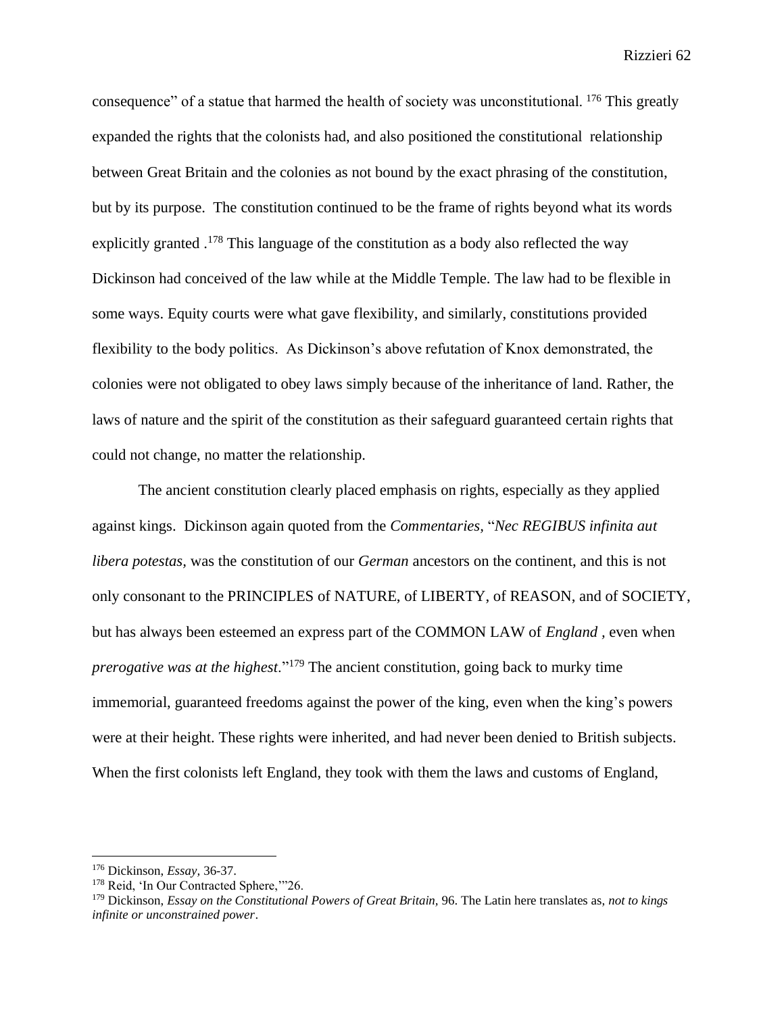consequence" of a statue that harmed the health of society was unconstitutional. <sup>176</sup> This greatly expanded the rights that the colonists had, and also positioned the constitutional relationship between Great Britain and the colonies as not bound by the exact phrasing of the constitution, but by its purpose. The constitution continued to be the frame of rights beyond what its words explicitly granted .<sup>178</sup> This language of the constitution as a body also reflected the way Dickinson had conceived of the law while at the Middle Temple. The law had to be flexible in some ways. Equity courts were what gave flexibility, and similarly, constitutions provided flexibility to the body politics. As Dickinson's above refutation of Knox demonstrated, the colonies were not obligated to obey laws simply because of the inheritance of land. Rather, the laws of nature and the spirit of the constitution as their safeguard guaranteed certain rights that could not change, no matter the relationship.

The ancient constitution clearly placed emphasis on rights, especially as they applied against kings. Dickinson again quoted from the *Commentaries,* "*Nec REGIBUS infinita aut libera potestas,* was the constitution of our *German* ancestors on the continent, and this is not only consonant to the PRINCIPLES of NATURE, of LIBERTY, of REASON, and of SOCIETY, but has always been esteemed an express part of the COMMON LAW of *England ,* even when *prerogative was at the highest*."<sup>179</sup> The ancient constitution, going back to murky time immemorial, guaranteed freedoms against the power of the king, even when the king's powers were at their height. These rights were inherited, and had never been denied to British subjects. When the first colonists left England, they took with them the laws and customs of England,

<sup>176</sup> Dickinson, *Essay,* 36-37.

<sup>&</sup>lt;sup>178</sup> Reid, 'In Our Contracted Sphere,'"26.

<sup>179</sup> Dickinson, *Essay on the Constitutional Powers of Great Britain,* 96. The Latin here translates as, *not to kings infinite or unconstrained power*.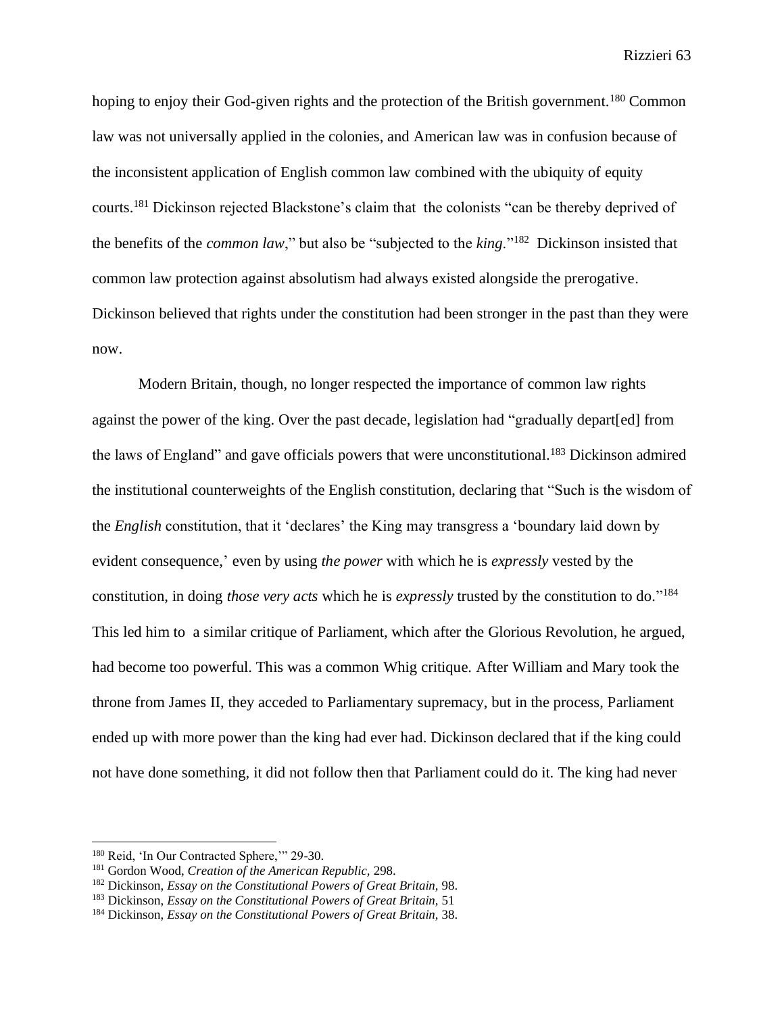hoping to enjoy their God-given rights and the protection of the British government.<sup>180</sup> Common law was not universally applied in the colonies, and American law was in confusion because of the inconsistent application of English common law combined with the ubiquity of equity courts.<sup>181</sup> Dickinson rejected Blackstone's claim that the colonists "can be thereby deprived of the benefits of the *common law*," but also be "subjected to the *king*."<sup>182</sup> Dickinson insisted that common law protection against absolutism had always existed alongside the prerogative. Dickinson believed that rights under the constitution had been stronger in the past than they were now.

Modern Britain, though, no longer respected the importance of common law rights against the power of the king. Over the past decade, legislation had "gradually depart[ed] from the laws of England" and gave officials powers that were unconstitutional.<sup>183</sup> Dickinson admired the institutional counterweights of the English constitution, declaring that "Such is the wisdom of the *English* constitution, that it 'declares' the King may transgress a 'boundary laid down by evident consequence,' even by using *the power* with which he is *expressly* vested by the constitution, in doing *those very acts* which he is *expressly* trusted by the constitution to do." 184 This led him to a similar critique of Parliament, which after the Glorious Revolution, he argued, had become too powerful. This was a common Whig critique. After William and Mary took the throne from James II, they acceded to Parliamentary supremacy, but in the process, Parliament ended up with more power than the king had ever had. Dickinson declared that if the king could not have done something, it did not follow then that Parliament could do it. The king had never

<sup>180</sup> Reid, 'In Our Contracted Sphere,'" 29-30.

<sup>181</sup> Gordon Wood, *Creation of the American Republic,* 298.

<sup>182</sup> Dickinson, *Essay on the Constitutional Powers of Great Britain,* 98.

<sup>183</sup> Dickinson, *Essay on the Constitutional Powers of Great Britain,* 51

<sup>184</sup> Dickinson, *Essay on the Constitutional Powers of Great Britain,* 38.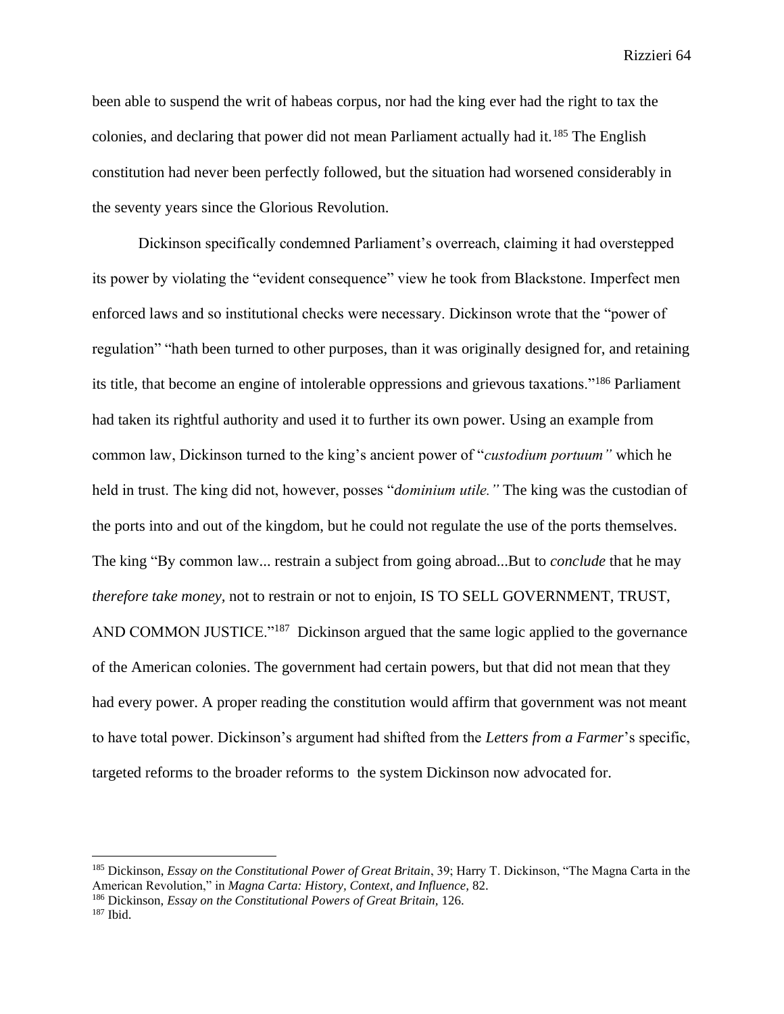been able to suspend the writ of habeas corpus, nor had the king ever had the right to tax the colonies, and declaring that power did not mean Parliament actually had it.<sup>185</sup> The English constitution had never been perfectly followed, but the situation had worsened considerably in the seventy years since the Glorious Revolution.

Dickinson specifically condemned Parliament's overreach, claiming it had overstepped its power by violating the "evident consequence" view he took from Blackstone. Imperfect men enforced laws and so institutional checks were necessary. Dickinson wrote that the "power of regulation" "hath been turned to other purposes, than it was originally designed for, and retaining its title, that become an engine of intolerable oppressions and grievous taxations."<sup>186</sup> Parliament had taken its rightful authority and used it to further its own power. Using an example from common law, Dickinson turned to the king's ancient power of "*custodium portuum"* which he held in trust. The king did not, however, posses "*dominium utile."* The king was the custodian of the ports into and out of the kingdom, but he could not regulate the use of the ports themselves. The king "By common law... restrain a subject from going abroad...But to *conclude* that he may *therefore take money,* not to restrain or not to enjoin, IS TO SELL GOVERNMENT, TRUST, AND COMMON JUSTICE."<sup>187</sup> Dickinson argued that the same logic applied to the governance of the American colonies. The government had certain powers, but that did not mean that they had every power. A proper reading the constitution would affirm that government was not meant to have total power. Dickinson's argument had shifted from the *Letters from a Farmer*'s specific, targeted reforms to the broader reforms to the system Dickinson now advocated for.

<sup>185</sup> Dickinson, *Essay on the Constitutional Power of Great Britain*, 39; Harry T. Dickinson, "The Magna Carta in the American Revolution," in *Magna Carta: History, Context, and Influence,* 82.

<sup>186</sup> Dickinson, *Essay on the Constitutional Powers of Great Britain,* 126.

<sup>187</sup> Ibid.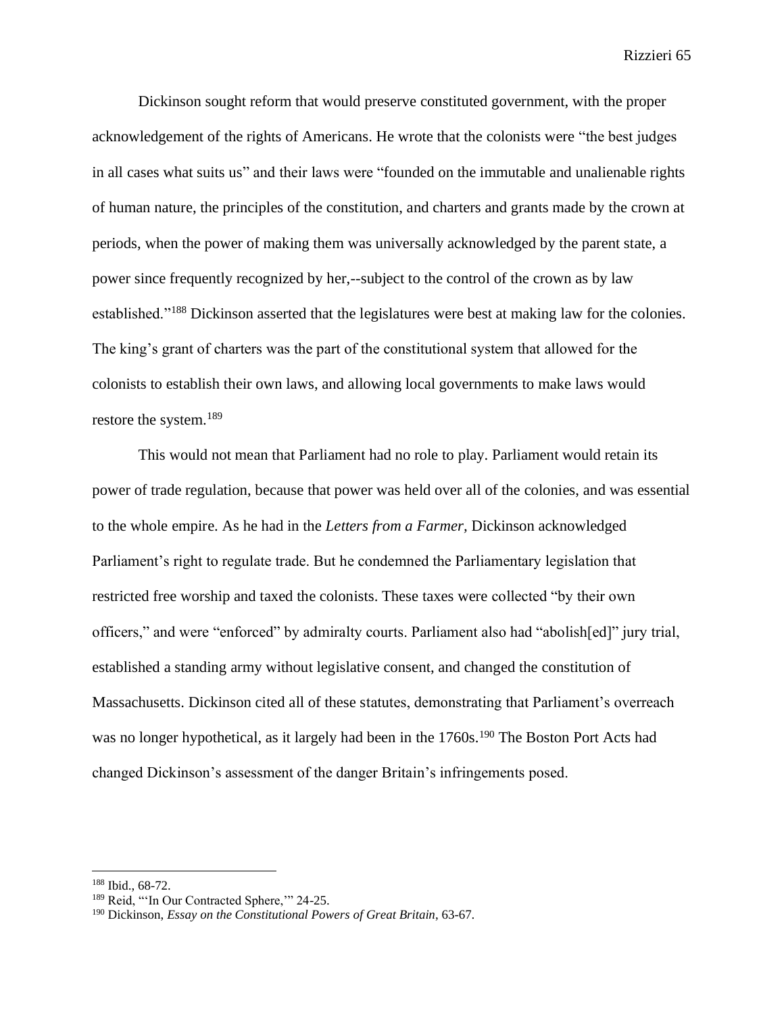Dickinson sought reform that would preserve constituted government, with the proper acknowledgement of the rights of Americans. He wrote that the colonists were "the best judges in all cases what suits us" and their laws were "founded on the immutable and unalienable rights of human nature, the principles of the constitution, and charters and grants made by the crown at periods, when the power of making them was universally acknowledged by the parent state, a power since frequently recognized by her,--subject to the control of the crown as by law established."<sup>188</sup> Dickinson asserted that the legislatures were best at making law for the colonies. The king's grant of charters was the part of the constitutional system that allowed for the colonists to establish their own laws, and allowing local governments to make laws would restore the system.<sup>189</sup>

This would not mean that Parliament had no role to play. Parliament would retain its power of trade regulation, because that power was held over all of the colonies, and was essential to the whole empire. As he had in the *Letters from a Farmer,* Dickinson acknowledged Parliament's right to regulate trade. But he condemned the Parliamentary legislation that restricted free worship and taxed the colonists. These taxes were collected "by their own officers," and were "enforced" by admiralty courts. Parliament also had "abolish[ed]" jury trial, established a standing army without legislative consent, and changed the constitution of Massachusetts. Dickinson cited all of these statutes, demonstrating that Parliament's overreach was no longer hypothetical, as it largely had been in the 1760s.<sup>190</sup> The Boston Port Acts had changed Dickinson's assessment of the danger Britain's infringements posed.

<sup>188</sup> Ibid., 68-72.

<sup>&</sup>lt;sup>189</sup> Reid, "'In Our Contracted Sphere," 24-25.

<sup>190</sup> Dickinson, *Essay on the Constitutional Powers of Great Britain*, 63-67.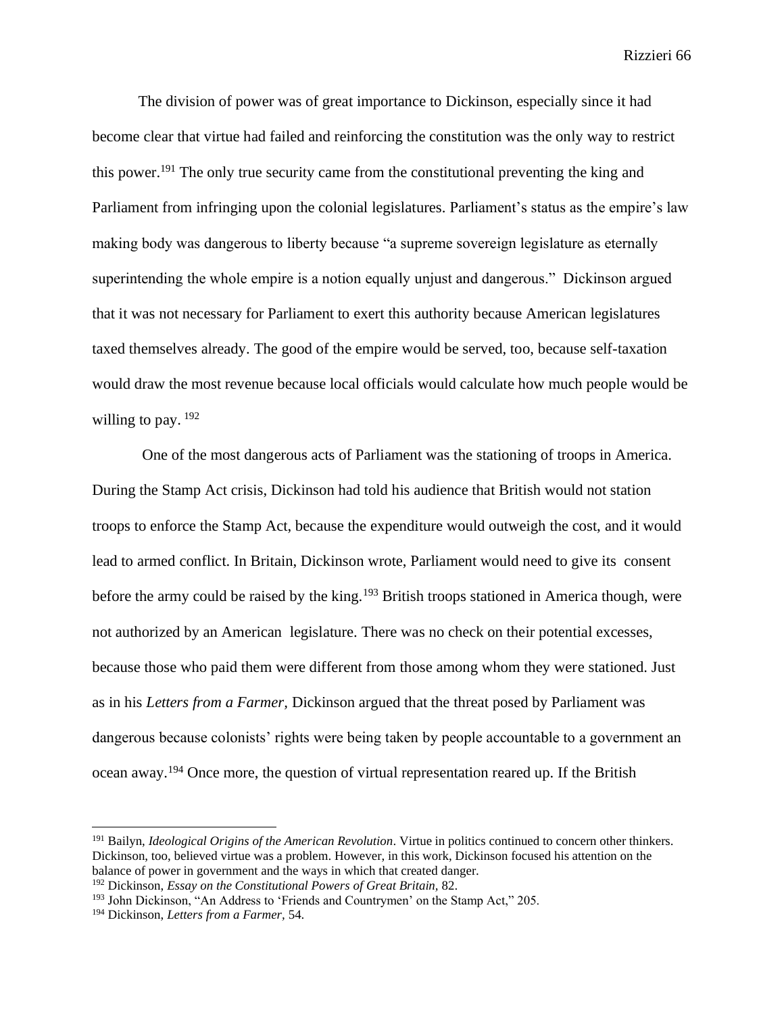The division of power was of great importance to Dickinson, especially since it had become clear that virtue had failed and reinforcing the constitution was the only way to restrict this power.<sup>191</sup> The only true security came from the constitutional preventing the king and Parliament from infringing upon the colonial legislatures. Parliament's status as the empire's law making body was dangerous to liberty because "a supreme sovereign legislature as eternally superintending the whole empire is a notion equally unjust and dangerous." Dickinson argued that it was not necessary for Parliament to exert this authority because American legislatures taxed themselves already. The good of the empire would be served, too, because self-taxation would draw the most revenue because local officials would calculate how much people would be willing to pay.  $192$ 

One of the most dangerous acts of Parliament was the stationing of troops in America. During the Stamp Act crisis, Dickinson had told his audience that British would not station troops to enforce the Stamp Act, because the expenditure would outweigh the cost, and it would lead to armed conflict. In Britain, Dickinson wrote, Parliament would need to give its consent before the army could be raised by the king.<sup>193</sup> British troops stationed in America though, were not authorized by an American legislature. There was no check on their potential excesses, because those who paid them were different from those among whom they were stationed. Just as in his *Letters from a Farmer,* Dickinson argued that the threat posed by Parliament was dangerous because colonists' rights were being taken by people accountable to a government an ocean away.<sup>194</sup> Once more, the question of virtual representation reared up. If the British

<sup>191</sup> Bailyn, *Ideological Origins of the American Revolution*. Virtue in politics continued to concern other thinkers. Dickinson, too, believed virtue was a problem. However, in this work, Dickinson focused his attention on the balance of power in government and the ways in which that created danger.

<sup>192</sup> Dickinson, *Essay on the Constitutional Powers of Great Britain,* 82.

<sup>&</sup>lt;sup>193</sup> John Dickinson, "An Address to 'Friends and Countrymen' on the Stamp Act," 205.

<sup>194</sup> Dickinson, *Letters from a Farmer,* 54.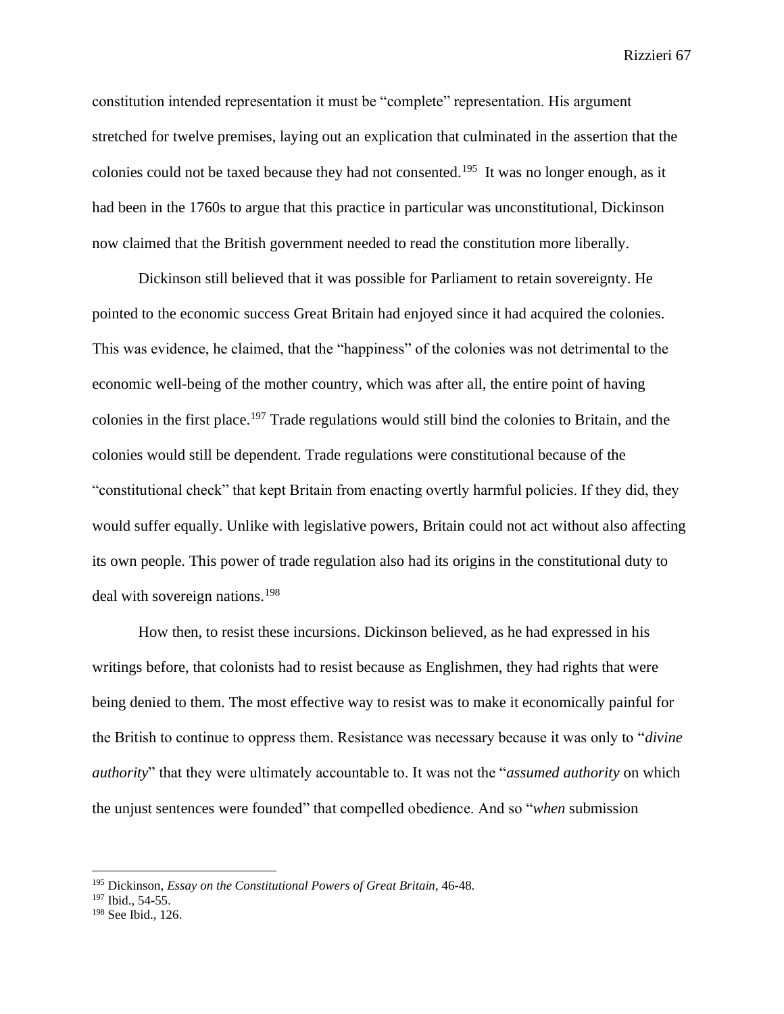constitution intended representation it must be "complete" representation. His argument stretched for twelve premises, laying out an explication that culminated in the assertion that the colonies could not be taxed because they had not consented.<sup>195</sup> It was no longer enough, as it had been in the 1760s to argue that this practice in particular was unconstitutional, Dickinson now claimed that the British government needed to read the constitution more liberally.

Dickinson still believed that it was possible for Parliament to retain sovereignty. He pointed to the economic success Great Britain had enjoyed since it had acquired the colonies. This was evidence, he claimed, that the "happiness" of the colonies was not detrimental to the economic well-being of the mother country, which was after all, the entire point of having colonies in the first place. <sup>197</sup> Trade regulations would still bind the colonies to Britain, and the colonies would still be dependent. Trade regulations were constitutional because of the "constitutional check" that kept Britain from enacting overtly harmful policies. If they did, they would suffer equally. Unlike with legislative powers, Britain could not act without also affecting its own people. This power of trade regulation also had its origins in the constitutional duty to deal with sovereign nations.<sup>198</sup>

How then, to resist these incursions. Dickinson believed, as he had expressed in his writings before, that colonists had to resist because as Englishmen, they had rights that were being denied to them. The most effective way to resist was to make it economically painful for the British to continue to oppress them. Resistance was necessary because it was only to "*divine authority*" that they were ultimately accountable to. It was not the "*assumed authority* on which the unjust sentences were founded" that compelled obedience. And so "*when* submission

<sup>195</sup> Dickinson, *Essay on the Constitutional Powers of Great Britain*, 46-48.

<sup>197</sup> Ibid., 54-55.

<sup>198</sup> See Ibid., 126.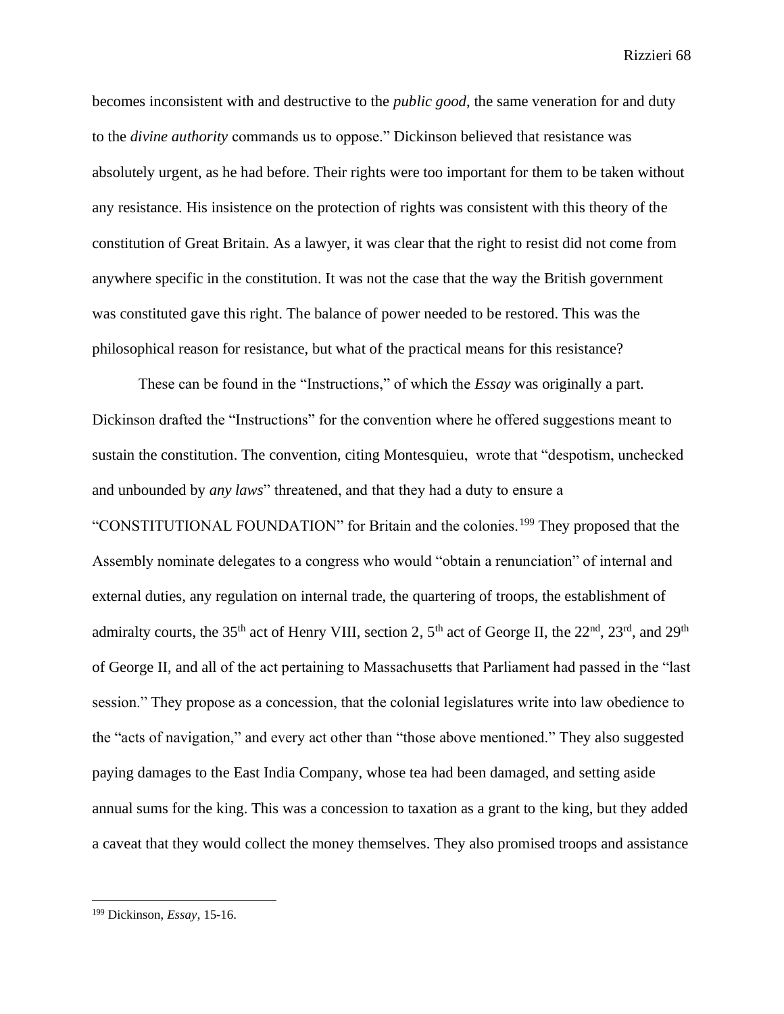becomes inconsistent with and destructive to the *public good*, the same veneration for and duty to the *divine authority* commands us to oppose." Dickinson believed that resistance was absolutely urgent, as he had before. Their rights were too important for them to be taken without any resistance. His insistence on the protection of rights was consistent with this theory of the constitution of Great Britain. As a lawyer, it was clear that the right to resist did not come from anywhere specific in the constitution. It was not the case that the way the British government was constituted gave this right. The balance of power needed to be restored. This was the philosophical reason for resistance, but what of the practical means for this resistance?

These can be found in the "Instructions," of which the *Essay* was originally a part. Dickinson drafted the "Instructions" for the convention where he offered suggestions meant to sustain the constitution. The convention, citing Montesquieu, wrote that "despotism, unchecked and unbounded by *any laws*" threatened, and that they had a duty to ensure a "CONSTITUTIONAL FOUNDATION" for Britain and the colonies.<sup>199</sup> They proposed that the Assembly nominate delegates to a congress who would "obtain a renunciation" of internal and external duties, any regulation on internal trade, the quartering of troops, the establishment of admiralty courts, the 35<sup>th</sup> act of Henry VIII, section 2, 5<sup>th</sup> act of George II, the 22<sup>nd</sup>, 23<sup>rd</sup>, and 29<sup>th</sup> of George II, and all of the act pertaining to Massachusetts that Parliament had passed in the "last session." They propose as a concession, that the colonial legislatures write into law obedience to the "acts of navigation," and every act other than "those above mentioned." They also suggested paying damages to the East India Company, whose tea had been damaged, and setting aside annual sums for the king. This was a concession to taxation as a grant to the king, but they added a caveat that they would collect the money themselves. They also promised troops and assistance

<sup>199</sup> Dickinson, *Essay*, 15-16.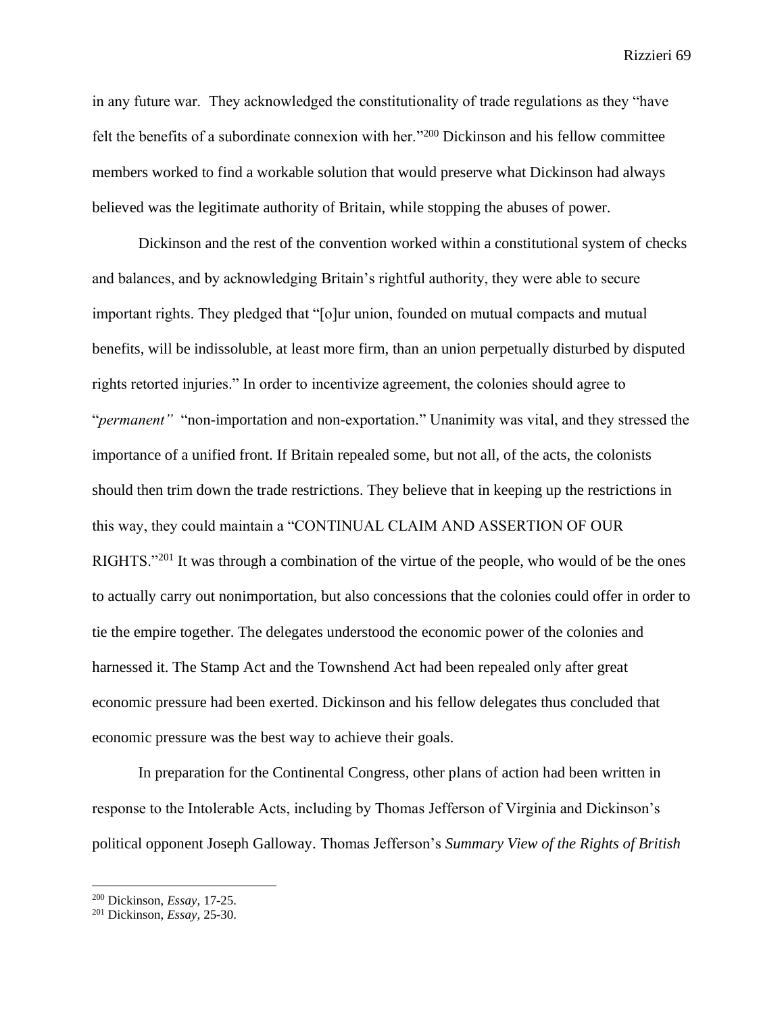in any future war. They acknowledged the constitutionality of trade regulations as they "have felt the benefits of a subordinate connexion with her."<sup>200</sup> Dickinson and his fellow committee members worked to find a workable solution that would preserve what Dickinson had always believed was the legitimate authority of Britain, while stopping the abuses of power.

Dickinson and the rest of the convention worked within a constitutional system of checks and balances, and by acknowledging Britain's rightful authority, they were able to secure important rights. They pledged that "[o]ur union, founded on mutual compacts and mutual benefits, will be indissoluble, at least more firm, than an union perpetually disturbed by disputed rights retorted injuries." In order to incentivize agreement, the colonies should agree to "*permanent"* "non-importation and non-exportation." Unanimity was vital, and they stressed the importance of a unified front. If Britain repealed some, but not all, of the acts, the colonists should then trim down the trade restrictions. They believe that in keeping up the restrictions in this way, they could maintain a "CONTINUAL CLAIM AND ASSERTION OF OUR RIGHTS."<sup>201</sup> It was through a combination of the virtue of the people, who would of be the ones to actually carry out nonimportation, but also concessions that the colonies could offer in order to tie the empire together. The delegates understood the economic power of the colonies and harnessed it. The Stamp Act and the Townshend Act had been repealed only after great economic pressure had been exerted. Dickinson and his fellow delegates thus concluded that economic pressure was the best way to achieve their goals.

In preparation for the Continental Congress, other plans of action had been written in response to the Intolerable Acts, including by Thomas Jefferson of Virginia and Dickinson's political opponent Joseph Galloway. Thomas Jefferson's *Summary View of the Rights of British* 

<sup>200</sup> Dickinson, *Essay,* 17-25.

<sup>201</sup> Dickinson, *Essay,* 25-30.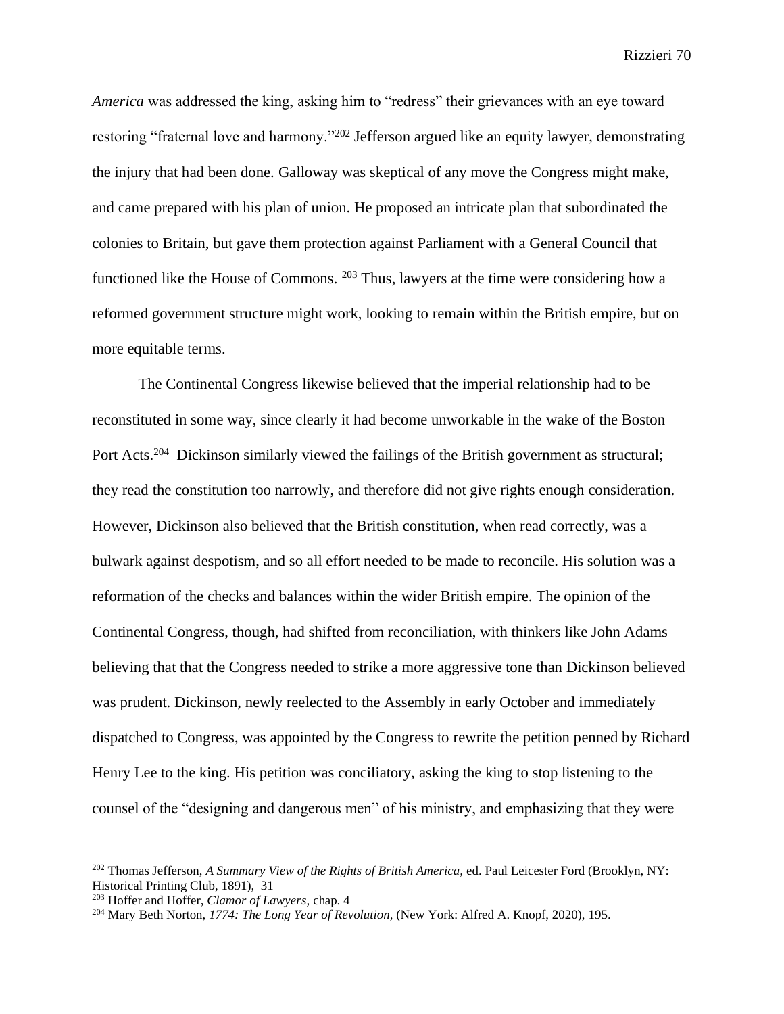*America* was addressed the king, asking him to "redress" their grievances with an eye toward restoring "fraternal love and harmony."<sup>202</sup> Jefferson argued like an equity lawyer, demonstrating the injury that had been done. Galloway was skeptical of any move the Congress might make, and came prepared with his plan of union. He proposed an intricate plan that subordinated the colonies to Britain, but gave them protection against Parliament with a General Council that functioned like the House of Commons. <sup>203</sup> Thus, lawyers at the time were considering how a reformed government structure might work, looking to remain within the British empire, but on more equitable terms.

The Continental Congress likewise believed that the imperial relationship had to be reconstituted in some way, since clearly it had become unworkable in the wake of the Boston Port Acts.<sup>204</sup> Dickinson similarly viewed the failings of the British government as structural; they read the constitution too narrowly, and therefore did not give rights enough consideration. However, Dickinson also believed that the British constitution, when read correctly, was a bulwark against despotism, and so all effort needed to be made to reconcile. His solution was a reformation of the checks and balances within the wider British empire. The opinion of the Continental Congress, though, had shifted from reconciliation, with thinkers like John Adams believing that that the Congress needed to strike a more aggressive tone than Dickinson believed was prudent. Dickinson, newly reelected to the Assembly in early October and immediately dispatched to Congress, was appointed by the Congress to rewrite the petition penned by Richard Henry Lee to the king. His petition was conciliatory, asking the king to stop listening to the counsel of the "designing and dangerous men" of his ministry, and emphasizing that they were

<sup>202</sup> Thomas Jefferson, *A Summary View of the Rights of British America,* ed. Paul Leicester Ford (Brooklyn, NY: Historical Printing Club, 1891), 31

<sup>203</sup> Hoffer and Hoffer, *Clamor of Lawyers,* chap. 4

<sup>204</sup> Mary Beth Norton, *1774: The Long Year of Revolution,* (New York: Alfred A. Knopf, 2020), 195.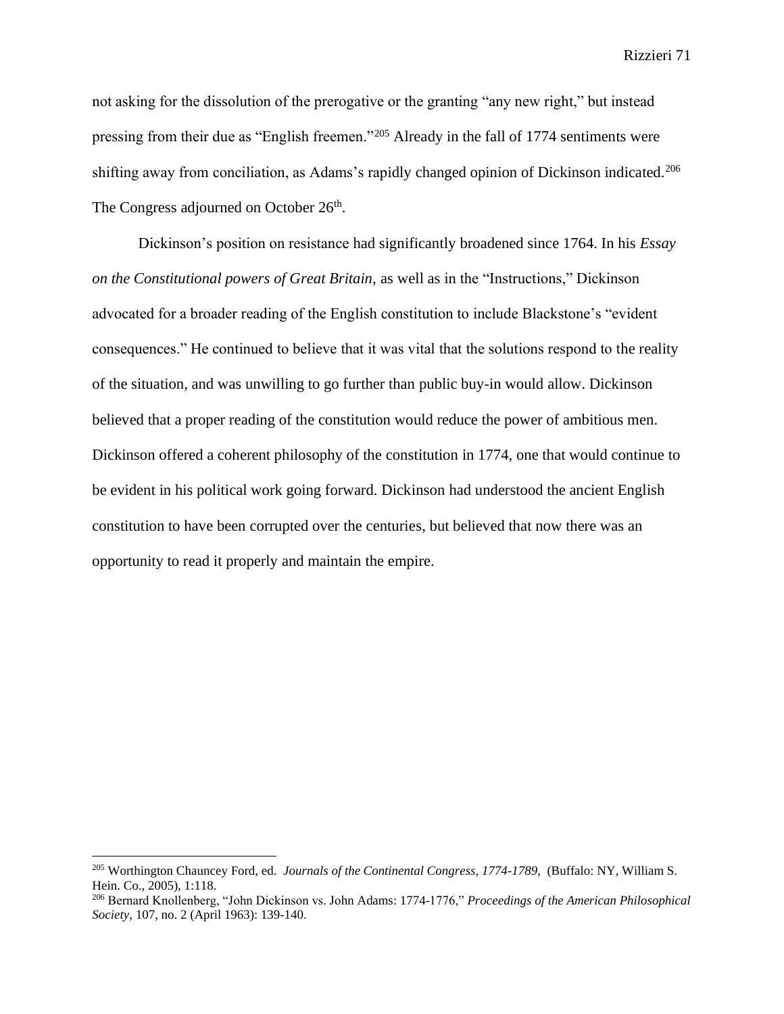not asking for the dissolution of the prerogative or the granting "any new right," but instead pressing from their due as "English freemen."<sup>205</sup> Already in the fall of 1774 sentiments were shifting away from conciliation, as Adams's rapidly changed opinion of Dickinson indicated.<sup>206</sup> The Congress adjourned on October 26<sup>th</sup>.

Dickinson's position on resistance had significantly broadened since 1764. In his *Essay on the Constitutional powers of Great Britain,* as well as in the "Instructions," Dickinson advocated for a broader reading of the English constitution to include Blackstone's "evident consequences." He continued to believe that it was vital that the solutions respond to the reality of the situation, and was unwilling to go further than public buy-in would allow. Dickinson believed that a proper reading of the constitution would reduce the power of ambitious men. Dickinson offered a coherent philosophy of the constitution in 1774, one that would continue to be evident in his political work going forward. Dickinson had understood the ancient English constitution to have been corrupted over the centuries, but believed that now there was an opportunity to read it properly and maintain the empire.

<sup>205</sup> Worthington Chauncey Ford, ed. *Journals of the Continental Congress, 1774-1789,* (Buffalo: NY, William S. Hein. Co., 2005), 1:118.

<sup>206</sup> Bernard Knollenberg, "John Dickinson vs. John Adams: 1774-1776," *Proceedings of the American Philosophical Society,* 107, no. 2 (April 1963): 139-140.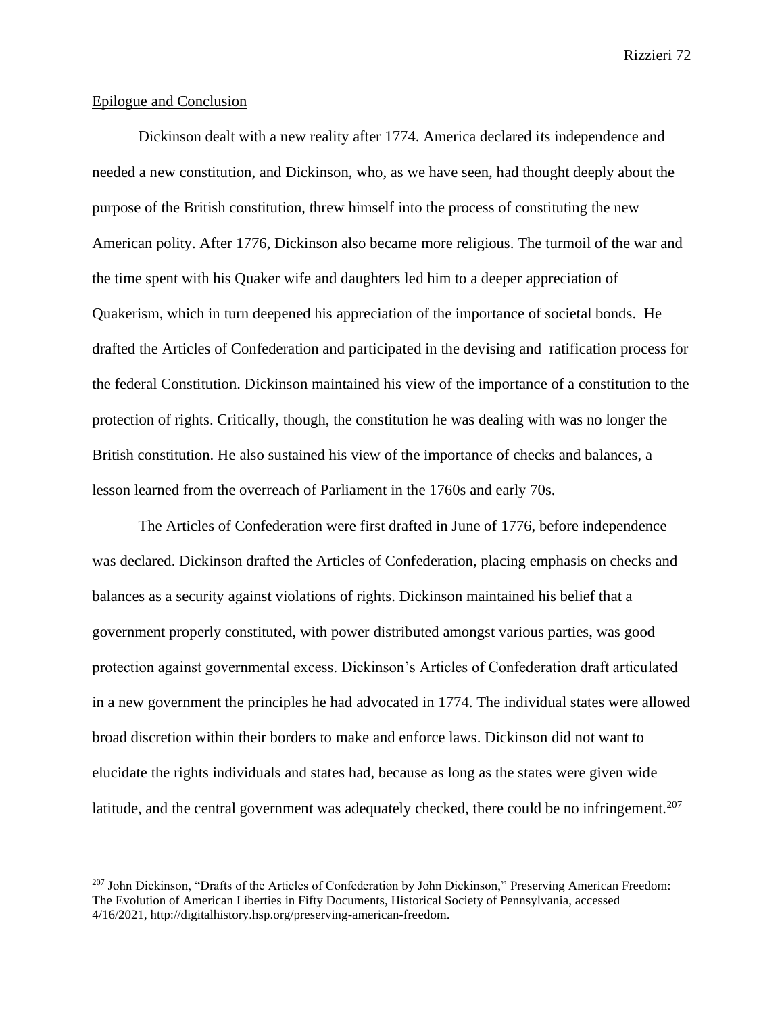## Epilogue and Conclusion

Dickinson dealt with a new reality after 1774. America declared its independence and needed a new constitution, and Dickinson, who, as we have seen, had thought deeply about the purpose of the British constitution, threw himself into the process of constituting the new American polity. After 1776, Dickinson also became more religious. The turmoil of the war and the time spent with his Quaker wife and daughters led him to a deeper appreciation of Quakerism, which in turn deepened his appreciation of the importance of societal bonds. He drafted the Articles of Confederation and participated in the devising and ratification process for the federal Constitution. Dickinson maintained his view of the importance of a constitution to the protection of rights. Critically, though, the constitution he was dealing with was no longer the British constitution. He also sustained his view of the importance of checks and balances, a lesson learned from the overreach of Parliament in the 1760s and early 70s.

The Articles of Confederation were first drafted in June of 1776, before independence was declared. Dickinson drafted the Articles of Confederation, placing emphasis on checks and balances as a security against violations of rights. Dickinson maintained his belief that a government properly constituted, with power distributed amongst various parties, was good protection against governmental excess. Dickinson's Articles of Confederation draft articulated in a new government the principles he had advocated in 1774. The individual states were allowed broad discretion within their borders to make and enforce laws. Dickinson did not want to elucidate the rights individuals and states had, because as long as the states were given wide latitude, and the central government was adequately checked, there could be no infringement.<sup>207</sup>

<sup>&</sup>lt;sup>207</sup> John Dickinson, "Drafts of the Articles of Confederation by John Dickinson," Preserving American Freedom: The Evolution of American Liberties in Fifty Documents, Historical Society of Pennsylvania, accessed 4/16/2021, [http://digitalhistory.hsp.org/preserving-american-freedom.](http://digitalhistory.hsp.org/preserving-american-freedom)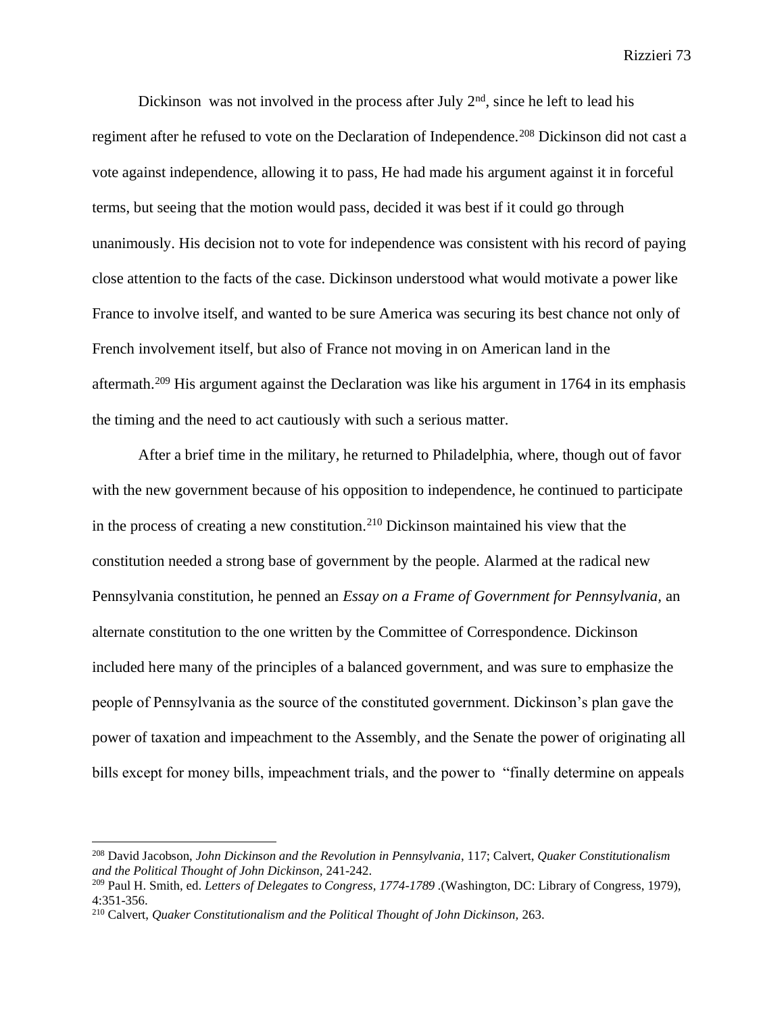Dickinson was not involved in the process after July  $2<sup>nd</sup>$ , since he left to lead his regiment after he refused to vote on the Declaration of Independence.<sup>208</sup> Dickinson did not cast a vote against independence, allowing it to pass, He had made his argument against it in forceful terms, but seeing that the motion would pass, decided it was best if it could go through unanimously. His decision not to vote for independence was consistent with his record of paying close attention to the facts of the case. Dickinson understood what would motivate a power like France to involve itself, and wanted to be sure America was securing its best chance not only of French involvement itself, but also of France not moving in on American land in the aftermath.<sup>209</sup> His argument against the Declaration was like his argument in 1764 in its emphasis the timing and the need to act cautiously with such a serious matter.

After a brief time in the military, he returned to Philadelphia, where, though out of favor with the new government because of his opposition to independence, he continued to participate in the process of creating a new constitution.<sup>210</sup> Dickinson maintained his view that the constitution needed a strong base of government by the people. Alarmed at the radical new Pennsylvania constitution, he penned an *Essay on a Frame of Government for Pennsylvania,* an alternate constitution to the one written by the Committee of Correspondence. Dickinson included here many of the principles of a balanced government, and was sure to emphasize the people of Pennsylvania as the source of the constituted government. Dickinson's plan gave the power of taxation and impeachment to the Assembly, and the Senate the power of originating all bills except for money bills, impeachment trials, and the power to "finally determine on appeals

<sup>208</sup> David Jacobson, *John Dickinson and the Revolution in Pennsylvania*, 117; Calvert, *Quaker Constitutionalism and the Political Thought of John Dickinson,* 241-242.

<sup>209</sup> Paul H. Smith, ed. *Letters of Delegates to Congress, 1774-1789 .*(Washington, DC: Library of Congress, 1979), 4:351-356.

<sup>&</sup>lt;sup>210</sup> Calvert, *Quaker Constitutionalism and the Political Thought of John Dickinson, 263.*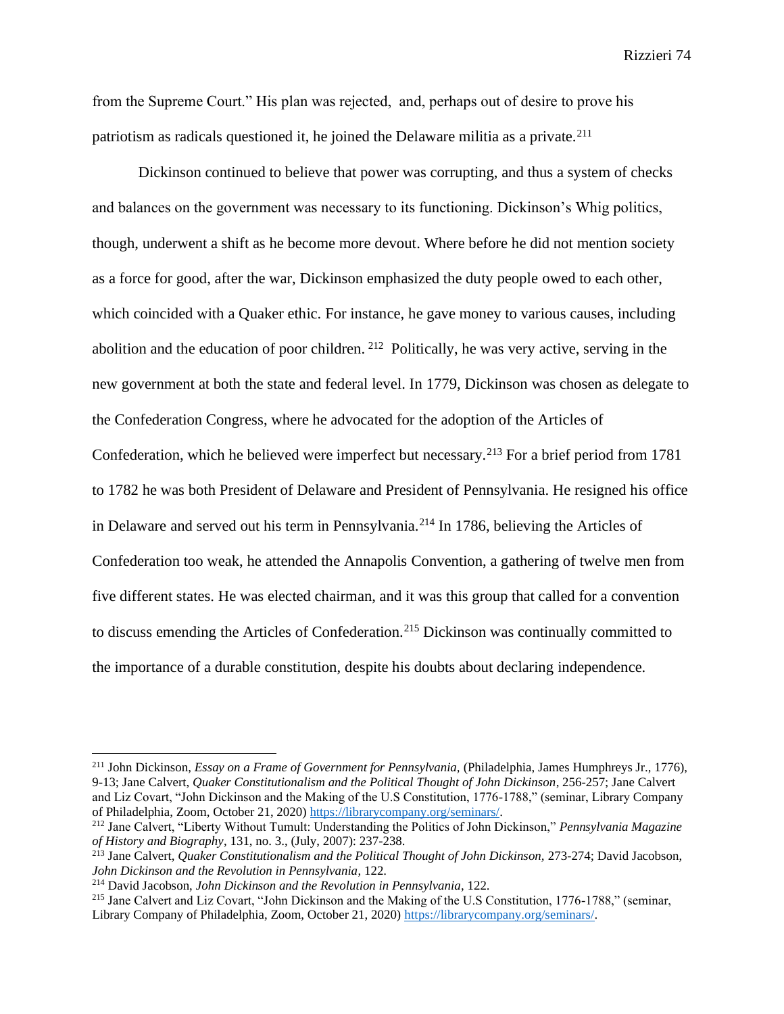from the Supreme Court." His plan was rejected, and, perhaps out of desire to prove his patriotism as radicals questioned it, he joined the Delaware militia as a private.<sup>211</sup>

Dickinson continued to believe that power was corrupting, and thus a system of checks and balances on the government was necessary to its functioning. Dickinson's Whig politics, though, underwent a shift as he become more devout. Where before he did not mention society as a force for good, after the war, Dickinson emphasized the duty people owed to each other, which coincided with a Quaker ethic. For instance, he gave money to various causes, including abolition and the education of poor children. <sup>212</sup> Politically, he was very active, serving in the new government at both the state and federal level. In 1779, Dickinson was chosen as delegate to the Confederation Congress, where he advocated for the adoption of the Articles of Confederation, which he believed were imperfect but necessary.<sup>213</sup> For a brief period from 1781 to 1782 he was both President of Delaware and President of Pennsylvania. He resigned his office in Delaware and served out his term in Pennsylvania.<sup>214</sup> In 1786, believing the Articles of Confederation too weak, he attended the Annapolis Convention, a gathering of twelve men from five different states. He was elected chairman, and it was this group that called for a convention to discuss emending the Articles of Confederation.<sup>215</sup> Dickinson was continually committed to the importance of a durable constitution, despite his doubts about declaring independence.

<sup>211</sup> John Dickinson, *Essay on a Frame of Government for Pennsylvania,* (Philadelphia, James Humphreys Jr., 1776), 9-13; Jane Calvert, *Quaker Constitutionalism and the Political Thought of John Dickinson*, 256-257; Jane Calvert and Liz Covart, "John Dickinson and the Making of the U.S Constitution, 1776-1788," (seminar, Library Company of Philadelphia, Zoom, October 21, 2020) [https://librarycompany.org/seminars/.](https://librarycompany.org/seminars/) 

<sup>212</sup> Jane Calvert, "Liberty Without Tumult: Understanding the Politics of John Dickinson," *Pennsylvania Magazine of History and Biography*, 131, no. 3., (July, 2007): 237-238.

<sup>213</sup> Jane Calvert, *Quaker Constitutionalism and the Political Thought of John Dickinson,* 273-274; David Jacobson, *John Dickinson and the Revolution in Pennsylvania*, 122.

<sup>214</sup> David Jacobson, *John Dickinson and the Revolution in Pennsylvania*, 122.

<sup>215</sup> Jane Calvert and Liz Covart, "John Dickinson and the Making of the U.S Constitution, 1776-1788," (seminar, Library Company of Philadelphia, Zoom, October 21, 2020) [https://librarycompany.org/seminars/.](https://librarycompany.org/seminars/)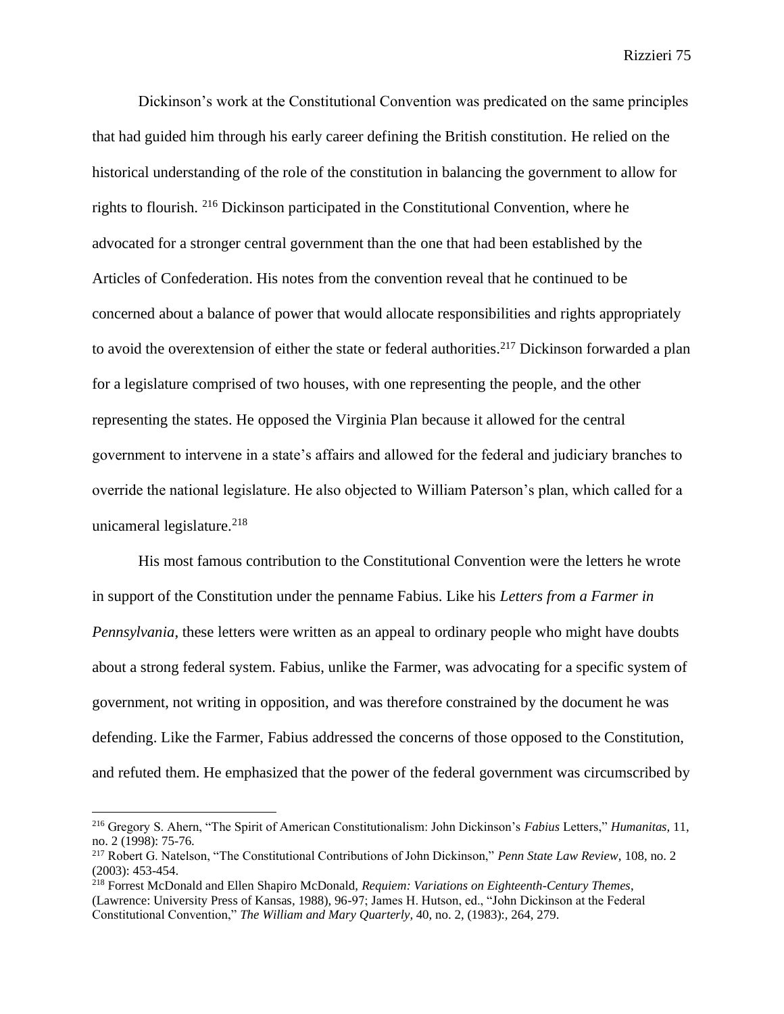Dickinson's work at the Constitutional Convention was predicated on the same principles that had guided him through his early career defining the British constitution. He relied on the historical understanding of the role of the constitution in balancing the government to allow for rights to flourish. <sup>216</sup> Dickinson participated in the Constitutional Convention, where he advocated for a stronger central government than the one that had been established by the Articles of Confederation. His notes from the convention reveal that he continued to be concerned about a balance of power that would allocate responsibilities and rights appropriately to avoid the overextension of either the state or federal authorities.<sup>217</sup> Dickinson forwarded a plan for a legislature comprised of two houses, with one representing the people, and the other representing the states. He opposed the Virginia Plan because it allowed for the central government to intervene in a state's affairs and allowed for the federal and judiciary branches to override the national legislature. He also objected to William Paterson's plan, which called for a unicameral legislature. $218$ 

His most famous contribution to the Constitutional Convention were the letters he wrote in support of the Constitution under the penname Fabius. Like his *Letters from a Farmer in Pennsylvania*, these letters were written as an appeal to ordinary people who might have doubts about a strong federal system. Fabius, unlike the Farmer, was advocating for a specific system of government, not writing in opposition, and was therefore constrained by the document he was defending. Like the Farmer, Fabius addressed the concerns of those opposed to the Constitution, and refuted them. He emphasized that the power of the federal government was circumscribed by

<sup>216</sup> Gregory S. Ahern, "The Spirit of American Constitutionalism: John Dickinson's *Fabius* Letters," *Humanitas,* 11, no. 2 (1998): 75-76.

<sup>217</sup> Robert G. Natelson, "The Constitutional Contributions of John Dickinson," *Penn State Law Review,* 108, no. 2 (2003): 453-454.

<sup>218</sup> Forrest McDonald and Ellen Shapiro McDonald, *Requiem: Variations on Eighteenth-Century Themes*, (Lawrence: University Press of Kansas, 1988), 96-97; James H. Hutson, ed., "John Dickinson at the Federal Constitutional Convention," *The William and Mary Quarterly,* 40, no. 2, (1983):*,* 264, 279.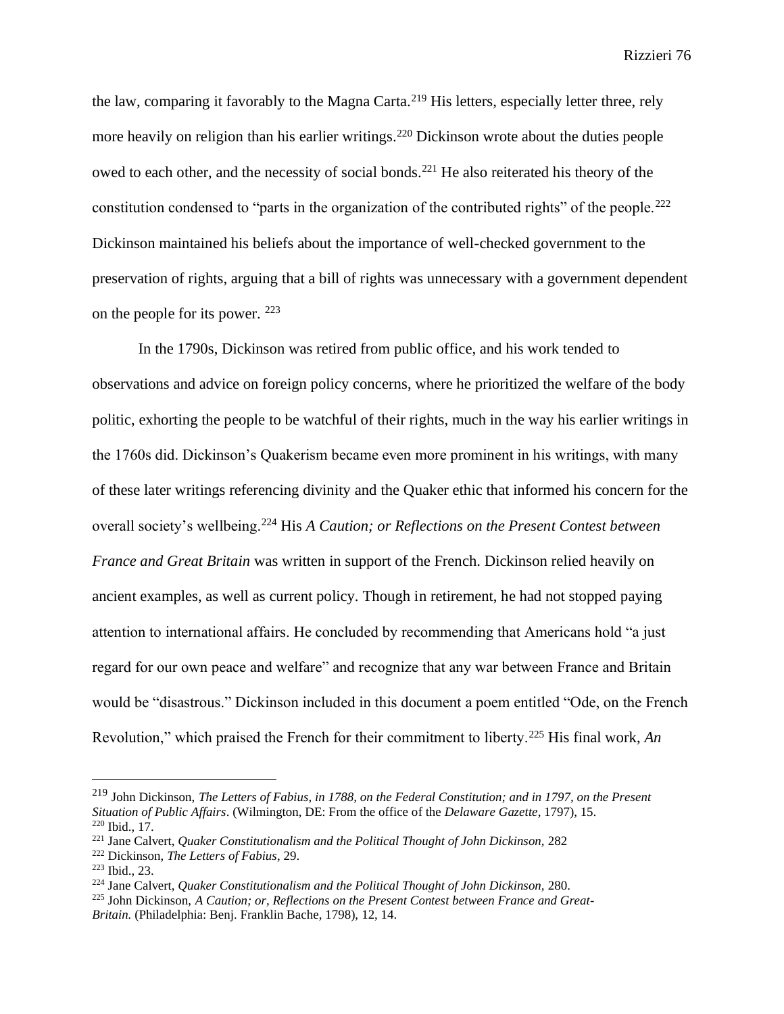the law, comparing it favorably to the Magna Carta.<sup>219</sup> His letters, especially letter three, rely more heavily on religion than his earlier writings.<sup>220</sup> Dickinson wrote about the duties people owed to each other, and the necessity of social bonds.<sup>221</sup> He also reiterated his theory of the constitution condensed to "parts in the organization of the contributed rights" of the people.<sup>222</sup> Dickinson maintained his beliefs about the importance of well-checked government to the preservation of rights, arguing that a bill of rights was unnecessary with a government dependent on the people for its power. <sup>223</sup>

In the 1790s, Dickinson was retired from public office, and his work tended to observations and advice on foreign policy concerns, where he prioritized the welfare of the body politic, exhorting the people to be watchful of their rights, much in the way his earlier writings in the 1760s did. Dickinson's Quakerism became even more prominent in his writings, with many of these later writings referencing divinity and the Quaker ethic that informed his concern for the overall society's wellbeing.<sup>224</sup> His *A Caution; or Reflections on the Present Contest between France and Great Britain* was written in support of the French. Dickinson relied heavily on ancient examples, as well as current policy. Though in retirement, he had not stopped paying attention to international affairs. He concluded by recommending that Americans hold "a just regard for our own peace and welfare" and recognize that any war between France and Britain would be "disastrous." Dickinson included in this document a poem entitled "Ode, on the French Revolution," which praised the French for their commitment to liberty.<sup>225</sup> His final work, *An* 

<sup>219</sup> John Dickinson, *The Letters of Fabius, in 1788, on the Federal Constitution; and in 1797, on the Present Situation of Public Affairs*. (Wilmington, DE: From the office of the *Delaware Gazette*, 1797), 15. <sup>220</sup> Ibid., 17.

<sup>&</sup>lt;sup>221</sup> Jane Calvert, *Quaker Constitutionalism and the Political Thought of John Dickinson*, 282

<sup>222</sup> Dickinson, *The Letters of Fabius*, 29.

<sup>223</sup> Ibid., 23.

<sup>&</sup>lt;sup>224</sup> Jane Calvert, *Quaker Constitutionalism and the Political Thought of John Dickinson*, 280.

<sup>225</sup> John Dickinson, *A Caution; or, Reflections on the Present Contest between France and Great-*

*Britain.* (Philadelphia: Benj. Franklin Bache, 1798), 12, 14.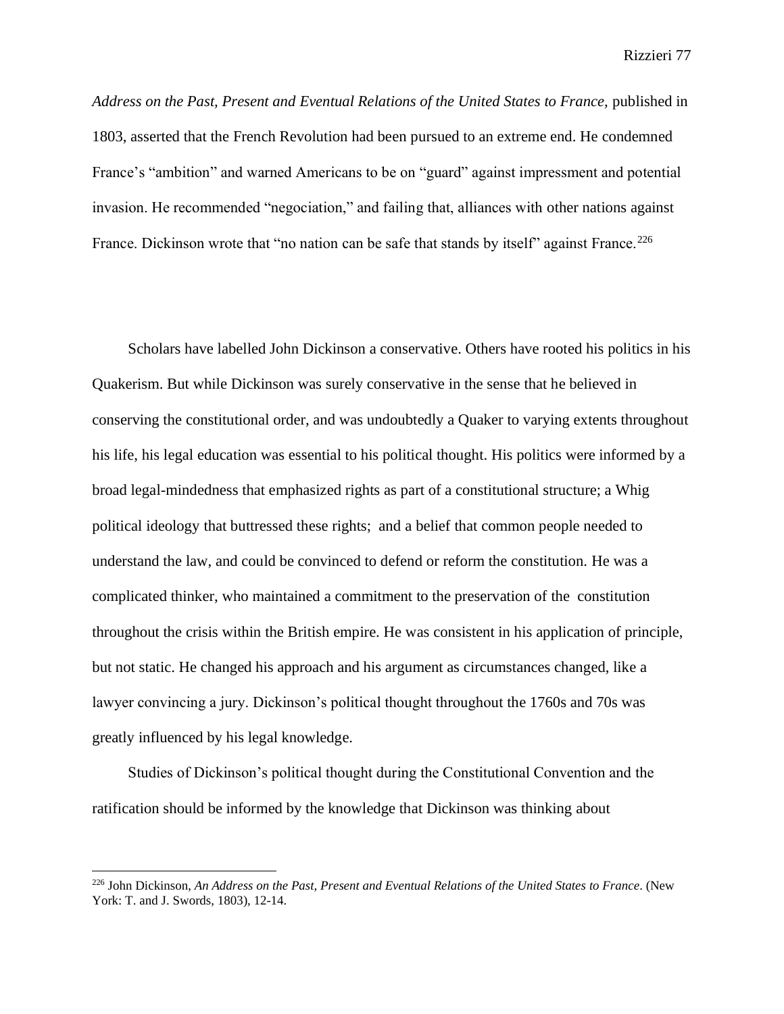*Address on the Past, Present and Eventual Relations of the United States to France,* published in 1803, asserted that the French Revolution had been pursued to an extreme end. He condemned France's "ambition" and warned Americans to be on "guard" against impressment and potential invasion. He recommended "negociation," and failing that, alliances with other nations against France. Dickinson wrote that "no nation can be safe that stands by itself" against France.<sup>226</sup>

Scholars have labelled John Dickinson a conservative. Others have rooted his politics in his Quakerism. But while Dickinson was surely conservative in the sense that he believed in conserving the constitutional order, and was undoubtedly a Quaker to varying extents throughout his life, his legal education was essential to his political thought. His politics were informed by a broad legal-mindedness that emphasized rights as part of a constitutional structure; a Whig political ideology that buttressed these rights; and a belief that common people needed to understand the law, and could be convinced to defend or reform the constitution. He was a complicated thinker, who maintained a commitment to the preservation of the constitution throughout the crisis within the British empire. He was consistent in his application of principle, but not static. He changed his approach and his argument as circumstances changed, like a lawyer convincing a jury. Dickinson's political thought throughout the 1760s and 70s was greatly influenced by his legal knowledge.

Studies of Dickinson's political thought during the Constitutional Convention and the ratification should be informed by the knowledge that Dickinson was thinking about

<sup>226</sup> John Dickinson, *An Address on the Past, Present and Eventual Relations of the United States to France*. (New York: T. and J. Swords, 1803), 12-14.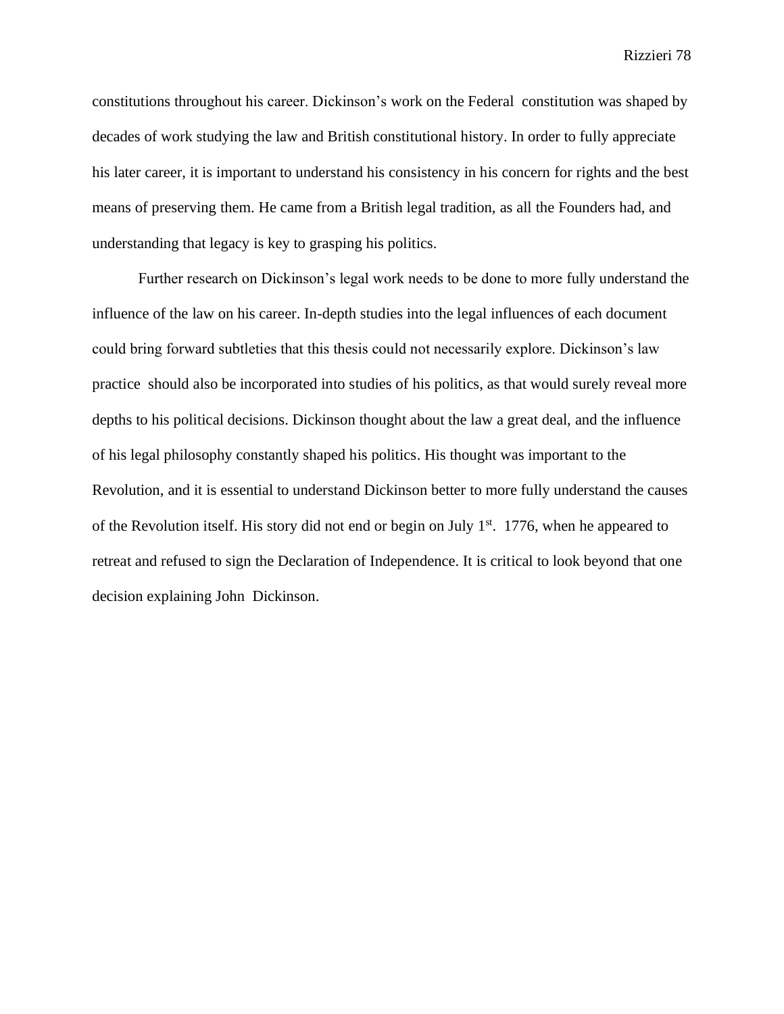constitutions throughout his career. Dickinson's work on the Federal constitution was shaped by decades of work studying the law and British constitutional history. In order to fully appreciate his later career, it is important to understand his consistency in his concern for rights and the best means of preserving them. He came from a British legal tradition, as all the Founders had, and understanding that legacy is key to grasping his politics.

Further research on Dickinson's legal work needs to be done to more fully understand the influence of the law on his career. In-depth studies into the legal influences of each document could bring forward subtleties that this thesis could not necessarily explore. Dickinson's law practice should also be incorporated into studies of his politics, as that would surely reveal more depths to his political decisions. Dickinson thought about the law a great deal, and the influence of his legal philosophy constantly shaped his politics. His thought was important to the Revolution, and it is essential to understand Dickinson better to more fully understand the causes of the Revolution itself. His story did not end or begin on July  $1<sup>st</sup>$ . 1776, when he appeared to retreat and refused to sign the Declaration of Independence. It is critical to look beyond that one decision explaining John Dickinson.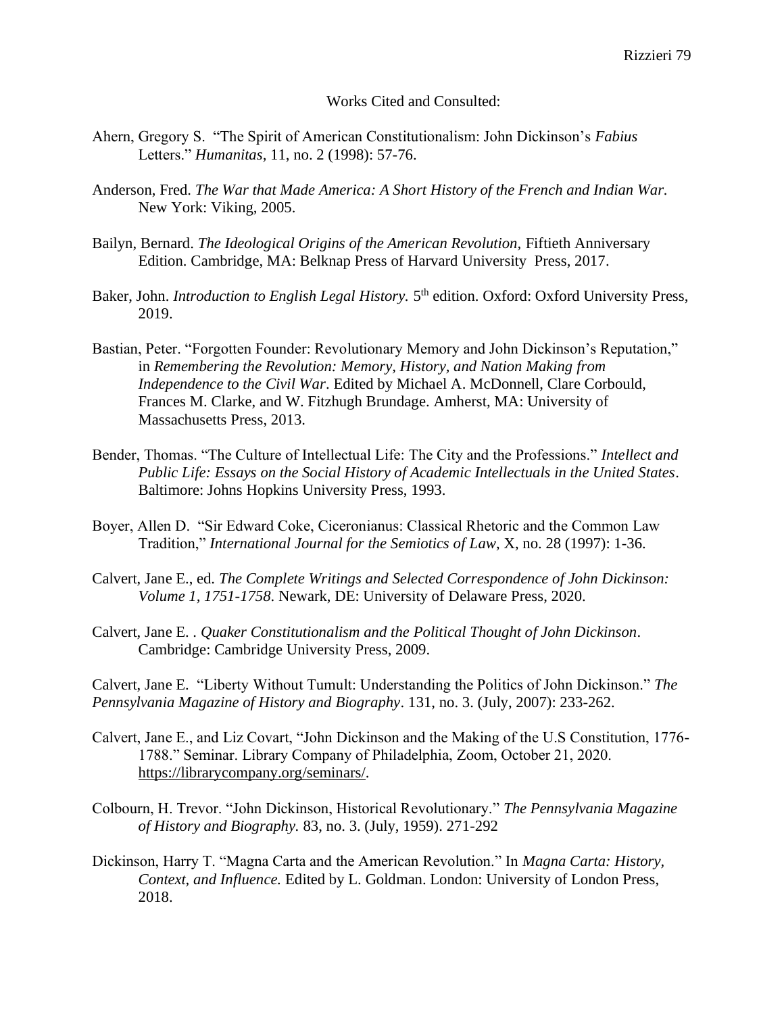## Works Cited and Consulted:

- Ahern, Gregory S. "The Spirit of American Constitutionalism: John Dickinson's *Fabius*  Letters." *Humanitas,* 11, no. 2 (1998): 57-76.
- Anderson, Fred. *The War that Made America: A Short History of the French and Indian War.*  New York: Viking, 2005.
- Bailyn, Bernard. *The Ideological Origins of the American Revolution,* Fiftieth Anniversary Edition. Cambridge, MA: Belknap Press of Harvard University Press, 2017.
- Baker, John. *Introduction to English Legal History*. 5<sup>th</sup> edition. Oxford: Oxford University Press, 2019.
- Bastian, Peter. "Forgotten Founder: Revolutionary Memory and John Dickinson's Reputation," in *Remembering the Revolution: Memory, History, and Nation Making from Independence to the Civil War*. Edited by Michael A. McDonnell, Clare Corbould, Frances M. Clarke, and W. Fitzhugh Brundage. Amherst, MA: University of Massachusetts Press, 2013.
- Bender, Thomas. "The Culture of Intellectual Life: The City and the Professions." *Intellect and Public Life: Essays on the Social History of Academic Intellectuals in the United States*. Baltimore: Johns Hopkins University Press, 1993.
- Boyer, Allen D. "Sir Edward Coke, Ciceronianus: Classical Rhetoric and the Common Law Tradition," *International Journal for the Semiotics of Law*, X, no. 28 (1997): 1-36.
- Calvert, Jane E., ed. *The Complete Writings and Selected Correspondence of John Dickinson: Volume 1, 1751-1758*. Newark, DE: University of Delaware Press, 2020.
- Calvert, Jane E. . *Quaker Constitutionalism and the Political Thought of John Dickinson*. Cambridge: Cambridge University Press, 2009.

Calvert, Jane E. "Liberty Without Tumult: Understanding the Politics of John Dickinson." *The Pennsylvania Magazine of History and Biography*. 131, no. 3. (July, 2007): 233-262.

- Calvert, Jane E., and Liz Covart, "John Dickinson and the Making of the U.S Constitution, 1776- 1788." Seminar. Library Company of Philadelphia, Zoom, October 21, 2020. [https://librarycompany.org/seminars/.](https://librarycompany.org/seminars/)
- Colbourn, H. Trevor. "John Dickinson, Historical Revolutionary." *The Pennsylvania Magazine of History and Biography.* 83, no. 3. (July, 1959). 271-292
- Dickinson, Harry T. "Magna Carta and the American Revolution." In *Magna Carta: History, Context, and Influence.* Edited by L. Goldman. London: University of London Press, 2018.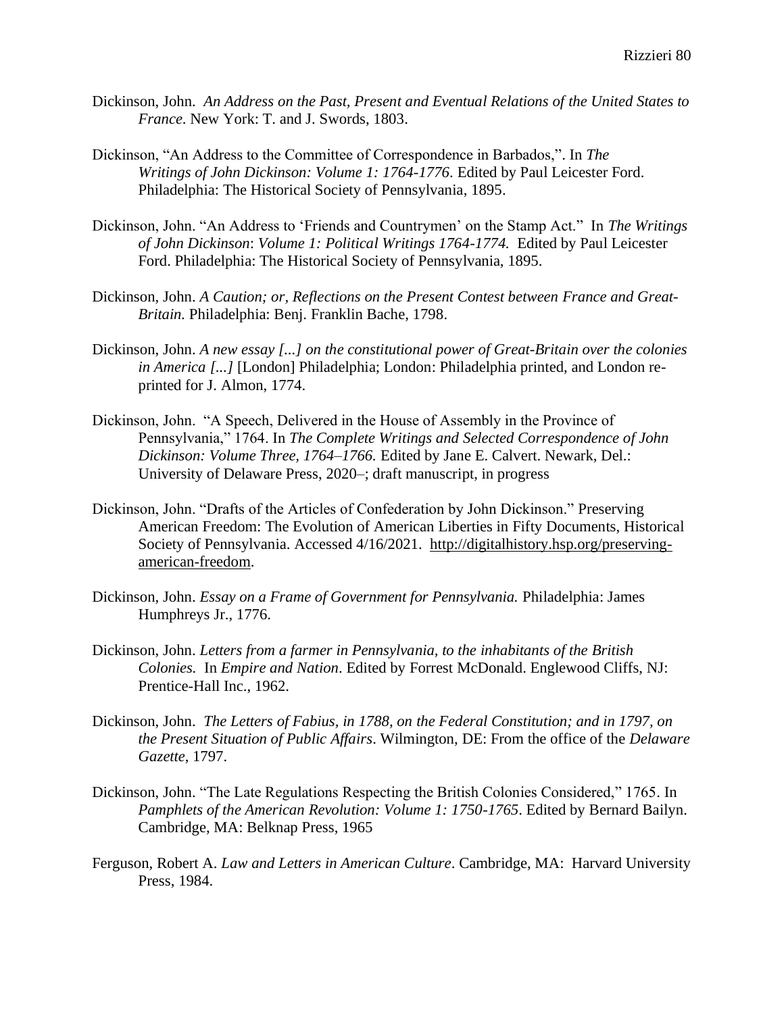- Dickinson, John. *An Address on the Past, Present and Eventual Relations of the United States to France*. New York: T. and J. Swords, 1803.
- Dickinson, "An Address to the Committee of Correspondence in Barbados,". In *The Writings of John Dickinson: Volume 1: 1764-1776*. Edited by Paul Leicester Ford. Philadelphia: The Historical Society of Pennsylvania, 1895.
- Dickinson, John. "An Address to 'Friends and Countrymen' on the Stamp Act." In *The Writings of John Dickinson*: *Volume 1: Political Writings 1764-1774.* Edited by Paul Leicester Ford. Philadelphia: The Historical Society of Pennsylvania, 1895.
- Dickinson, John. *A Caution; or, Reflections on the Present Contest between France and Great-Britain.* Philadelphia: Benj. Franklin Bache, 1798.
- Dickinson, John. *A new essay [...] on the constitutional power of Great-Britain over the colonies in America [...]* [London] Philadelphia; London: Philadelphia printed, and London reprinted for J. Almon, 1774.
- Dickinson, John. "A Speech, Delivered in the House of Assembly in the Province of Pennsylvania," 1764. In *The Complete Writings and Selected Correspondence of John Dickinson: Volume Three, 1764–1766.* Edited by Jane E. Calvert. Newark, Del.: University of Delaware Press, 2020–; draft manuscript, in progress
- Dickinson, John. "Drafts of the Articles of Confederation by John Dickinson." Preserving American Freedom: The Evolution of American Liberties in Fifty Documents, Historical Society of Pennsylvania. Accessed 4/16/2021. [http://digitalhistory.hsp.org/preserving](http://digitalhistory.hsp.org/preserving-american-freedom)[american-freedom.](http://digitalhistory.hsp.org/preserving-american-freedom)
- Dickinson, John. *Essay on a Frame of Government for Pennsylvania.* Philadelphia: James Humphreys Jr., 1776.
- Dickinson, John. *Letters from a farmer in Pennsylvania, to the inhabitants of the British Colonies.* In *Empire and Nation*. Edited by Forrest McDonald. Englewood Cliffs, NJ: Prentice-Hall Inc., 1962.
- Dickinson, John. *The Letters of Fabius, in 1788, on the Federal Constitution; and in 1797, on the Present Situation of Public Affairs*. Wilmington, DE: From the office of the *Delaware Gazette*, 1797.
- Dickinson, John. "The Late Regulations Respecting the British Colonies Considered," 1765. In *Pamphlets of the American Revolution: Volume 1: 1750-1765*. Edited by Bernard Bailyn. Cambridge, MA: Belknap Press, 1965
- Ferguson, Robert A. *Law and Letters in American Culture*. Cambridge, MA: Harvard University Press, 1984.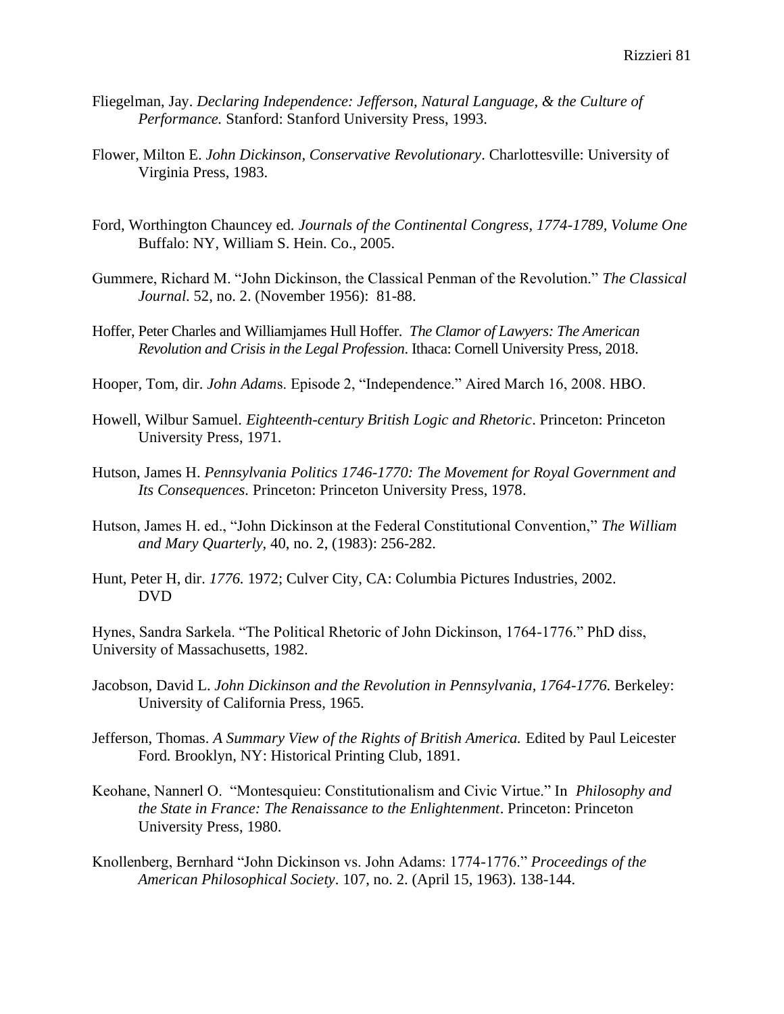- Fliegelman, Jay. *Declaring Independence: Jefferson, Natural Language, & the Culture of Performance.* Stanford: Stanford University Press, 1993.
- Flower, Milton E. *John Dickinson, Conservative Revolutionary*. Charlottesville: University of Virginia Press, 1983.
- Ford, Worthington Chauncey ed. *Journals of the Continental Congress, 1774-1789, Volume One*  Buffalo: NY, William S. Hein. Co., 2005.
- Gummere, Richard M. "John Dickinson, the Classical Penman of the Revolution." *The Classical Journal*. 52, no. 2. (November 1956): 81-88.
- Hoffer, Peter Charles and Williamjames Hull Hoffer. *The Clamor of Lawyers: The American Revolution and Crisis in the Legal Profession*. Ithaca: Cornell University Press, 2018.
- Hooper, Tom, dir. *John Adam*s. Episode 2, "Independence." Aired March 16, 2008. HBO.
- Howell, Wilbur Samuel. *Eighteenth-century British Logic and Rhetoric*. Princeton: Princeton University Press, 1971.
- Hutson, James H. *Pennsylvania Politics 1746-1770: The Movement for Royal Government and Its Consequences.* Princeton: Princeton University Press, 1978.
- Hutson, James H. ed., "John Dickinson at the Federal Constitutional Convention," *The William and Mary Quarterly,* 40, no. 2, (1983): 256-282.
- Hunt, Peter H, dir. *1776.* 1972; Culver City, CA: Columbia Pictures Industries, 2002. DVD

Hynes, Sandra Sarkela. "The Political Rhetoric of John Dickinson, 1764-1776." PhD diss, University of Massachusetts, 1982.

- Jacobson, David L. *John Dickinson and the Revolution in Pennsylvania, 1764-1776.* Berkeley: University of California Press, 1965.
- Jefferson, Thomas. *A Summary View of the Rights of British America.* Edited by Paul Leicester Ford*.* Brooklyn, NY: Historical Printing Club, 1891.
- Keohane, Nannerl O. "Montesquieu: Constitutionalism and Civic Virtue." In *Philosophy and the State in France: The Renaissance to the Enlightenment*. Princeton: Princeton University Press, 1980.
- Knollenberg, Bernhard "John Dickinson vs. John Adams: 1774-1776." *Proceedings of the American Philosophical Society*. 107, no. 2. (April 15, 1963). 138-144.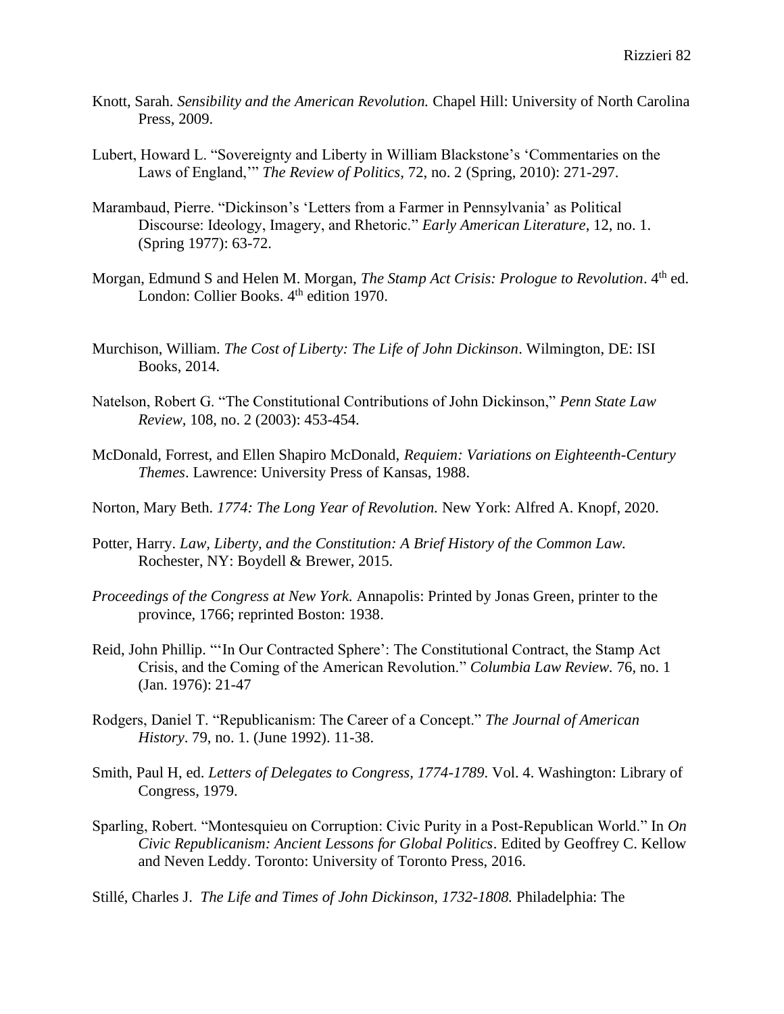- Knott, Sarah. *Sensibility and the American Revolution.* Chapel Hill: University of North Carolina Press, 2009.
- Lubert, Howard L. "Sovereignty and Liberty in William Blackstone's 'Commentaries on the Laws of England,'" *The Review of Politics,* 72, no. 2 (Spring, 2010): 271-297.
- Marambaud, Pierre. "Dickinson's 'Letters from a Farmer in Pennsylvania' as Political Discourse: Ideology, Imagery, and Rhetoric." *Early American Literature*, 12, no. 1. (Spring 1977): 63-72.
- Morgan, Edmund S and Helen M. Morgan, *The Stamp Act Crisis: Prologue to Revolution*. 4th ed. London: Collier Books. 4<sup>th</sup> edition 1970.
- Murchison, William. *The Cost of Liberty: The Life of John Dickinson*. Wilmington, DE: ISI Books, 2014.
- Natelson, Robert G. "The Constitutional Contributions of John Dickinson," *Penn State Law Review,* 108, no. 2 (2003): 453-454.
- McDonald, Forrest, and Ellen Shapiro McDonald, *Requiem: Variations on Eighteenth-Century Themes*. Lawrence: University Press of Kansas, 1988.
- Norton, Mary Beth. *1774: The Long Year of Revolution.* New York: Alfred A. Knopf, 2020.
- Potter, Harry. *Law, Liberty, and the Constitution: A Brief History of the Common Law.*  Rochester, NY: Boydell & Brewer, 2015.
- *Proceedings of the Congress at New York.* Annapolis: Printed by Jonas Green, printer to the province, 1766; reprinted Boston: 1938.
- Reid, John Phillip. "'In Our Contracted Sphere': The Constitutional Contract, the Stamp Act Crisis, and the Coming of the American Revolution." *Columbia Law Review.* 76, no. 1 (Jan. 1976): 21-47
- Rodgers, Daniel T. "Republicanism: The Career of a Concept." *The Journal of American History*. 79, no. 1. (June 1992). 11-38.
- Smith, Paul H, ed. *Letters of Delegates to Congress, 1774-1789*. Vol. 4. Washington: Library of Congress, 1979.
- Sparling, Robert. "Montesquieu on Corruption: Civic Purity in a Post-Republican World." In *On Civic Republicanism: Ancient Lessons for Global Politics*. Edited by Geoffrey C. Kellow and Neven Leddy. Toronto: University of Toronto Press, 2016.
- Stillé, Charles J. *The Life and Times of John Dickinson, 1732-1808.* Philadelphia: The